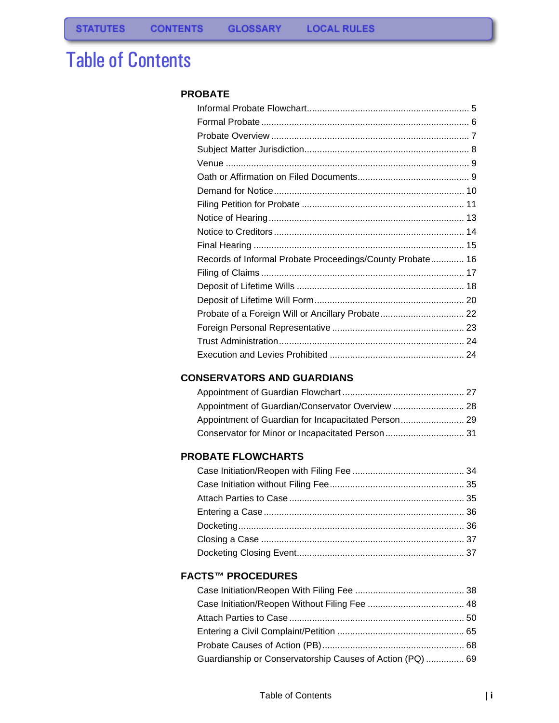# Table of Contents

### **[PROBATE](#page-2-0)**

| Records of Informal Probate Proceedings/County Probate 16 |  |
|-----------------------------------------------------------|--|
|                                                           |  |
|                                                           |  |
|                                                           |  |
| Probate of a Foreign Will or Ancillary Probate 22         |  |
|                                                           |  |
|                                                           |  |
|                                                           |  |

## **[CONSERVATORS AND GUARDIANS](#page-26-0)**

## **[PROBATE FLOWCHARTS](#page-35-0)**

### **[FACTS™ PROCEDURES](#page-39-0)**

| Guardianship or Conservatorship Causes of Action (PQ)  69 |  |
|-----------------------------------------------------------|--|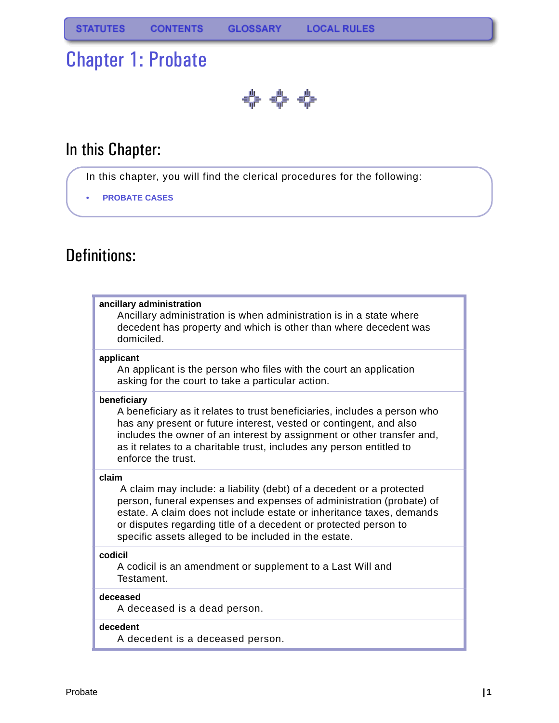# <span id="page-2-0"></span>Chapter 1: Probate

♣ុុុុុុ

# In this Chapter:

- In this chapter, you will find the clerical procedures for the following:
- **• [PROBATE CASES](#page-8-0)**

# Definitions:

## **ancillary administration** Ancillary administration is when administration is in a state where decedent has property and which is other than where decedent was domiciled. **applicant** An applicant is the person who files with the court an application asking for the court to take a particular action.

## **beneficiary**

A beneficiary as it relates to trust beneficiaries, includes a person who has any present or future interest, vested or contingent, and also includes the owner of an interest by assignment or other transfer and, as it relates to a charitable trust, includes any person entitled to enforce the trust.

### **claim**

 A claim may include: a liability (debt) of a decedent or a protected person, funeral expenses and expenses of administration (probate) of estate. A claim does not include estate or inheritance taxes, demands or disputes regarding title of a decedent or protected person to specific assets alleged to be included in the estate.

### **codicil**

A codicil is an amendment or supplement to a Last Will and Testament.

### **deceased**

A deceased is a dead person.

### **decedent**

A decedent is a deceased person.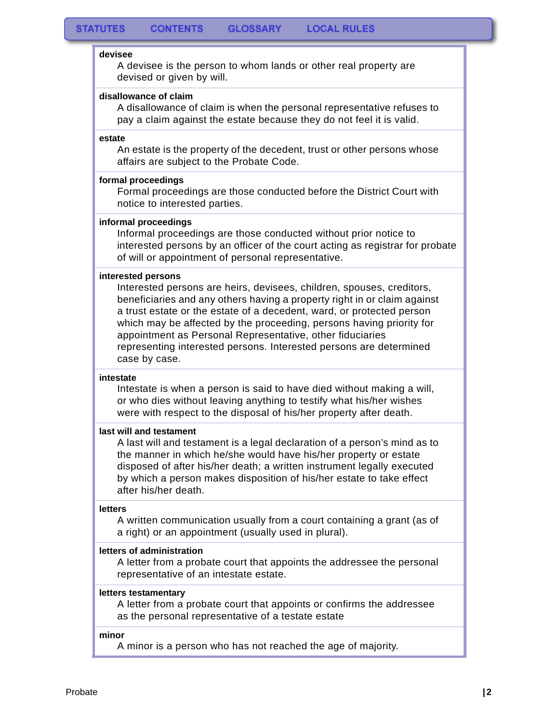#### **devisee**

A devisee is the person to whom lands or other real property are devised or given by will.

### **disallowance of claim**

A disallowance of claim is when the personal representative refuses to pay a claim against the estate because they do not feel it is valid.

#### **estate**

An estate is the property of the decedent, trust or other persons whose affairs are subject to the Probate Code.

### **formal proceedings**

Formal proceedings are those conducted before the District Court with notice to interested parties.

### **informal proceedings**

Informal proceedings are those conducted without prior notice to interested persons by an officer of the court acting as registrar for probate of will or appointment of personal representative.

### **interested persons**

Interested persons are heirs, devisees, children, spouses, creditors, beneficiaries and any others having a property right in or claim against a trust estate or the estate of a decedent, ward, or protected person which may be affected by the proceeding, persons having priority for appointment as Personal Representative, other fiduciaries representing interested persons. Interested persons are determined case by case.

#### **intestate**

Intestate is when a person is said to have died without making a will, or who dies without leaving anything to testify what his/her wishes were with respect to the disposal of his/her property after death.

#### **last will and testament**

A last will and testament is a legal declaration of a person's mind as to the manner in which he/she would have his/her property or estate disposed of after his/her death; a written instrument legally executed by which a person makes disposition of his/her estate to take effect after his/her death.

#### **letters**

A written communication usually from a court containing a grant (as of a right) or an appointment (usually used in plural).

#### **letters of administration**

A letter from a probate court that appoints the addressee the personal representative of an intestate estate.

#### **letters testamentary**

A letter from a probate court that appoints or confirms the addressee as the personal representative of a testate estate

### **minor**

A minor is a person who has not reached the age of majority.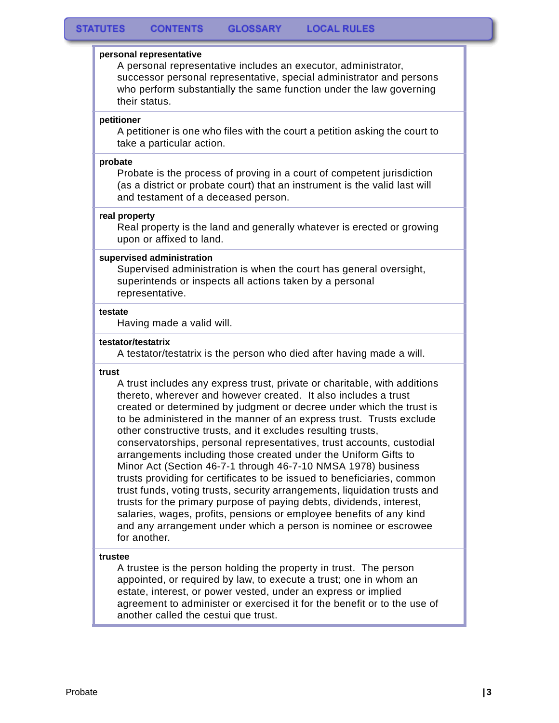#### **personal representative**

A personal representative includes an executor, administrator, successor personal representative, special administrator and persons who perform substantially the same function under the law governing their status.

#### **petitioner**

A petitioner is one who files with the court a petition asking the court to take a particular action.

#### **probate**

Probate is the process of proving in a court of competent jurisdiction (as a district or probate court) that an instrument is the valid last will and testament of a deceased person.

#### **real property**

Real property is the land and generally whatever is erected or growing upon or affixed to land.

#### **supervised administration**

Supervised administration is when the court has general oversight, superintends or inspects all actions taken by a personal representative.

#### **testate**

Having made a valid will.

#### **testator/testatrix**

A testator/testatrix is the person who died after having made a will.

#### **trust**

A trust includes any express trust, private or charitable, with additions thereto, wherever and however created. It also includes a trust created or determined by judgment or decree under which the trust is to be administered in the manner of an express trust. Trusts exclude other constructive trusts, and it excludes resulting trusts, conservatorships, personal representatives, trust accounts, custodial arrangements including those created under the Uniform Gifts to Minor Act (Section 46-7-1 through 46-7-10 NMSA 1978) business trusts providing for certificates to be issued to beneficiaries, common trust funds, voting trusts, security arrangements, liquidation trusts and trusts for the primary purpose of paying debts, dividends, interest, salaries, wages, profits, pensions or employee benefits of any kind and any arrangement under which a person is nominee or escrowee for another.

#### **trustee**

A trustee is the person holding the property in trust. The person appointed, or required by law, to execute a trust; one in whom an estate, interest, or power vested, under an express or implied agreement to administer or exercised it for the benefit or to the use of another called the cestui que trust.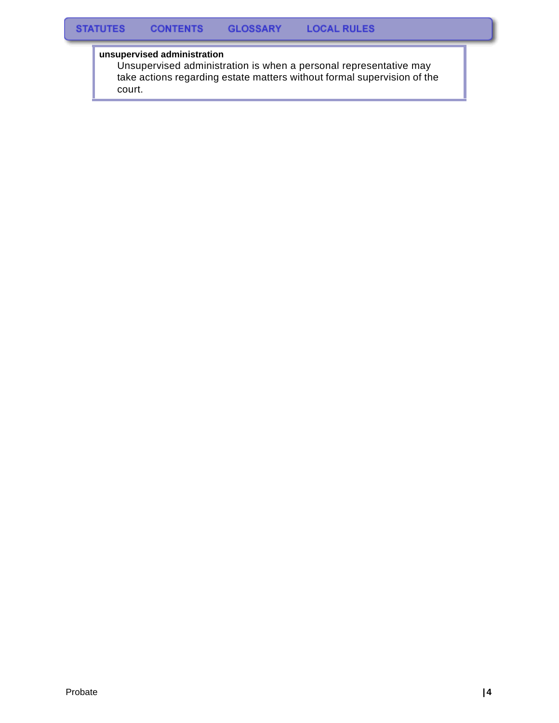## **unsupervised administration**

Unsupervised administration is when a personal representative may take actions regarding estate matters without formal supervision of the court.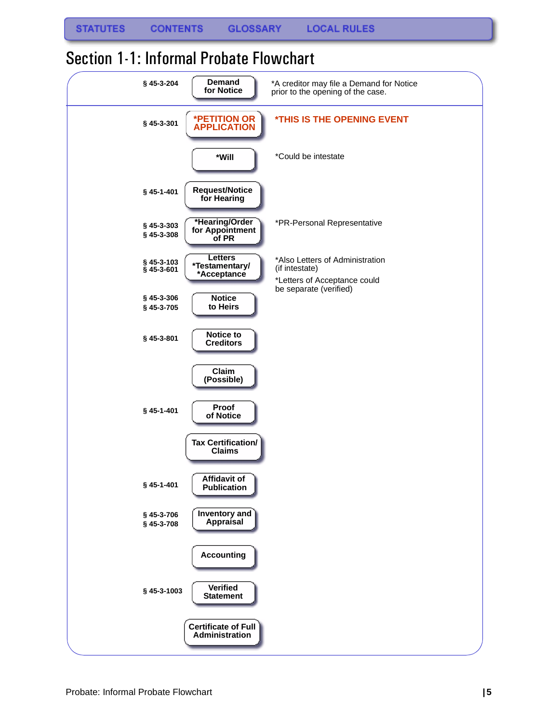| § 45-3-204                | <b>Demand</b><br>for Notice                     | *A creditor may file a Demand for Notice<br>prior to the opening of the case.                               |
|---------------------------|-------------------------------------------------|-------------------------------------------------------------------------------------------------------------|
| § 45-3-301                | *PETITION OR<br><b>APPLICATION</b>              | <b><i>*THIS IS THE OPENING EVENT</i></b>                                                                    |
|                           | *Will                                           | *Could be intestate                                                                                         |
| § 45-1-401                | <b>Request/Notice</b><br>for Hearing            |                                                                                                             |
| § 45-3-303<br>§ 45-3-308  | *Hearing/Order<br>for Appointment<br>of PR      | *PR-Personal Representative                                                                                 |
| §45-3-103<br>$§$ 45-3-601 | <b>Letters</b><br>*Testamentary/<br>*Acceptance | *Also Letters of Administration<br>(if intestate)<br>*Letters of Acceptance could<br>be separate (verified) |
| § 45-3-306<br>§ 45-3-705  | <b>Notice</b><br>to Heirs                       |                                                                                                             |
| § 45-3-801                | Notice to<br><b>Creditors</b>                   |                                                                                                             |
|                           | Claim<br>(Possible)                             |                                                                                                             |
| § 45-1-401                | Proof<br>of Notice                              |                                                                                                             |
|                           | <b>Tax Certification/</b><br><b>Claims</b>      |                                                                                                             |
| § 45-1-401                | Affidavit of<br><b>Publication</b>              |                                                                                                             |
| § 45-3-706<br>§ 45-3-708  | Inventory and<br>Appraisal                      |                                                                                                             |
|                           | <b>Accounting</b>                               |                                                                                                             |
| § 45-3-1003               | <b>Verified</b><br><b>Statement</b>             |                                                                                                             |
|                           | <b>Certificate of Full</b><br>Administration    |                                                                                                             |

## <span id="page-6-0"></span>Section 1-1: Informal Probate Flowchart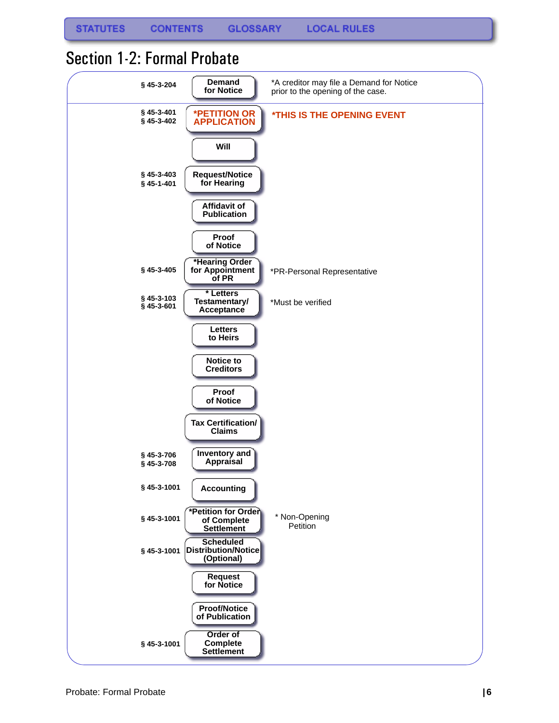## <span id="page-7-0"></span>Section 1-2: Formal Probate

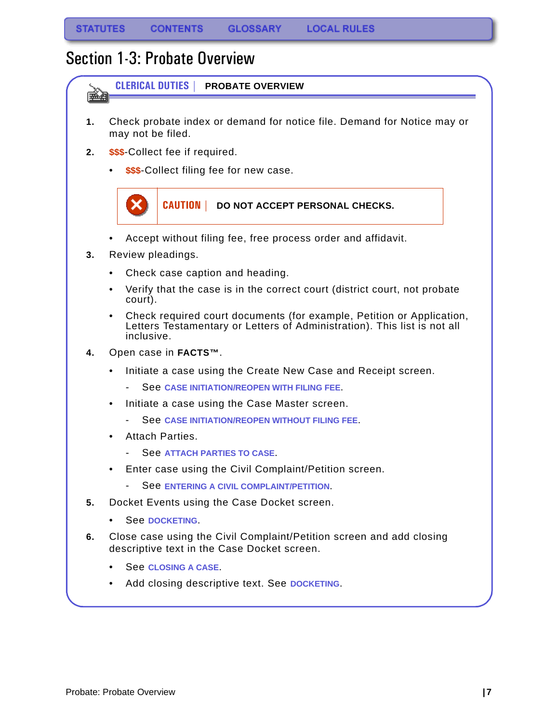## <span id="page-8-0"></span>Section 1-3: Probate Overview

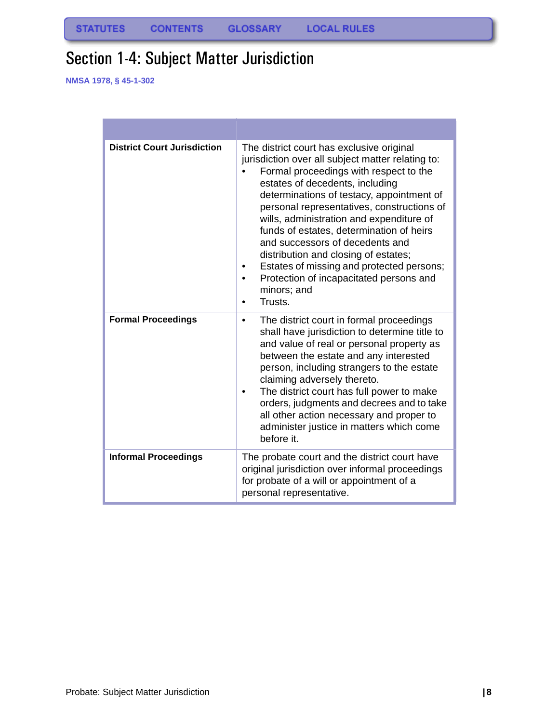# <span id="page-9-0"></span>Section 1-4: Subject Matter Jurisdiction

**NMSA 1978, § 45-1-302**

| <b>District Court Jurisdiction</b> | The district court has exclusive original<br>jurisdiction over all subject matter relating to:<br>Formal proceedings with respect to the<br>estates of decedents, including<br>determinations of testacy, appointment of<br>personal representatives, constructions of<br>wills, administration and expenditure of<br>funds of estates, determination of heirs<br>and successors of decedents and<br>distribution and closing of estates;<br>Estates of missing and protected persons;<br>Protection of incapacitated persons and<br>minors; and<br>Trusts. |
|------------------------------------|-------------------------------------------------------------------------------------------------------------------------------------------------------------------------------------------------------------------------------------------------------------------------------------------------------------------------------------------------------------------------------------------------------------------------------------------------------------------------------------------------------------------------------------------------------------|
| <b>Formal Proceedings</b>          | The district court in formal proceedings<br>٠<br>shall have jurisdiction to determine title to<br>and value of real or personal property as<br>between the estate and any interested<br>person, including strangers to the estate<br>claiming adversely thereto.<br>The district court has full power to make<br>orders, judgments and decrees and to take<br>all other action necessary and proper to<br>administer justice in matters which come<br>before it.                                                                                            |
| <b>Informal Proceedings</b>        | The probate court and the district court have<br>original jurisdiction over informal proceedings<br>for probate of a will or appointment of a<br>personal representative.                                                                                                                                                                                                                                                                                                                                                                                   |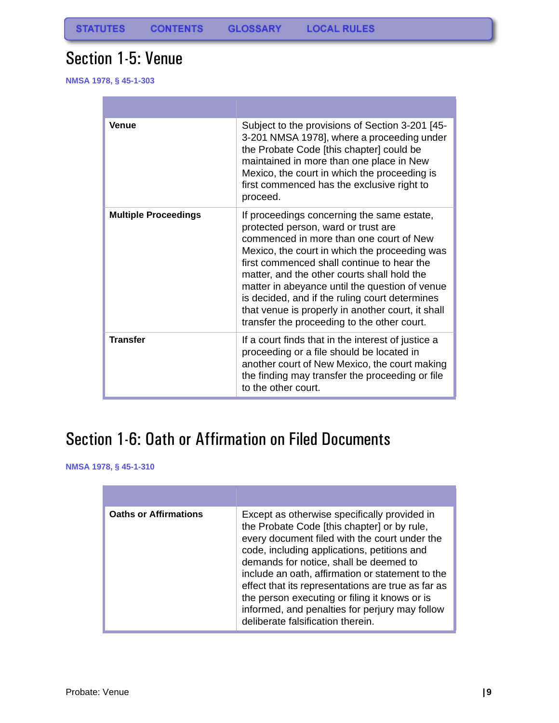## <span id="page-10-0"></span>Section 1-5: Venue

**NMSA 1978, § 45-1-303**

| <b>Venue</b>                | Subject to the provisions of Section 3-201 [45-<br>3-201 NMSA 1978], where a proceeding under<br>the Probate Code [this chapter] could be<br>maintained in more than one place in New<br>Mexico, the court in which the proceeding is<br>first commenced has the exclusive right to<br>proceed.                                                                                                                                                                                    |
|-----------------------------|------------------------------------------------------------------------------------------------------------------------------------------------------------------------------------------------------------------------------------------------------------------------------------------------------------------------------------------------------------------------------------------------------------------------------------------------------------------------------------|
| <b>Multiple Proceedings</b> | If proceedings concerning the same estate,<br>protected person, ward or trust are<br>commenced in more than one court of New<br>Mexico, the court in which the proceeding was<br>first commenced shall continue to hear the<br>matter, and the other courts shall hold the<br>matter in abeyance until the question of venue<br>is decided, and if the ruling court determines<br>that venue is properly in another court, it shall<br>transfer the proceeding to the other court. |
| <b>Transfer</b>             | If a court finds that in the interest of justice a<br>proceeding or a file should be located in<br>another court of New Mexico, the court making<br>the finding may transfer the proceeding or file<br>to the other court.                                                                                                                                                                                                                                                         |

# <span id="page-10-1"></span>Section 1-6: Oath or Affirmation on Filed Documents

**NMSA 1978, § 45-1-310**

| <b>Oaths or Affirmations</b> | Except as otherwise specifically provided in<br>the Probate Code [this chapter] or by rule,<br>every document filed with the court under the<br>code, including applications, petitions and<br>demands for notice, shall be deemed to<br>include an oath, affirmation or statement to the<br>effect that its representations are true as far as<br>the person executing or filing it knows or is<br>informed, and penalties for perjury may follow<br>deliberate falsification therein. |
|------------------------------|-----------------------------------------------------------------------------------------------------------------------------------------------------------------------------------------------------------------------------------------------------------------------------------------------------------------------------------------------------------------------------------------------------------------------------------------------------------------------------------------|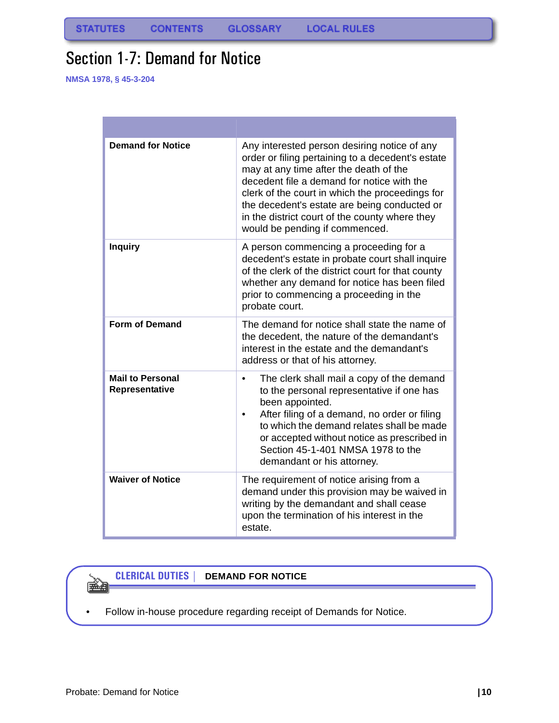# <span id="page-11-0"></span>Section 1-7: Demand for Notice

**NMSA 1978, § 45-3-204**

| <b>Demand for Notice</b>                  | Any interested person desiring notice of any<br>order or filing pertaining to a decedent's estate<br>may at any time after the death of the<br>decedent file a demand for notice with the<br>clerk of the court in which the proceedings for<br>the decedent's estate are being conducted or<br>in the district court of the county where they<br>would be pending if commenced. |
|-------------------------------------------|----------------------------------------------------------------------------------------------------------------------------------------------------------------------------------------------------------------------------------------------------------------------------------------------------------------------------------------------------------------------------------|
| <b>Inquiry</b>                            | A person commencing a proceeding for a<br>decedent's estate in probate court shall inquire<br>of the clerk of the district court for that county<br>whether any demand for notice has been filed<br>prior to commencing a proceeding in the<br>probate court.                                                                                                                    |
| <b>Form of Demand</b>                     | The demand for notice shall state the name of<br>the decedent, the nature of the demandant's<br>interest in the estate and the demandant's<br>address or that of his attorney.                                                                                                                                                                                                   |
| <b>Mail to Personal</b><br>Representative | The clerk shall mail a copy of the demand<br>$\bullet$<br>to the personal representative if one has<br>been appointed.<br>After filing of a demand, no order or filing<br>to which the demand relates shall be made<br>or accepted without notice as prescribed in<br>Section 45-1-401 NMSA 1978 to the<br>demandant or his attorney.                                            |
| <b>Waiver of Notice</b>                   | The requirement of notice arising from a<br>demand under this provision may be waived in<br>writing by the demandant and shall cease<br>upon the termination of his interest in the<br>estate.                                                                                                                                                                                   |

### **CLERICAL DUTIES | DEMAND FOR NOTICE**

• Follow in-house procedure regarding receipt of Demands for Notice.

é t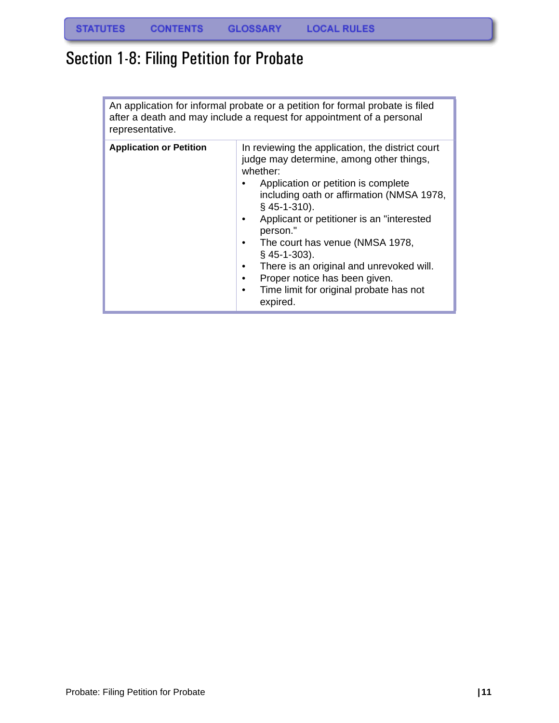# <span id="page-12-0"></span>Section 1-8: Filing Petition for Probate

An application for informal probate or a petition for formal probate is filed after a death and may include a request for appointment of a personal representative.

| <b>Application or Petition</b> | In reviewing the application, the district court<br>judge may determine, among other things,<br>whether:<br>Application or petition is complete<br>including oath or affirmation (NMSA 1978,<br>$§$ 45-1-310).<br>Applicant or petitioner is an "interested<br>$\bullet$<br>person."<br>The court has venue (NMSA 1978,<br>٠<br>$§$ 45-1-303).<br>There is an original and unrevoked will.<br>٠<br>Proper notice has been given.<br>$\bullet$<br>Time limit for original probate has not<br>$\bullet$<br>expired. |
|--------------------------------|-------------------------------------------------------------------------------------------------------------------------------------------------------------------------------------------------------------------------------------------------------------------------------------------------------------------------------------------------------------------------------------------------------------------------------------------------------------------------------------------------------------------|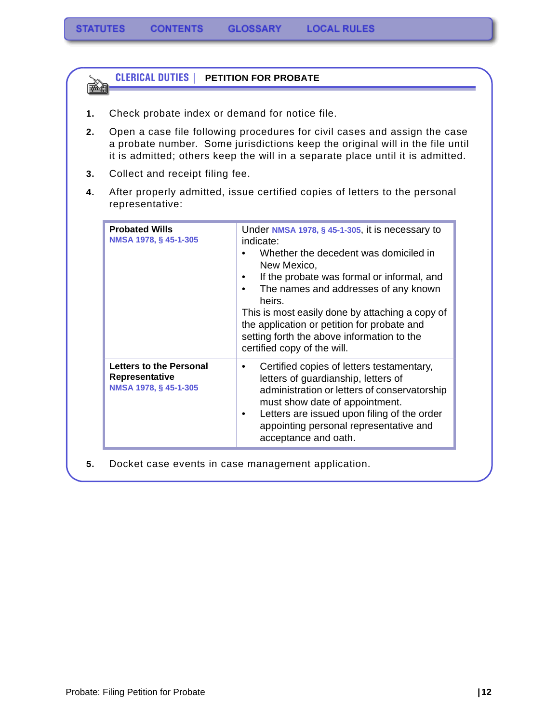| 1. | Check probate index or demand for notice file.                                                                                                                                                                                               |                                                                                                                                                                                                                                                                                                                                                                                                                               |  |
|----|----------------------------------------------------------------------------------------------------------------------------------------------------------------------------------------------------------------------------------------------|-------------------------------------------------------------------------------------------------------------------------------------------------------------------------------------------------------------------------------------------------------------------------------------------------------------------------------------------------------------------------------------------------------------------------------|--|
| 2. | Open a case file following procedures for civil cases and assign the case<br>a probate number. Some jurisdictions keep the original will in the file until<br>it is admitted; others keep the will in a separate place until it is admitted. |                                                                                                                                                                                                                                                                                                                                                                                                                               |  |
| 3. | Collect and receipt filing fee.                                                                                                                                                                                                              |                                                                                                                                                                                                                                                                                                                                                                                                                               |  |
| 4. | After properly admitted, issue certified copies of letters to the personal<br>representative:                                                                                                                                                |                                                                                                                                                                                                                                                                                                                                                                                                                               |  |
|    | <b>Probated Wills</b><br>NMSA 1978, § 45-1-305                                                                                                                                                                                               | Under NMSA 1978, § 45-1-305, it is necessary to<br>indicate:<br>Whether the decedent was domiciled in<br>New Mexico,<br>If the probate was formal or informal, and<br>$\bullet$<br>The names and addresses of any known<br>$\bullet$<br>heirs.<br>This is most easily done by attaching a copy of<br>the application or petition for probate and<br>setting forth the above information to the<br>certified copy of the will. |  |
|    | Letters to the Personal<br>Representative<br>NMSA 1978, § 45-1-305                                                                                                                                                                           | Certified copies of letters testamentary,<br>$\bullet$<br>letters of guardianship, letters of<br>administration or letters of conservatorship<br>must show date of appointment.<br>Letters are issued upon filing of the order<br>$\bullet$<br>appointing personal representative and<br>acceptance and oath.                                                                                                                 |  |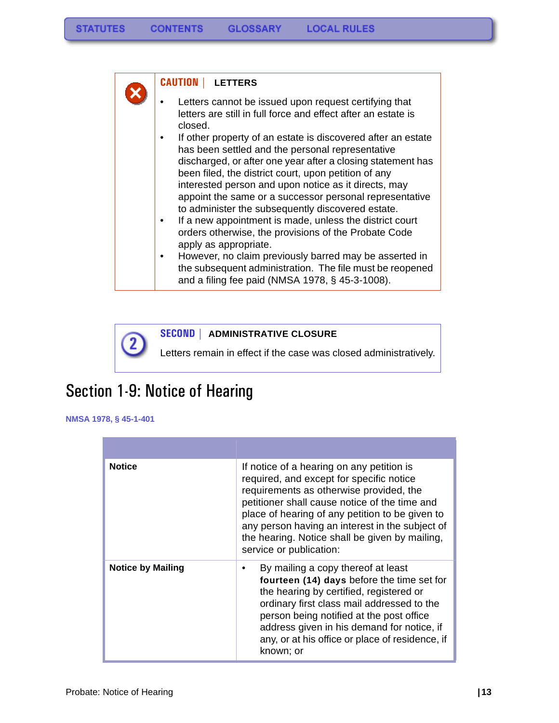### **CAUTION | LETTERS**

- Letters cannot be issued upon request certifying that letters are still in full force and effect after an estate is closed.
- If other property of an estate is discovered after an estate has been settled and the personal representative discharged, or after one year after a closing statement has been filed, the district court, upon petition of any interested person and upon notice as it directs, may appoint the same or a successor personal representative to administer the subsequently discovered estate.
- If a new appointment is made, unless the district court orders otherwise, the provisions of the Probate Code apply as appropriate.
- However, no claim previously barred may be asserted in the subsequent administration. The file must be reopened and a filing fee paid (NMSA 1978, § 45-3-1008).

**SECOND | ADMINISTRATIVE CLOSURE**

Letters remain in effect if the case was closed administratively.

## <span id="page-14-0"></span>Section 1-9: Notice of Hearing

**NMSA 1978, § 45-1-401**

| <b>Notice</b>            | If notice of a hearing on any petition is<br>required, and except for specific notice<br>requirements as otherwise provided, the<br>petitioner shall cause notice of the time and<br>place of hearing of any petition to be given to<br>any person having an interest in the subject of<br>the hearing. Notice shall be given by mailing,<br>service or publication: |
|--------------------------|----------------------------------------------------------------------------------------------------------------------------------------------------------------------------------------------------------------------------------------------------------------------------------------------------------------------------------------------------------------------|
| <b>Notice by Mailing</b> | By mailing a copy thereof at least<br>fourteen (14) days before the time set for<br>the hearing by certified, registered or<br>ordinary first class mail addressed to the<br>person being notified at the post office<br>address given in his demand for notice, if<br>any, or at his office or place of residence, if<br>known; or                                  |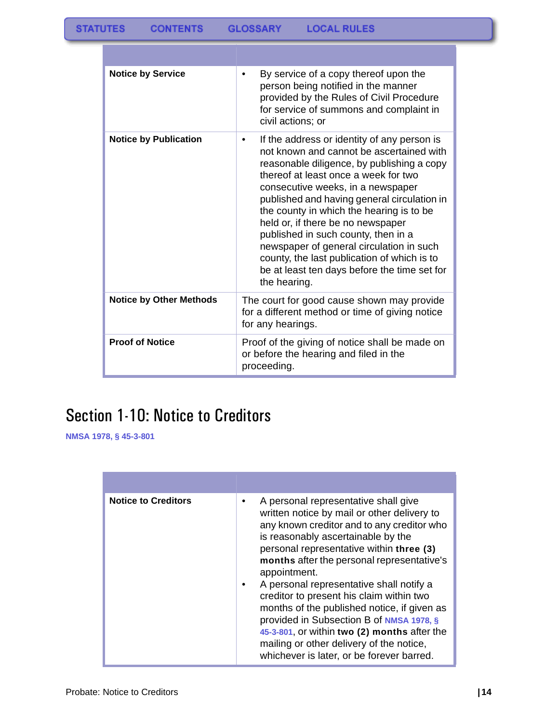| <b>Notice by Service</b>       | By service of a copy thereof upon the<br>person being notified in the manner<br>provided by the Rules of Civil Procedure<br>for service of summons and complaint in<br>civil actions; or                                                                                                                                                                                                                                                                                                                                                             |
|--------------------------------|------------------------------------------------------------------------------------------------------------------------------------------------------------------------------------------------------------------------------------------------------------------------------------------------------------------------------------------------------------------------------------------------------------------------------------------------------------------------------------------------------------------------------------------------------|
| <b>Notice by Publication</b>   | If the address or identity of any person is<br>not known and cannot be ascertained with<br>reasonable diligence, by publishing a copy<br>thereof at least once a week for two<br>consecutive weeks, in a newspaper<br>published and having general circulation in<br>the county in which the hearing is to be<br>held or, if there be no newspaper<br>published in such county, then in a<br>newspaper of general circulation in such<br>county, the last publication of which is to<br>be at least ten days before the time set for<br>the hearing. |
| <b>Notice by Other Methods</b> | The court for good cause shown may provide<br>for a different method or time of giving notice<br>for any hearings.                                                                                                                                                                                                                                                                                                                                                                                                                                   |
| <b>Proof of Notice</b>         | Proof of the giving of notice shall be made on<br>or before the hearing and filed in the<br>proceeding.                                                                                                                                                                                                                                                                                                                                                                                                                                              |

# <span id="page-15-0"></span>Section 1-10: Notice to Creditors

**NMSA 1978, § 45-3-801**

| <b>Notice to Creditors</b> | A personal representative shall give<br>written notice by mail or other delivery to<br>any known creditor and to any creditor who<br>is reasonably ascertainable by the<br>personal representative within three (3)<br>months after the personal representative's<br>appointment.<br>A personal representative shall notify a<br>creditor to present his claim within two<br>months of the published notice, if given as<br>provided in Subsection B of NMSA 1978, §<br>45-3-801, or within two (2) months after the<br>mailing or other delivery of the notice,<br>whichever is later, or be forever barred. |
|----------------------------|---------------------------------------------------------------------------------------------------------------------------------------------------------------------------------------------------------------------------------------------------------------------------------------------------------------------------------------------------------------------------------------------------------------------------------------------------------------------------------------------------------------------------------------------------------------------------------------------------------------|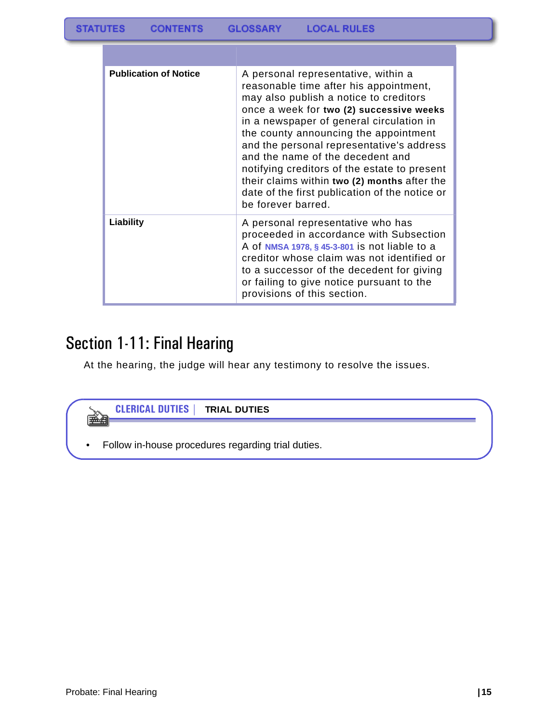| <b>Publication of Notice</b> | A personal representative, within a<br>reasonable time after his appointment,<br>may also publish a notice to creditors<br>once a week for two (2) successive weeks<br>in a newspaper of general circulation in<br>the county announcing the appointment<br>and the personal representative's address<br>and the name of the decedent and<br>notifying creditors of the estate to present<br>their claims within two (2) months after the<br>date of the first publication of the notice or<br>be forever barred. |
|------------------------------|-------------------------------------------------------------------------------------------------------------------------------------------------------------------------------------------------------------------------------------------------------------------------------------------------------------------------------------------------------------------------------------------------------------------------------------------------------------------------------------------------------------------|
| Liability                    | A personal representative who has<br>proceeded in accordance with Subsection<br>A of NMSA 1978, § 45-3-801 is not liable to a<br>creditor whose claim was not identified or<br>to a successor of the decedent for giving<br>or failing to give notice pursuant to the<br>provisions of this section.                                                                                                                                                                                                              |

# <span id="page-16-0"></span>Section 1-11: Final Hearing

At the hearing, the judge will hear any testimony to resolve the issues.

| <b>CLERICAL DUTIES   TRIAL DUTIES</b>              |  |
|----------------------------------------------------|--|
|                                                    |  |
| Follow in-house procedures regarding trial duties. |  |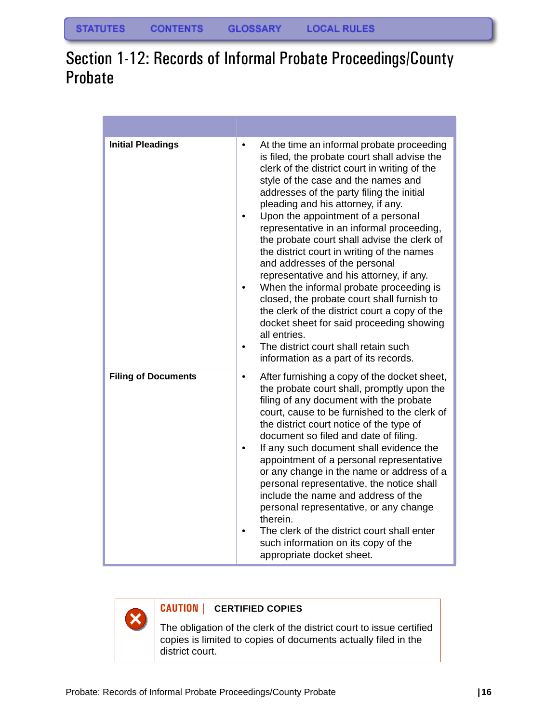# <span id="page-17-0"></span>Section 1-12: Records of Informal Probate Proceedings/County Probate

| <b>Initial Pleadings</b>   | At the time an informal probate proceeding<br>$\bullet$<br>is filed, the probate court shall advise the<br>clerk of the district court in writing of the<br>style of the case and the names and<br>addresses of the party filing the initial<br>pleading and his attorney, if any.<br>Upon the appointment of a personal<br>representative in an informal proceeding,<br>the probate court shall advise the clerk of<br>the district court in writing of the names<br>and addresses of the personal<br>representative and his attorney, if any.<br>When the informal probate proceeding is<br>closed, the probate court shall furnish to<br>the clerk of the district court a copy of the<br>docket sheet for said proceeding showing<br>all entries.<br>The district court shall retain such<br>$\bullet$<br>information as a part of its records. |
|----------------------------|-----------------------------------------------------------------------------------------------------------------------------------------------------------------------------------------------------------------------------------------------------------------------------------------------------------------------------------------------------------------------------------------------------------------------------------------------------------------------------------------------------------------------------------------------------------------------------------------------------------------------------------------------------------------------------------------------------------------------------------------------------------------------------------------------------------------------------------------------------|
| <b>Filing of Documents</b> | After furnishing a copy of the docket sheet,<br>$\bullet$<br>the probate court shall, promptly upon the<br>filing of any document with the probate<br>court, cause to be furnished to the clerk of<br>the district court notice of the type of<br>document so filed and date of filing.<br>If any such document shall evidence the<br>appointment of a personal representative<br>or any change in the name or address of a<br>personal representative, the notice shall<br>include the name and address of the<br>personal representative, or any change<br>therein.<br>The clerk of the district court shall enter<br>such information on its copy of the<br>appropriate docket sheet.                                                                                                                                                            |

×

## **CAUTION | CERTIFIED COPIES**

The obligation of the clerk of the district court to issue certified copies is limited to copies of documents actually filed in the district court.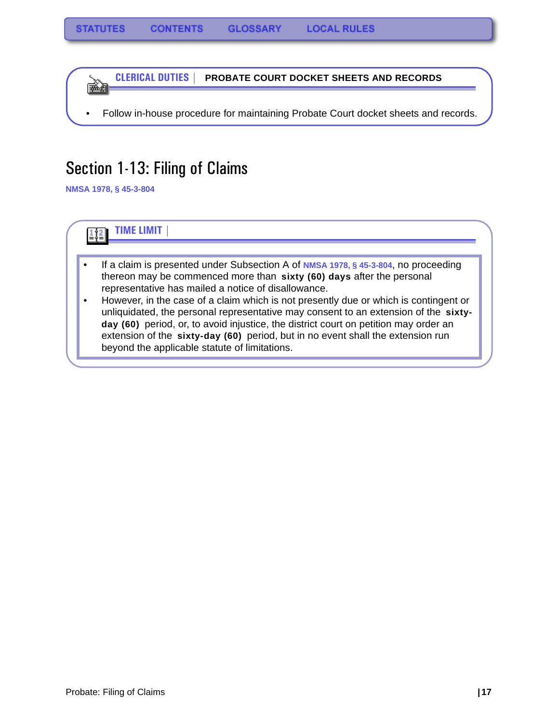**CLERICAL DUTIES | PROBATE COURT DOCKET SHEETS AND RECORDS** 医鱼

• Follow in-house procedure for maintaining Probate Court docket sheets and records.

## <span id="page-18-0"></span>Section 1-13: Filing of Claims

**NMSA 1978, § 45-3-804**

**TIME LIMIT |**   $\frac{1}{2}$   $\frac{2}{2}$ 

- If a claim is presented under Subsection A of **NMSA 1978, § 45-3-804**, no proceeding thereon may be commenced more than **sixty (60) days** after the personal representative has mailed a notice of disallowance.
- However, in the case of a claim which is not presently due or which is contingent or unliquidated, the personal representative may consent to an extension of the **sixtyday (60)** period, or, to avoid injustice, the district court on petition may order an extension of the **sixty-day (60)** period, but in no event shall the extension run beyond the applicable statute of limitations.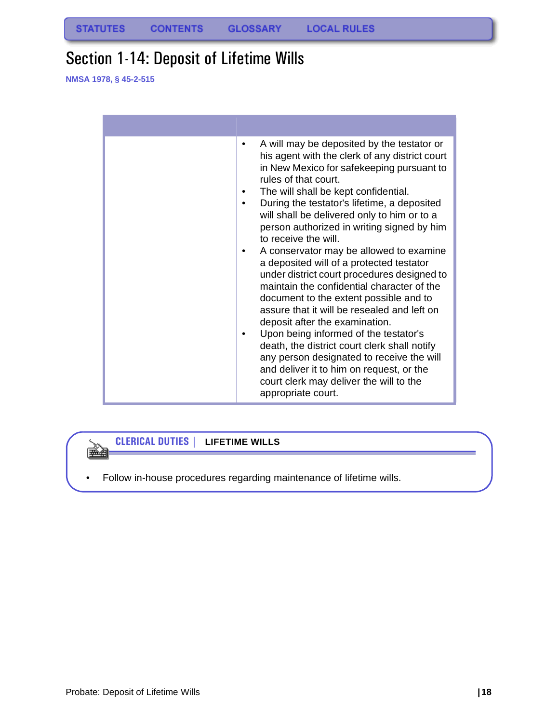## <span id="page-19-0"></span>Section 1-14: Deposit of Lifetime Wills

**NMSA 1978, § 45-2-515**

| A will may be deposited by the testator or<br>his agent with the clerk of any district court<br>in New Mexico for safekeeping pursuant to<br>rules of that court.<br>The will shall be kept confidential.<br>During the testator's lifetime, a deposited<br>will shall be delivered only to him or to a<br>person authorized in writing signed by him<br>to receive the will.<br>A conservator may be allowed to examine<br>a deposited will of a protected testator<br>under district court procedures designed to<br>maintain the confidential character of the<br>document to the extent possible and to<br>assure that it will be resealed and left on<br>deposit after the examination.<br>Upon being informed of the testator's<br>death, the district court clerk shall notify<br>any person designated to receive the will<br>and deliver it to him on request, or the<br>court clerk may deliver the will to the<br>appropriate court. |
|-------------------------------------------------------------------------------------------------------------------------------------------------------------------------------------------------------------------------------------------------------------------------------------------------------------------------------------------------------------------------------------------------------------------------------------------------------------------------------------------------------------------------------------------------------------------------------------------------------------------------------------------------------------------------------------------------------------------------------------------------------------------------------------------------------------------------------------------------------------------------------------------------------------------------------------------------|

## **CLERICAL DUTIES | LIFETIME WILLS**

• Follow in-house procedures regarding maintenance of lifetime wills.

ê (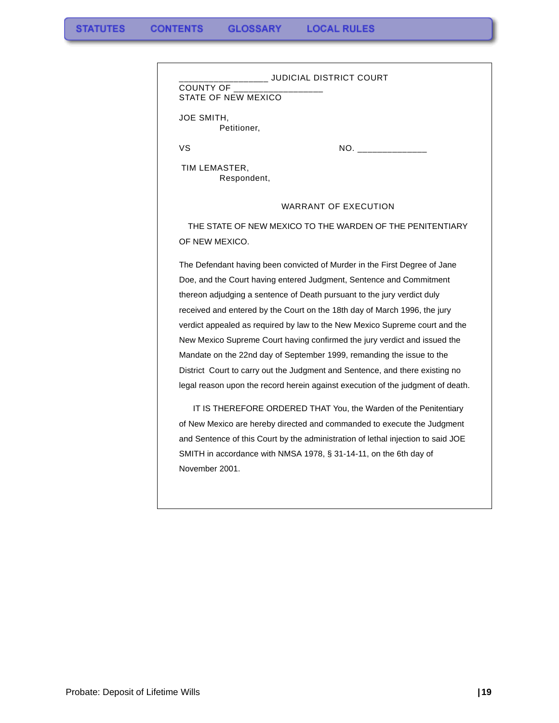| COUNTY OF<br>STATE OF NEW MEXICO |                                                                                  |
|----------------------------------|----------------------------------------------------------------------------------|
| JOE SMITH,<br>Petitioner,        |                                                                                  |
| VS                               |                                                                                  |
| TIM LEMASTER,<br>Respondent,     |                                                                                  |
|                                  | <b>WARRANT OF EXECUTION</b>                                                      |
|                                  | THE STATE OF NEW MEXICO TO THE WARDEN OF THE PENITENTIARY                        |
| OF NEW MEXICO.                   |                                                                                  |
|                                  | The Defendant having been convicted of Murder in the First Degree of Jane        |
|                                  | Doe, and the Court having entered Judgment, Sentence and Commitment              |
|                                  | thereon adjudging a sentence of Death pursuant to the jury verdict duly          |
|                                  | received and entered by the Court on the 18th day of March 1996, the jury        |
|                                  | verdict appealed as required by law to the New Mexico Supreme court and the      |
|                                  | New Mexico Supreme Court having confirmed the jury verdict and issued the        |
|                                  | Mandate on the 22nd day of September 1999, remanding the issue to the            |
|                                  | District Court to carry out the Judgment and Sentence, and there existing no     |
|                                  | legal reason upon the record herein against execution of the judgment of death.  |
|                                  | IT IS THEREFORE ORDERED THAT You, the Warden of the Penitentiary                 |
|                                  | of New Mexico are hereby directed and commanded to execute the Judgment          |
|                                  | and Sentence of this Court by the administration of lethal injection to said JOE |
|                                  | SMITH in accordance with NMSA 1978, § 31-14-11, on the 6th day of                |
| November 2001.                   |                                                                                  |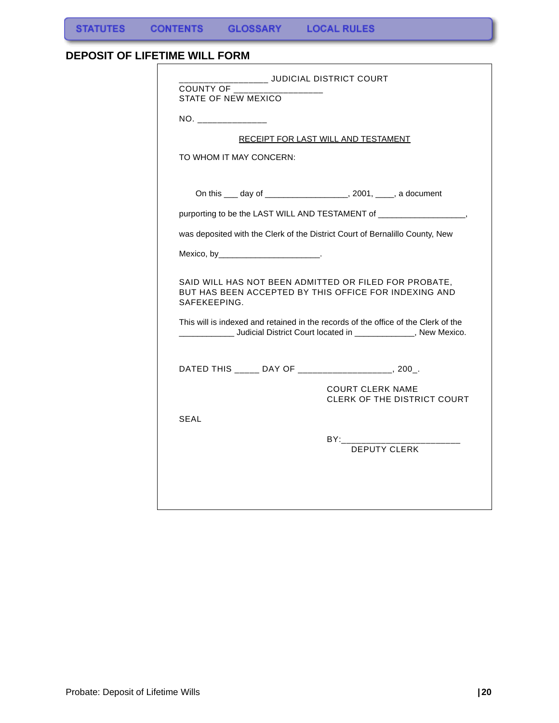## <span id="page-21-0"></span>**DEPOSIT OF LIFETIME WILL FORM**

| NO. ________________                               |                                                                                                                                                                      |
|----------------------------------------------------|----------------------------------------------------------------------------------------------------------------------------------------------------------------------|
|                                                    | RECEIPT FOR LAST WILL AND TESTAMENT                                                                                                                                  |
| TO WHOM IT MAY CONCERN:                            |                                                                                                                                                                      |
|                                                    | On this ____ day of _____________________, 2001, _____, a document                                                                                                   |
|                                                    | purporting to be the LAST WILL AND TESTAMENT of ________________________________                                                                                     |
|                                                    | was deposited with the Clerk of the District Court of Bernalillo County, New                                                                                         |
| Mexico, by____________________________.            |                                                                                                                                                                      |
| SAFEKEEPING.                                       | SAID WILL HAS NOT BEEN ADMITTED OR FILED FOR PROBATE,<br>BUT HAS BEEN ACCEPTED BY THIS OFFICE FOR INDEXING AND                                                       |
|                                                    | This will is indexed and retained in the records of the office of the Clerk of the<br>_______________ Judicial District Court located in ______________, New Mexico. |
| DATED THIS _____ DAY OF ___________________, 200_. |                                                                                                                                                                      |
|                                                    | <b>COURT CLERK NAME</b><br>CLERK OF THE DISTRICT COURT                                                                                                               |
| <b>SEAL</b>                                        |                                                                                                                                                                      |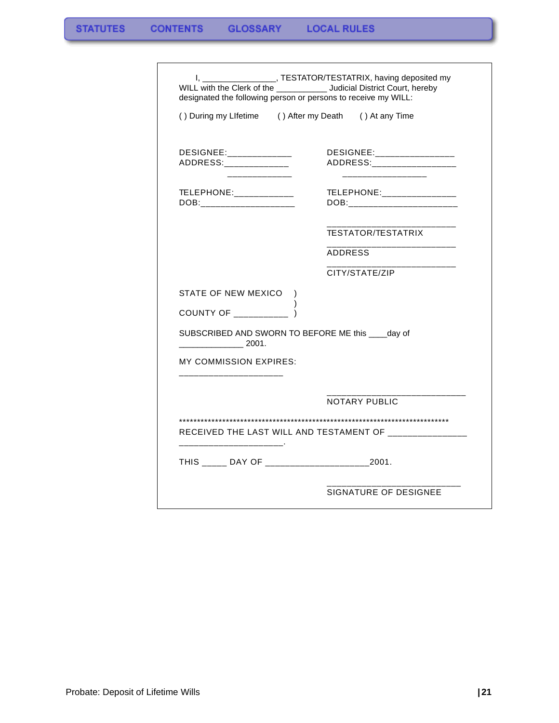| () During my Lifetime () After my Death () At any Time<br>DESIGNEE:__________________<br>ADDRESS:_________________<br>TELEPHONE:________________<br>DOB:________________________<br><b>TESTATOR/TESTATRIX</b><br><b>ADDRESS</b><br>CITY/STATE/ZIP |
|---------------------------------------------------------------------------------------------------------------------------------------------------------------------------------------------------------------------------------------------------|
|                                                                                                                                                                                                                                                   |
|                                                                                                                                                                                                                                                   |
|                                                                                                                                                                                                                                                   |
|                                                                                                                                                                                                                                                   |
|                                                                                                                                                                                                                                                   |
|                                                                                                                                                                                                                                                   |
|                                                                                                                                                                                                                                                   |
|                                                                                                                                                                                                                                                   |
|                                                                                                                                                                                                                                                   |
|                                                                                                                                                                                                                                                   |
| SUBSCRIBED AND SWORN TO BEFORE ME this ____ day of                                                                                                                                                                                                |
|                                                                                                                                                                                                                                                   |
|                                                                                                                                                                                                                                                   |
| <b>NOTARY PUBLIC</b>                                                                                                                                                                                                                              |
|                                                                                                                                                                                                                                                   |
|                                                                                                                                                                                                                                                   |
|                                                                                                                                                                                                                                                   |
|                                                                                                                                                                                                                                                   |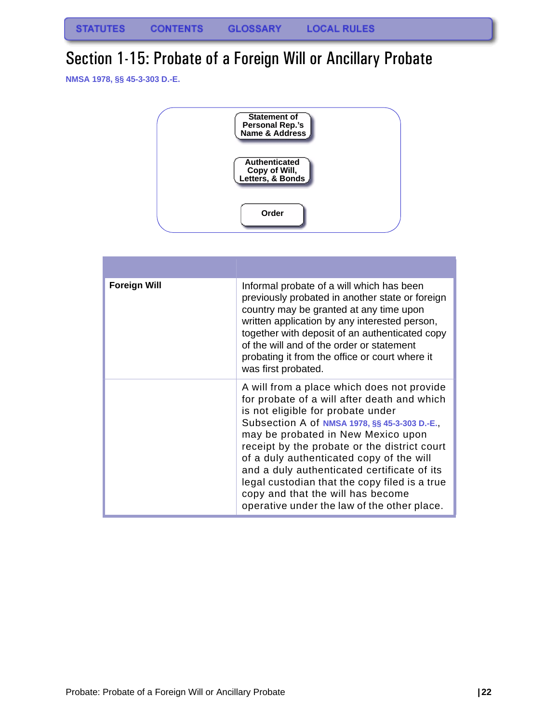## <span id="page-23-0"></span>Section 1-15: Probate of a Foreign Will or Ancillary Probate

**NMSA 1978, §§ 45-3-303 D.-E.**



| <b>Foreign Will</b> | Informal probate of a will which has been<br>previously probated in another state or foreign<br>country may be granted at any time upon<br>written application by any interested person,<br>together with deposit of an authenticated copy<br>of the will and of the order or statement<br>probating it from the office or court where it<br>was first probated.                                                                                                                                      |
|---------------------|-------------------------------------------------------------------------------------------------------------------------------------------------------------------------------------------------------------------------------------------------------------------------------------------------------------------------------------------------------------------------------------------------------------------------------------------------------------------------------------------------------|
|                     | A will from a place which does not provide<br>for probate of a will after death and which<br>is not eligible for probate under<br>Subsection A of NMSA 1978, §§ 45-3-303 D.-E.,<br>may be probated in New Mexico upon<br>receipt by the probate or the district court<br>of a duly authenticated copy of the will<br>and a duly authenticated certificate of its<br>legal custodian that the copy filed is a true<br>copy and that the will has become<br>operative under the law of the other place. |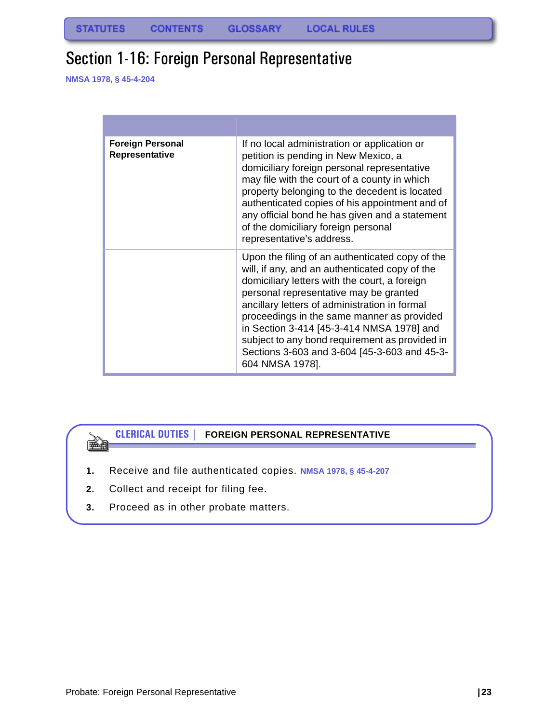## <span id="page-24-0"></span>Section 1-16: Foreign Personal Representative

**NMSA 1978, § 45-4-204**

ê ye.<br>Gerhan

| <b>Foreign Personal</b><br>Representative | If no local administration or application or<br>petition is pending in New Mexico, a<br>domiciliary foreign personal representative<br>may file with the court of a county in which<br>property belonging to the decedent is located<br>authenticated copies of his appointment and of<br>any official bond he has given and a statement<br>of the domiciliary foreign personal<br>representative's address.                                                  |
|-------------------------------------------|---------------------------------------------------------------------------------------------------------------------------------------------------------------------------------------------------------------------------------------------------------------------------------------------------------------------------------------------------------------------------------------------------------------------------------------------------------------|
|                                           | Upon the filing of an authenticated copy of the<br>will, if any, and an authenticated copy of the<br>domiciliary letters with the court, a foreign<br>personal representative may be granted<br>ancillary letters of administration in formal<br>proceedings in the same manner as provided<br>in Section 3-414 [45-3-414 NMSA 1978] and<br>subject to any bond requirement as provided in<br>Sections 3-603 and 3-604 [45-3-603 and 45-3-<br>604 NMSA 1978]. |

## **CLERICAL DUTIES | FOREIGN PERSONAL REPRESENTATIVE**

- **1.** Receive and file authenticated copies. **NMSA 1978, § 45-4-207**
- **2.** Collect and receipt for filing fee.
- **3.** Proceed as in other probate matters.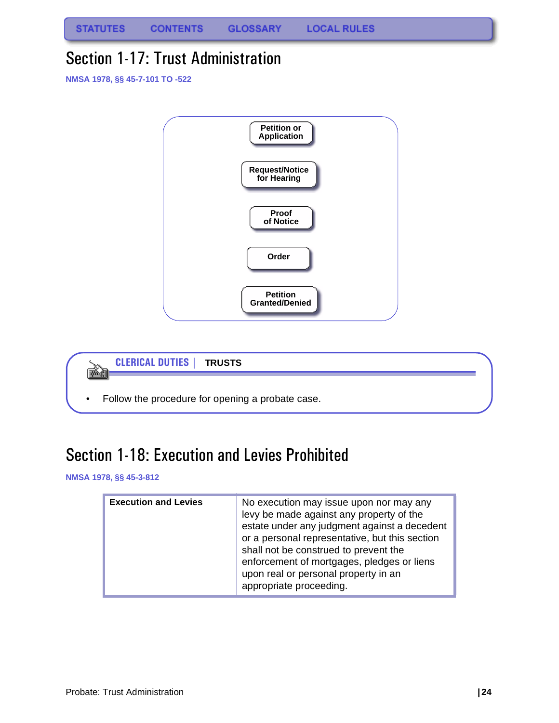**STATUTES CONTENTS GLOSSARY LOCAL RULES** 

## <span id="page-25-0"></span>Section 1-17: Trust Administration

**NMSA 1978, §§ 45-7-101 TO -522**





## <span id="page-25-1"></span>Section 1-18: Execution and Levies Prohibited

**NMSA 1978, §§ 45-3-812**

| <b>Execution and Levies</b> | No execution may issue upon nor may any<br>levy be made against any property of the<br>estate under any judgment against a decedent<br>or a personal representative, but this section<br>shall not be construed to prevent the<br>enforcement of mortgages, pledges or liens<br>upon real or personal property in an<br>appropriate proceeding. |
|-----------------------------|-------------------------------------------------------------------------------------------------------------------------------------------------------------------------------------------------------------------------------------------------------------------------------------------------------------------------------------------------|
|-----------------------------|-------------------------------------------------------------------------------------------------------------------------------------------------------------------------------------------------------------------------------------------------------------------------------------------------------------------------------------------------|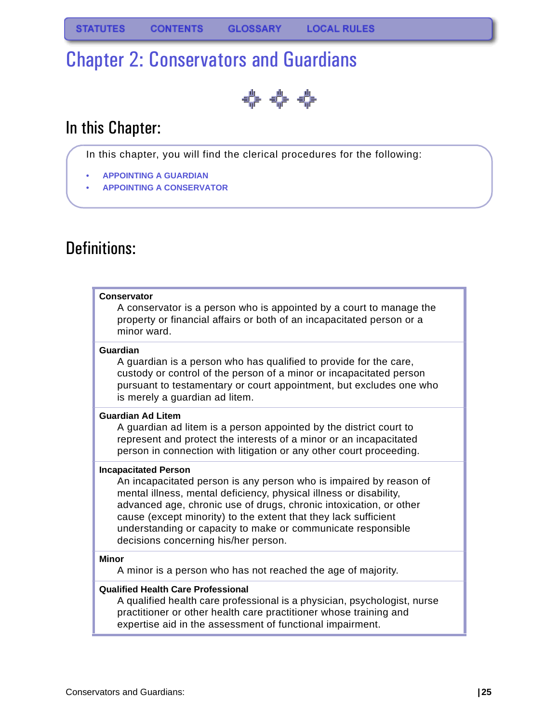# <span id="page-26-0"></span>Chapter 2: Conservators and Guardians

⇔ ⇔ ⇔

## In this Chapter:

In this chapter, you will find the clerical procedures for the following:

- **[APPOINTING A GUARDIAN](#page-30-0)**
- **• [APPOINTING A CONSERVATOR](#page-32-0)**

## Definitions:

### **Conservator**

A conservator is a person who is appointed by a court to manage the property or financial affairs or both of an incapacitated person or a minor ward.

### **Guardian**

A guardian is a person who has qualified to provide for the care, custody or control of the person of a minor or incapacitated person pursuant to testamentary or court appointment, but excludes one who is merely a guardian ad litem.

### **Guardian Ad Litem**

A guardian ad litem is a person appointed by the district court to represent and protect the interests of a minor or an incapacitated person in connection with litigation or any other court proceeding.

### **Incapacitated Person**

An incapacitated person is any person who is impaired by reason of mental illness, mental deficiency, physical illness or disability, advanced age, chronic use of drugs, chronic intoxication, or other cause (except minority) to the extent that they lack sufficient understanding or capacity to make or communicate responsible decisions concerning his/her person.

### **Minor**

A minor is a person who has not reached the age of majority.

### **Qualified Health Care Professional**

A qualified health care professional is a physician, psychologist, nurse practitioner or other health care practitioner whose training and expertise aid in the assessment of functional impairment.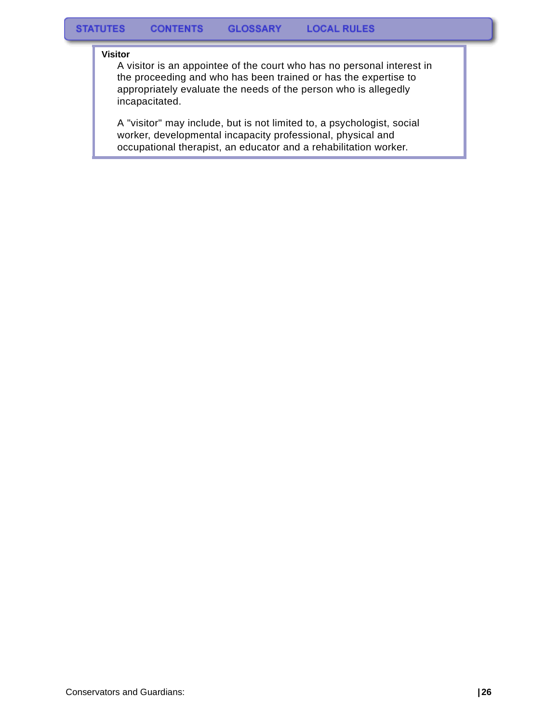#### **Visitor**

A visitor is an appointee of the court who has no personal interest in the proceeding and who has been trained or has the expertise to appropriately evaluate the needs of the person who is allegedly incapacitated.

A "visitor" may include, but is not limited to, a psychologist, social worker, developmental incapacity professional, physical and occupational therapist, an educator and a rehabilitation worker.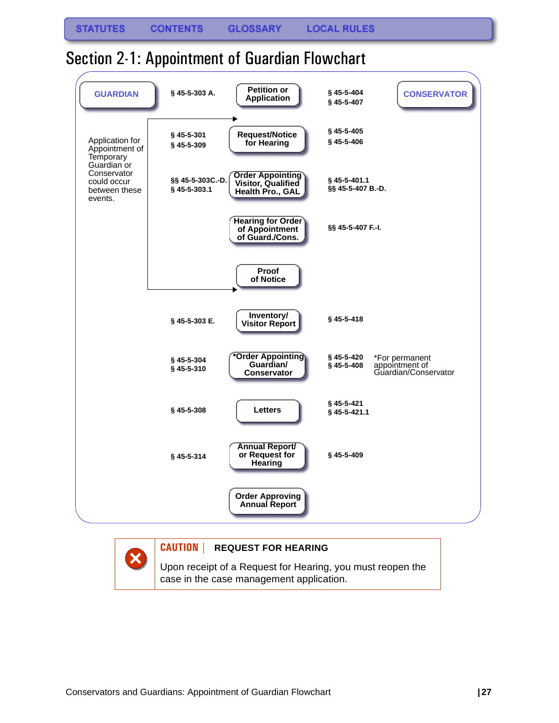## <span id="page-28-0"></span>Section 2-1: Appointment of Guardian Flowchart



### **CAUTION | REQUEST FOR HEARING**

Upon receipt of a Request for Hearing, you must reopen the case in the case management application.

×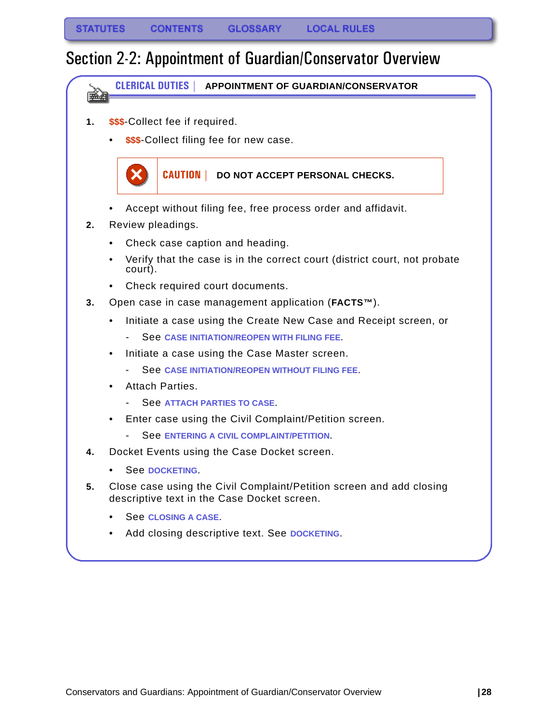## <span id="page-29-0"></span>Section 2-2: Appointment of Guardian/Conservator Overview

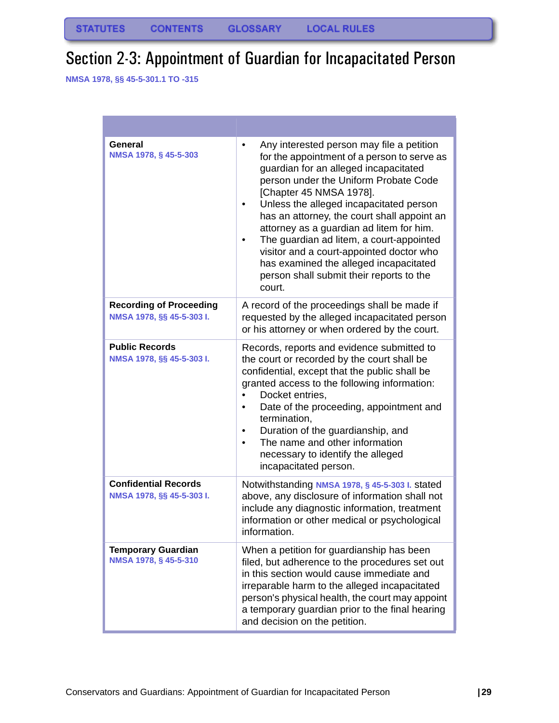# <span id="page-30-0"></span>Section 2-3: Appointment of Guardian for Incapacitated Person

**NMSA 1978, §§ 45-5-301.1 TO -315**

| General<br>NMSA 1978, § 45-5-303                            | Any interested person may file a petition<br>٠<br>for the appointment of a person to serve as<br>guardian for an alleged incapacitated<br>person under the Uniform Probate Code<br>[Chapter 45 NMSA 1978].<br>Unless the alleged incapacitated person<br>٠<br>has an attorney, the court shall appoint an<br>attorney as a guardian ad litem for him.<br>The guardian ad litem, a court-appointed<br>٠<br>visitor and a court-appointed doctor who<br>has examined the alleged incapacitated<br>person shall submit their reports to the<br>court. |
|-------------------------------------------------------------|----------------------------------------------------------------------------------------------------------------------------------------------------------------------------------------------------------------------------------------------------------------------------------------------------------------------------------------------------------------------------------------------------------------------------------------------------------------------------------------------------------------------------------------------------|
| <b>Recording of Proceeding</b><br>NMSA 1978, §§ 45-5-303 I. | A record of the proceedings shall be made if<br>requested by the alleged incapacitated person<br>or his attorney or when ordered by the court.                                                                                                                                                                                                                                                                                                                                                                                                     |
| <b>Public Records</b><br>NMSA 1978, §§ 45-5-303 I.          | Records, reports and evidence submitted to<br>the court or recorded by the court shall be<br>confidential, except that the public shall be<br>granted access to the following information:<br>Docket entries,<br>Date of the proceeding, appointment and<br>٠<br>termination,<br>Duration of the guardianship, and<br>٠<br>The name and other information<br>$\bullet$<br>necessary to identify the alleged<br>incapacitated person.                                                                                                               |
| <b>Confidential Records</b><br>NMSA 1978, §§ 45-5-303 I.    | Notwithstanding NMSA 1978, § 45-5-303 I. stated<br>above, any disclosure of information shall not<br>include any diagnostic information, treatment<br>information or other medical or psychological<br>information.                                                                                                                                                                                                                                                                                                                                |
| <b>Temporary Guardian</b><br>NMSA 1978, § 45-5-310          | When a petition for guardianship has been<br>filed, but adherence to the procedures set out<br>in this section would cause immediate and<br>irreparable harm to the alleged incapacitated<br>person's physical health, the court may appoint<br>a temporary guardian prior to the final hearing<br>and decision on the petition.                                                                                                                                                                                                                   |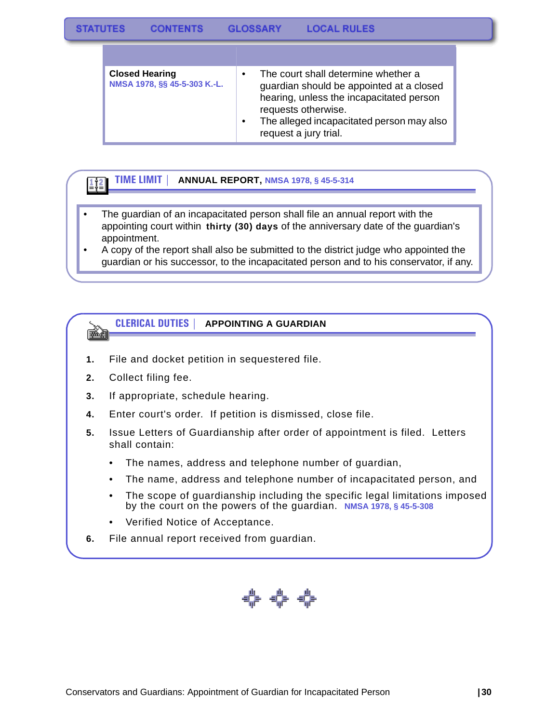| <b>Closed Hearing</b><br>NMSA 1978, §§ 45-5-303 K.-L. | The court shall determine whether a<br>guardian should be appointed at a closed<br>hearing, unless the incapacitated person<br>requests otherwise.<br>The alleged incapacitated person may also<br>request a jury trial. |
|-------------------------------------------------------|--------------------------------------------------------------------------------------------------------------------------------------------------------------------------------------------------------------------------|

#### **TIME LIMIT | ANNUAL REPORT, NMSA 1978, § 45-5-314**  $1/2$

- The guardian of an incapacitated person shall file an annual report with the appointing court within **thirty (30) days** of the anniversary date of the guardian's appointment.
- A copy of the report shall also be submitted to the district judge who appointed the guardian or his successor, to the incapacitated person and to his conservator, if any.

#### **CLERICAL DUTIES | APPOINTING A GUARDIAN** 医鱼

- **1.** File and docket petition in sequestered file.
- **2.** Collect filing fee.
- **3.** If appropriate, schedule hearing.
- **4.** Enter court's order. If petition is dismissed, close file.
- **5.** Issue Letters of Guardianship after order of appointment is filed. Letters shall contain:
	- The names, address and telephone number of guardian,
	- The name, address and telephone number of incapacitated person, and
	- The scope of guardianship including the specific legal limitations imposed by the court on the powers of the guardian. **NMSA 1978, § 45-5-308**
	- Verified Notice of Acceptance.
- **6.** File annual report received from guardian.

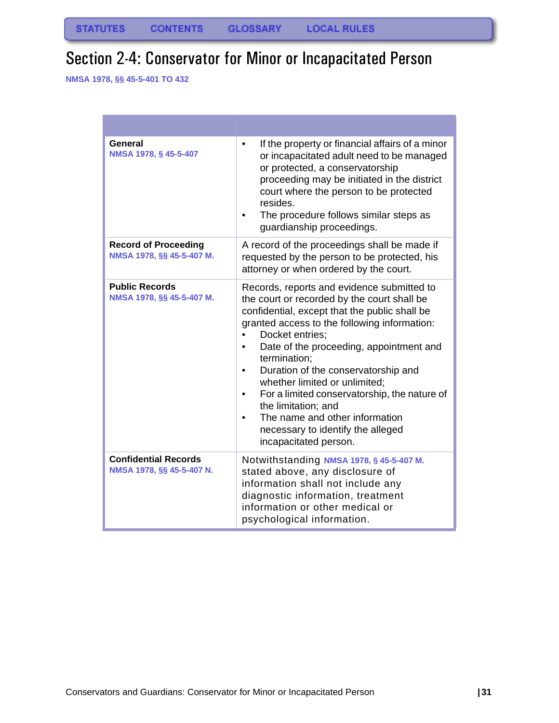# <span id="page-32-0"></span>Section 2-4: Conservator for Minor or Incapacitated Person

**NMSA 1978, §§ 45-5-401 TO 432**

| General<br>NMSA 1978, § 45-5-407                         | If the property or financial affairs of a minor<br>or incapacitated adult need to be managed<br>or protected, a conservatorship<br>proceeding may be initiated in the district<br>court where the person to be protected<br>resides.<br>The procedure follows similar steps as<br>guardianship proceedings.                                                                                                                                                                                                             |
|----------------------------------------------------------|-------------------------------------------------------------------------------------------------------------------------------------------------------------------------------------------------------------------------------------------------------------------------------------------------------------------------------------------------------------------------------------------------------------------------------------------------------------------------------------------------------------------------|
| <b>Record of Proceeding</b><br>NMSA 1978, §§ 45-5-407 M. | A record of the proceedings shall be made if<br>requested by the person to be protected, his<br>attorney or when ordered by the court.                                                                                                                                                                                                                                                                                                                                                                                  |
| <b>Public Records</b><br>NMSA 1978, §§ 45-5-407 M.       | Records, reports and evidence submitted to<br>the court or recorded by the court shall be<br>confidential, except that the public shall be<br>granted access to the following information:<br>Docket entries;<br>Date of the proceeding, appointment and<br>termination;<br>Duration of the conservatorship and<br>whether limited or unlimited;<br>For a limited conservatorship, the nature of<br>the limitation; and<br>The name and other information<br>necessary to identify the alleged<br>incapacitated person. |
| <b>Confidential Records</b><br>NMSA 1978, §§ 45-5-407 N. | Notwithstanding NMSA 1978, § 45-5-407 M.<br>stated above, any disclosure of<br>information shall not include any<br>diagnostic information, treatment<br>information or other medical or<br>psychological information.                                                                                                                                                                                                                                                                                                  |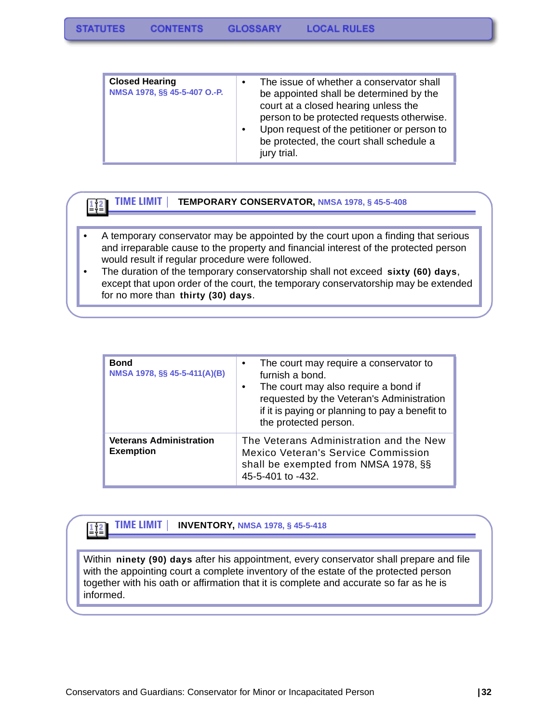| <b>Closed Hearing</b><br>NMSA 1978, §§ 45-5-407 O.-P. | $\bullet$<br>$\bullet$ | The issue of whether a conservator shall<br>be appointed shall be determined by the<br>court at a closed hearing unless the<br>person to be protected requests otherwise.<br>Upon request of the petitioner or person to<br>be protected, the court shall schedule a<br>jury trial. |
|-------------------------------------------------------|------------------------|-------------------------------------------------------------------------------------------------------------------------------------------------------------------------------------------------------------------------------------------------------------------------------------|
|-------------------------------------------------------|------------------------|-------------------------------------------------------------------------------------------------------------------------------------------------------------------------------------------------------------------------------------------------------------------------------------|

**TIME LIMIT | TEMPORARY CONSERVATOR, NMSA 1978, § 45-5-408**

 $\left| \frac{1}{2} \right|$ 

- A temporary conservator may be appointed by the court upon a finding that serious and irreparable cause to the property and financial interest of the protected person would result if regular procedure were followed.
- The duration of the temporary conservatorship shall not exceed **sixty (60) days**, except that upon order of the court, the temporary conservatorship may be extended for no more than **thirty (30) days**.

| <b>Bond</b><br>NMSA 1978, §§ 45-5-411(A)(B)        | The court may require a conservator to<br>$\bullet$<br>furnish a bond.<br>The court may also require a bond if<br>requested by the Veteran's Administration<br>if it is paying or planning to pay a benefit to<br>the protected person. |
|----------------------------------------------------|-----------------------------------------------------------------------------------------------------------------------------------------------------------------------------------------------------------------------------------------|
| <b>Veterans Administration</b><br><b>Exemption</b> | The Veterans Administration and the New<br>Mexico Veteran's Service Commission<br>shall be exempted from NMSA 1978, §§<br>45-5-401 to -432.                                                                                             |

#### **TIME LIMIT | INVENTORY, NMSA 1978, § 45-5-418**  $1/2$

Within **ninety (90) days** after his appointment, every conservator shall prepare and file with the appointing court a complete inventory of the estate of the protected person together with his oath or affirmation that it is complete and accurate so far as he is informed.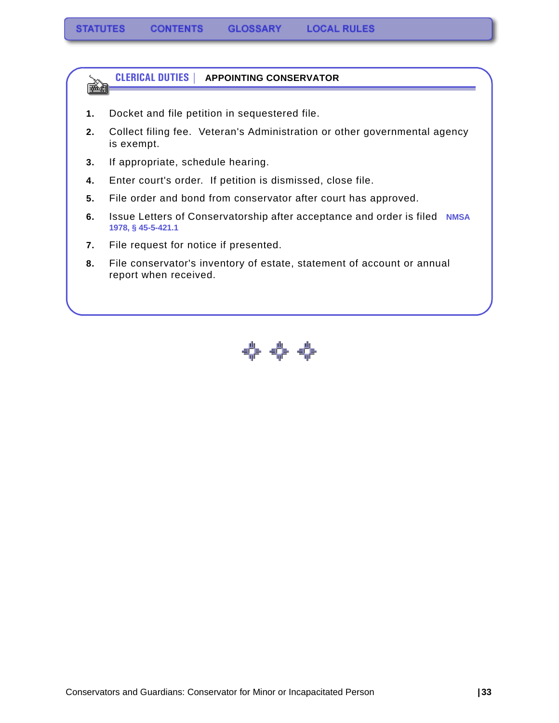

- **1.** Docket and file petition in sequestered file.
- **2.** Collect filing fee. Veteran's Administration or other governmental agency is exempt.
- **3.** If appropriate, schedule hearing.
- **4.** Enter court's order. If petition is dismissed, close file.
- **5.** File order and bond from conservator after court has approved.
- **6.** Issue Letters of Conservatorship after acceptance and order is filed **NMSA 1978, § 45-5-421.1**
- **7.** File request for notice if presented.
- **8.** File conservator's inventory of estate, statement of account or annual report when received.

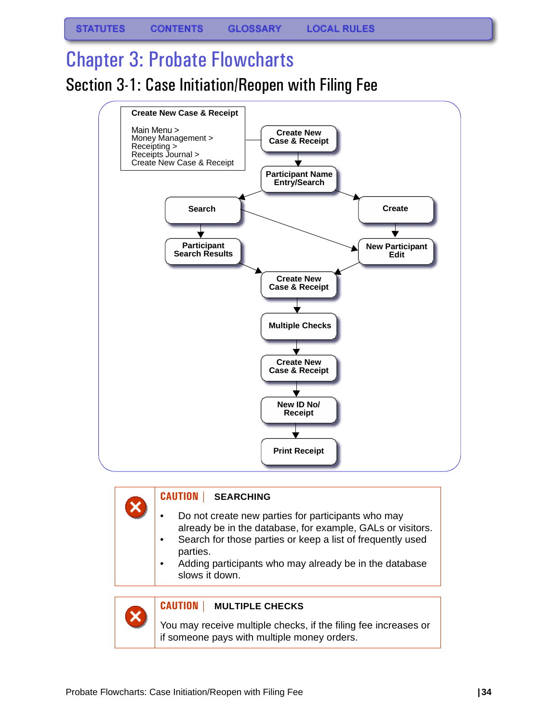# <span id="page-35-1"></span><span id="page-35-0"></span>Chapter 3: Probate Flowcharts Section 3-1: Case Initiation/Reopen with Filing Fee



## **CAUTION | SEARCHING**

- Do not create new parties for participants who may already be in the database, for example, GALs or visitors.
- Search for those parties or keep a list of frequently used parties.
- Adding participants who may already be in the database slows it down.



### **CAUTION | MULTIPLE CHECKS**

You may receive multiple checks, if the filing fee increases or if someone pays with multiple money orders.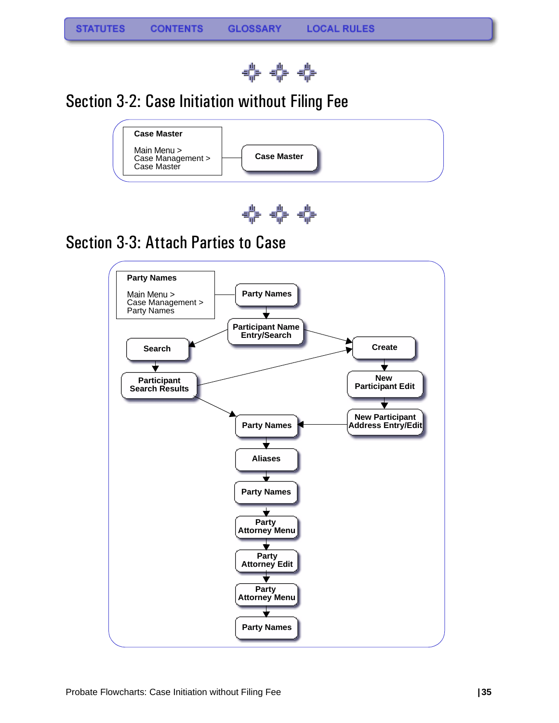

## Section 3-2: Case Initiation without Filing Fee





### Section 3-3: Attach Parties to Case

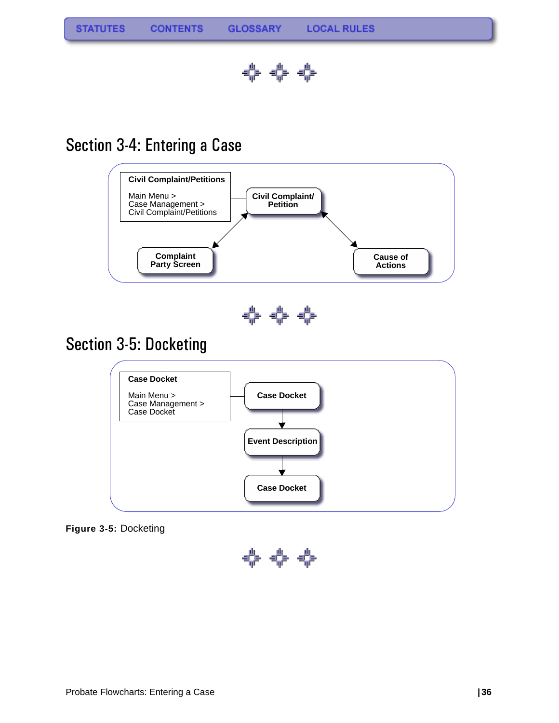

## Section 3-4: Entering a Case



**Figure 3-5:** Docketing

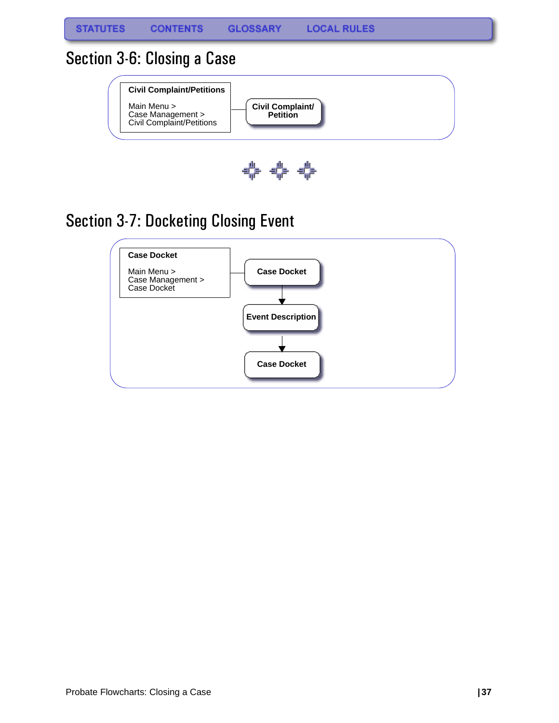## Section 3-6: Closing a Case





# Section 3-7: Docketing Closing Event

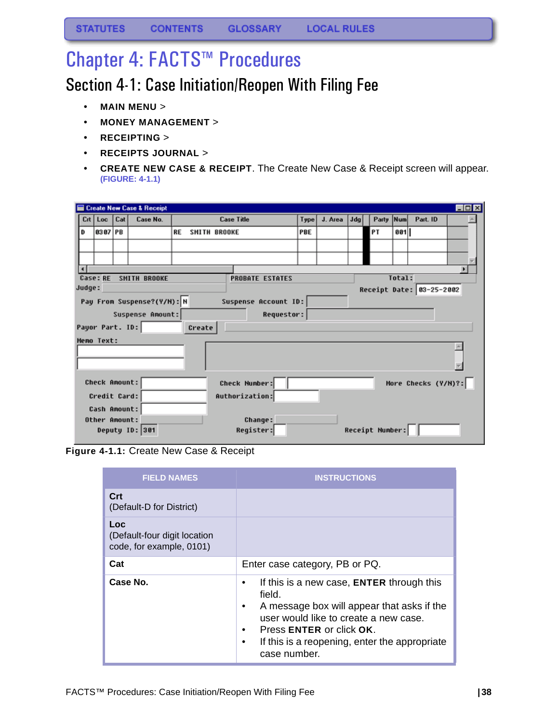# Chapter 4: FACTS™ Procedures

## Section 4-1: Case Initiation/Reopen With Filing Fee

- **MAIN MENU** >
- **MONEY MANAGEMENT** >
- **RECEIPTING** >
- **RECEIPTS JOURNAL** >
- **CREATE NEW CASE & RECEIPT**. The Create New Case & Receipt screen will appear. **(FIGURE: 4-1.1)**

|                            | $\blacksquare\square$<br>Create New Case & Receipt |  |                            |           |        |                      |                        |      |         |     |                        |        |                          |  |
|----------------------------|----------------------------------------------------|--|----------------------------|-----------|--------|----------------------|------------------------|------|---------|-----|------------------------|--------|--------------------------|--|
| Loc Cat<br>Case No.<br>Crt |                                                    |  |                            |           |        | <b>Case Title</b>    |                        | Type | J. Area | Jda | Party Num              |        | Part. ID                 |  |
| D                          | 8387 PB                                            |  |                            | <b>RE</b> |        | <b>SMITH BROOKE</b>  |                        | PBE  |         |     | PΤ                     | 881    |                          |  |
|                            |                                                    |  |                            |           |        |                      |                        |      |         |     |                        |        |                          |  |
|                            |                                                    |  |                            |           |        |                      |                        |      |         |     |                        |        |                          |  |
| $\blacksquare$             |                                                    |  |                            |           |        |                      |                        |      |         |     |                        |        |                          |  |
|                            | Case: RE                                           |  | <b>SMITH BROOKE</b>        |           |        |                      | <b>PROBATE ESTATES</b> |      |         |     |                        | Total: |                          |  |
| Judge:                     |                                                    |  |                            |           |        |                      |                        |      |         |     |                        |        | Receipt Date: 03-25-2002 |  |
|                            |                                                    |  | Pay From Suspense?(Y/N): N |           |        |                      | Suspense Account ID:   |      |         |     |                        |        |                          |  |
|                            |                                                    |  | Suspense Amount:           |           |        |                      | Requestor:             |      |         |     |                        |        |                          |  |
|                            | Payor Part. ID:                                    |  |                            |           | Create |                      |                        |      |         |     |                        |        |                          |  |
|                            | <b>Heno Text:</b>                                  |  |                            |           |        |                      |                        |      |         |     |                        |        |                          |  |
|                            |                                                    |  |                            |           |        |                      |                        |      |         |     |                        |        |                          |  |
|                            |                                                    |  |                            |           |        |                      |                        |      |         |     |                        |        |                          |  |
|                            |                                                    |  |                            |           |        |                      |                        |      |         |     |                        |        |                          |  |
|                            | Check Anount:                                      |  |                            |           |        | <b>Check Number:</b> |                        |      |         |     |                        |        | More Checks (Y/M)?:      |  |
|                            | Credit Card:                                       |  |                            |           |        | Authorization:       |                        |      |         |     |                        |        |                          |  |
|                            | Cash Anount:                                       |  |                            |           |        |                      |                        |      |         |     |                        |        |                          |  |
|                            | Other Amount:                                      |  |                            |           |        |                      | <b>Change:</b>         |      |         |     |                        |        |                          |  |
|                            |                                                    |  | Deputy ID: 301             |           |        |                      | Register:              |      |         |     | <b>Receipt Number:</b> |        |                          |  |
|                            |                                                    |  |                            |           |        |                      |                        |      |         |     |                        |        |                          |  |



| <b>FIELD NAMES</b>                                                     | <b>INSTRUCTIONS</b>                                                                                                                                                                                                                            |
|------------------------------------------------------------------------|------------------------------------------------------------------------------------------------------------------------------------------------------------------------------------------------------------------------------------------------|
| Crt<br>(Default-D for District)                                        |                                                                                                                                                                                                                                                |
| <b>Loc</b><br>(Default-four digit location<br>code, for example, 0101) |                                                                                                                                                                                                                                                |
| Cat                                                                    | Enter case category, PB or PQ.                                                                                                                                                                                                                 |
| Case No.                                                               | If this is a new case, <b>ENTER</b> through this<br>field.<br>A message box will appear that asks if the<br>user would like to create a new case.<br>Press ENTER or click OK.<br>If this is a reopening, enter the appropriate<br>case number. |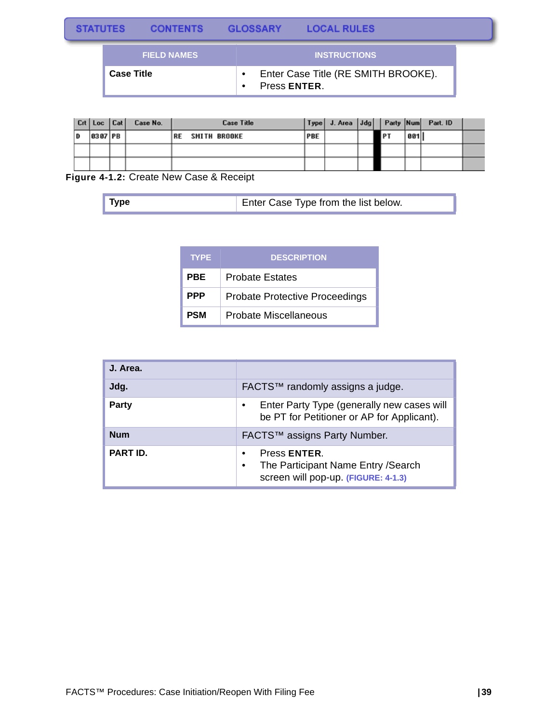| <b>STATUTES</b> | <b>CONTENTS</b>    | <b>GLOSSARY</b> | <b>LOCAL RULES</b>                  |  |
|-----------------|--------------------|-----------------|-------------------------------------|--|
|                 | <b>FIELD NAMES</b> |                 | <b>INSTRUCTIONS</b>                 |  |
|                 | <b>Case Title</b>  | Press ENTER.    | Enter Case Title (RE SMITH BROOKE). |  |

|    | Crt Loc Cat    | Case No. | <b>Case Title</b>          |     |  |            |     | Type J. Area Jdg Party Num Part. ID |  |
|----|----------------|----------|----------------------------|-----|--|------------|-----|-------------------------------------|--|
| ١D | <b>8387 PB</b> |          | <b>SMITH BROOKE</b><br> RE | PBE |  | <b>IPT</b> | 881 |                                     |  |
|    |                |          |                            |     |  |            |     |                                     |  |
|    |                |          |                            |     |  |            |     |                                     |  |

**Figure 4-1.2:** Create New Case & Receipt

| $\blacksquare$ Type | Enter Case Type from the list below. |
|---------------------|--------------------------------------|
|---------------------|--------------------------------------|

| <b>TYPE</b> | <b>DESCRIPTION</b>                    |
|-------------|---------------------------------------|
| PBE         | <b>Probate Estates</b>                |
| <b>PPP</b>  | <b>Probate Protective Proceedings</b> |
| <b>PSM</b>  | Probate Miscellaneous                 |

| J. Area.   |                                                                                                         |
|------------|---------------------------------------------------------------------------------------------------------|
| Jdg.       | FACTS™ randomly assigns a judge.                                                                        |
| Party      | Enter Party Type (generally new cases will<br>be PT for Petitioner or AP for Applicant).                |
| <b>Num</b> | FACTS™ assigns Party Number.                                                                            |
| PART ID.   | Press ENTER.<br>$\bullet$<br>The Participant Name Entry / Search<br>screen will pop-up. (FIGURE: 4-1.3) |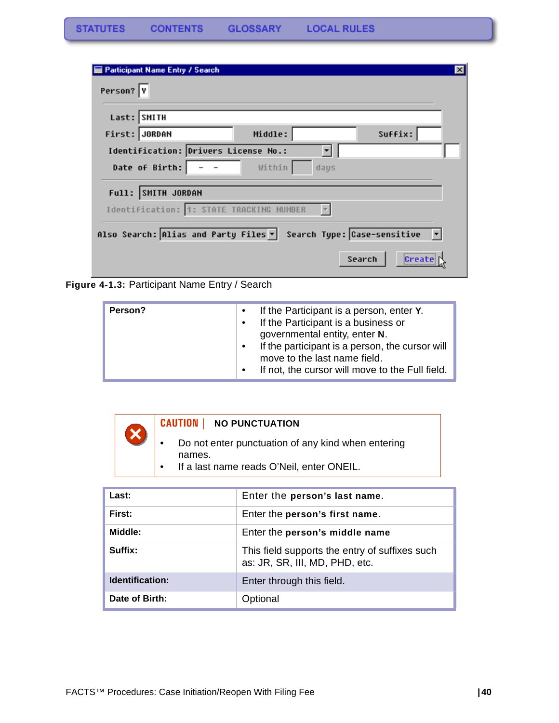| Participant Name Entry / Search                                  | $\mathsf{x}$ |
|------------------------------------------------------------------|--------------|
| Person? Y                                                        |              |
| Last: SMITH                                                      |              |
| Middle:<br>First: JORDAN                                         | Suffix:      |
| Identification: Drivers License No.:                             |              |
| Date of Birth: $\vert - - \vert$<br>Within<br>days               |              |
| Full: SMITH JORDAN                                               |              |
| Identification: 1: STATE TRACKING NUMBER                         |              |
| Also Search: Alias and Party Files v Search Type: Case-sensitive |              |
|                                                                  |              |
| Search                                                           | Create       |

<span id="page-41-0"></span>**Figure 4-1.3:** Participant Name Entry / Search



| Last:           | Enter the person's last name.                                                    |
|-----------------|----------------------------------------------------------------------------------|
| First:          | Enter the person's first name.                                                   |
| Middle:         | Enter the person's middle name                                                   |
| Suffix:         | This field supports the entry of suffixes such<br>as: JR, SR, III, MD, PHD, etc. |
| Identification: | Enter through this field.                                                        |
| Date of Birth:  | Optional                                                                         |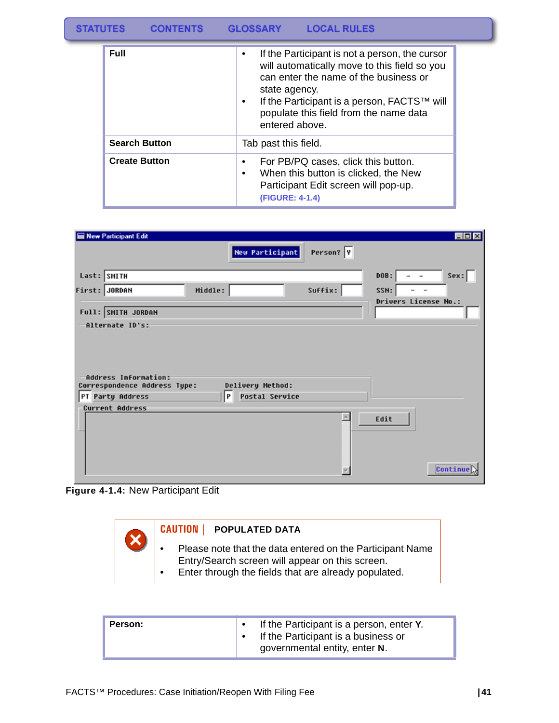| <b>Full</b>          | If the Participant is not a person, the cursor<br>$\bullet$<br>will automatically move to this field so you<br>can enter the name of the business or<br>state agency.<br>If the Participant is a person, FACTS™ will<br>$\bullet$<br>populate this field from the name data<br>entered above. |
|----------------------|-----------------------------------------------------------------------------------------------------------------------------------------------------------------------------------------------------------------------------------------------------------------------------------------------|
| <b>Search Button</b> | Tab past this field.                                                                                                                                                                                                                                                                          |
| <b>Create Button</b> | For PB/PQ cases, click this button.<br>$\bullet$<br>When this button is clicked, the New<br>$\bullet$<br>Participant Edit screen will pop-up.<br>(FIGURE: 4-1.4)                                                                                                                              |

| New Participant Edit                                 |         |                        |           |                                                    | EDX                   |
|------------------------------------------------------|---------|------------------------|-----------|----------------------------------------------------|-----------------------|
|                                                      |         | <b>New Participant</b> | Person? Y |                                                    |                       |
| Last: SMITH                                          |         |                        |           | DOB:<br>$\overline{\phantom{0}}$                   | Sex:                  |
| First: JORDAN                                        | Middle: |                        | Suffix:   | SSN:<br>$\overline{\phantom{a}}$<br>$\overline{a}$ |                       |
| Full: SMITH JORDAN                                   |         |                        |           | Drivers License No.:                               |                       |
| -Alternate ID's:                                     |         |                        |           |                                                    |                       |
| Address Information:<br>Correspondence Address Type: |         | Delivery Method:       |           |                                                    |                       |
| PT Party Address                                     | P       | <b>Postal Service</b>  |           |                                                    |                       |
| Current Address                                      |         |                        | ×         | Edit                                               |                       |
|                                                      |         |                        |           |                                                    | Continue <sup>1</sup> |

**Figure 4-1.4:** New Participant Edit



| Person: | If the Participant is a person, enter Y.<br>If the Participant is a business or<br>governmental entity, enter N. |
|---------|------------------------------------------------------------------------------------------------------------------|
|---------|------------------------------------------------------------------------------------------------------------------|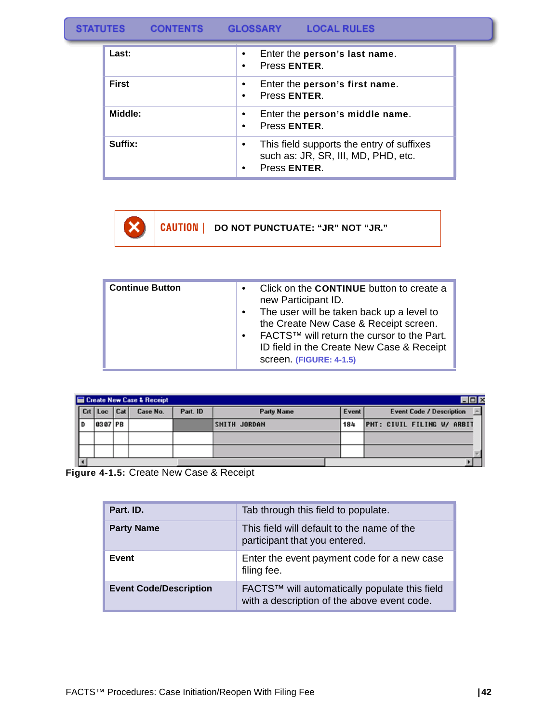**GLOSSARY CONTENTS** 

**LOCAL RULES** 

| Last:        | Enter the person's last name.<br>٠<br>Press ENTER.                                                    |
|--------------|-------------------------------------------------------------------------------------------------------|
| <b>First</b> | Enter the person's first name.<br>$\bullet$<br>Press ENTER.<br>٠                                      |
| Middle:      | Enter the person's middle name.<br>$\bullet$<br>Press ENTER.<br>$\bullet$                             |
| Suffix:      | This field supports the entry of suffixes<br>٠<br>such as: JR, SR, III, MD, PHD, etc.<br>Press ENTER. |

**CAUTION | DO NOT PUNCTUATE: "JR" NOT "JR."** x

| Continue Button | $\bullet$ | Click on the <b>CONTINUE</b> button to create a<br>new Participant ID.<br>The user will be taken back up a level to<br>the Create New Case & Receipt screen.<br>FACTS™ will return the cursor to the Part.<br>ID field in the Create New Case & Receipt<br>screen. (FIGURE: 4-1.5) |
|-----------------|-----------|------------------------------------------------------------------------------------------------------------------------------------------------------------------------------------------------------------------------------------------------------------------------------------|
|                 |           |                                                                                                                                                                                                                                                                                    |

|       |         |     | Create New Case & Receipt |          |                   |       |                                 |
|-------|---------|-----|---------------------------|----------|-------------------|-------|---------------------------------|
| I Crt | "Loc    | Cat | Case No.                  | Part. ID | <b>Party Name</b> | Event | <b>Event Code / Description</b> |
|       | 8387 PB |     |                           |          | SMITH JORDAN      | 184   | PMT: CIVIL FILING W/ ARBIT      |
|       |         |     |                           |          |                   |       |                                 |
|       |         |     |                           |          |                   |       |                                 |
|       |         |     |                           |          |                   |       |                                 |

**Figure 4-1.5:** Create New Case & Receipt

| Part. ID.                     | Tab through this field to populate.                                                          |
|-------------------------------|----------------------------------------------------------------------------------------------|
| <b>Party Name</b>             | This field will default to the name of the<br>participant that you entered.                  |
| Event                         | Enter the event payment code for a new case<br>filing fee.                                   |
| <b>Event Code/Description</b> | FACTS™ will automatically populate this field<br>with a description of the above event code. |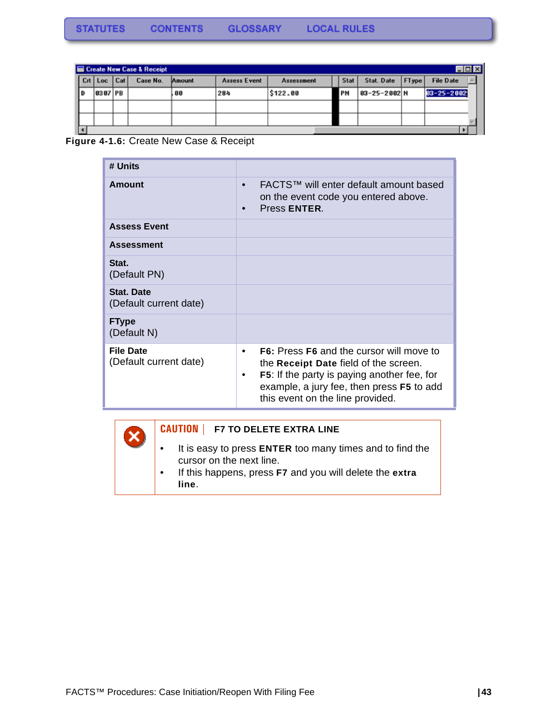| Create New Case & Receipt<br>$\Box$ |                     |  |          |        |                     |            |      |             |       |                  |  |
|-------------------------------------|---------------------|--|----------|--------|---------------------|------------|------|-------------|-------|------------------|--|
|                                     | $ $ Crt   Loc   Cat |  | Case No. | Amount | <b>Assess Event</b> | Assessment | Stat | Stat. Date  | FType | <b>File Date</b> |  |
|                                     | 8387 PB             |  |          | 88     | 284                 | \$122.00   | PN   | 03-25-2002N |       | $03 - 25 - 2002$ |  |
|                                     |                     |  |          |        |                     |            |      |             |       |                  |  |
|                                     |                     |  |          |        |                     |            |      |             |       |                  |  |
|                                     |                     |  |          |        |                     |            |      |             |       |                  |  |

**Figure 4-1.6:** Create New Case & Receipt

 $\boldsymbol{\mathsf{x}}$ 

| # Units                                     |                                                                                                                                                                                                                                        |
|---------------------------------------------|----------------------------------------------------------------------------------------------------------------------------------------------------------------------------------------------------------------------------------------|
| Amount                                      | FACTS™ will enter default amount based<br>on the event code you entered above.<br>Press ENTER.                                                                                                                                         |
| <b>Assess Event</b>                         |                                                                                                                                                                                                                                        |
| <b>Assessment</b>                           |                                                                                                                                                                                                                                        |
| Stat.<br>(Default PN)                       |                                                                                                                                                                                                                                        |
| <b>Stat. Date</b><br>(Default current date) |                                                                                                                                                                                                                                        |
| <b>FType</b><br>(Default N)                 |                                                                                                                                                                                                                                        |
| <b>File Date</b><br>(Default current date)  | <b>F6:</b> Press <b>F6</b> and the cursor will move to<br>the Receipt Date field of the screen.<br><b>F5:</b> If the party is paying another fee, for<br>example, a jury fee, then press F5 to add<br>this event on the line provided. |



- It is easy to press **ENTER** too many times and to find the cursor on the next line.
- If this happens, press **F7** and you will delete the **extra line**.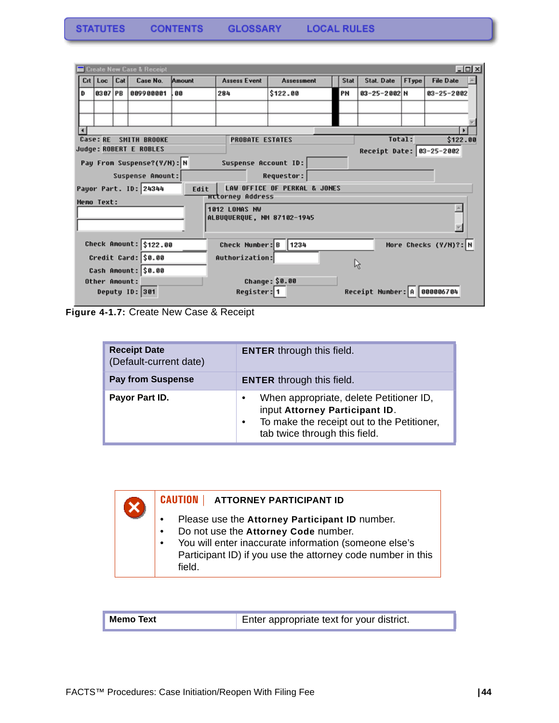|   |                   |     | Create New Case & Receipt  |        |                            |                              |      |                             |       |                       | $-10x$ |
|---|-------------------|-----|----------------------------|--------|----------------------------|------------------------------|------|-----------------------------|-------|-----------------------|--------|
|   | Crt   Loc         | Cat | Case No.                   | Amount | <b>Assess Event</b>        | Assessment                   | Stat | Stat. Date                  | FType | <b>File Date</b>      |        |
| D | 8387 PB           |     | 009900001                  | 88     | 284                        | \$122.00                     | PN   | 03-25-2002 N                |       | $03 - 25 - 2002$      |        |
|   |                   |     |                            |        |                            |                              |      |                             |       |                       |        |
|   |                   |     |                            |        |                            |                              |      |                             |       |                       |        |
|   |                   |     |                            |        |                            |                              |      |                             |       |                       |        |
|   | <b>Case: RE</b>   |     | <b>SMITH BROOKE</b>        |        | <b>PROBATE ESTATES</b>     |                              |      | Total:                      |       | \$122.00              |        |
|   |                   |     | Judge: ROBERT E ROBLES     |        |                            |                              |      | Receipt Date: 03-25-2002    |       |                       |        |
|   |                   |     | Pay Fron Suspense?(Y/N): N |        | Suspense Account ID:       |                              |      |                             |       |                       |        |
|   |                   |     | Suspense Amount:           |        |                            | Requestor:                   |      |                             |       |                       |        |
|   |                   |     | Payor Part. ID: 24344      | Edit   |                            | LAW OFFICE OF PERKAL & JONES |      |                             |       |                       |        |
|   | <b>Memo Text:</b> |     |                            |        | <b>πτtorney Address</b>    |                              |      |                             |       |                       |        |
|   |                   |     |                            |        | 1012 LOMAS NW              |                              |      |                             |       |                       |        |
|   |                   |     |                            |        | ALBUQUERQUE, NM 87102-1945 |                              |      |                             |       |                       |        |
|   |                   |     |                            |        |                            |                              |      |                             |       |                       |        |
|   |                   |     | Check Amount: \$122.00     |        | Check Number: B            | 1234                         |      |                             |       | More Checks (Y/N)?: N |        |
|   |                   |     | Credit Card: \$0.00        |        | Authorization:             |                              |      |                             |       |                       |        |
|   |                   |     | Cash Amount: \$0.00        |        |                            |                              |      | ĥ,                          |       |                       |        |
|   | Other Amount:     |     |                            |        |                            | Change: \$0.00               |      |                             |       |                       |        |
|   |                   |     | Deputy ID: 301             |        | Register: 1                |                              |      | Receipt Number: A 000006704 |       |                       |        |
|   |                   |     |                            |        |                            |                              |      |                             |       |                       |        |

**Figure 4-1.7:** Create New Case & Receipt

X

| <b>Receipt Date</b><br>(Default-current date) | <b>ENTER</b> through this field.                                                                                                                                                   |
|-----------------------------------------------|------------------------------------------------------------------------------------------------------------------------------------------------------------------------------------|
| <b>Pay from Suspense</b>                      | <b>ENTER</b> through this field.                                                                                                                                                   |
| Payor Part ID.                                | When appropriate, delete Petitioner ID,<br>$\bullet$<br>input Attorney Participant ID.<br>To make the receipt out to the Petitioner,<br>$\bullet$<br>tab twice through this field. |

#### **CAUTION | ATTORNEY PARTICIPANT ID**

- Please use the **Attorney Participant ID** number.
- Do not use the **Attorney Code** number.
- You will enter inaccurate information (someone else's Participant ID) if you use the attorney code number in this field.

| <b>Memo Text</b> | Enter appropriate text for your district. |
|------------------|-------------------------------------------|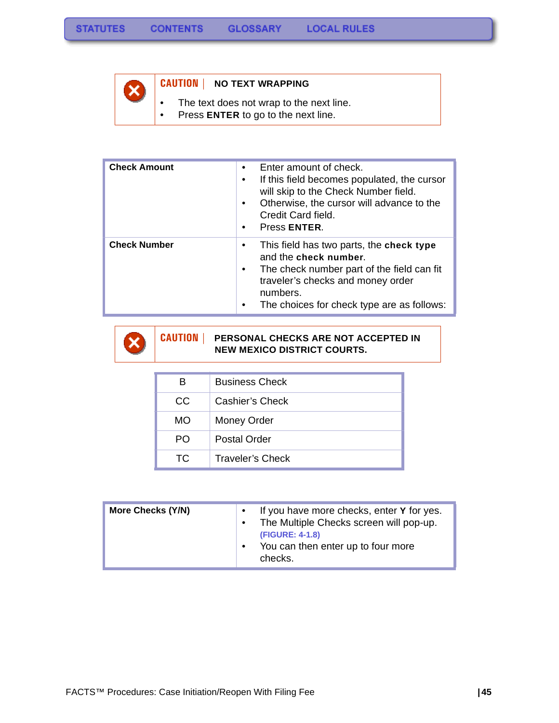

#### **CAUTION | NO TEXT WRAPPING**

- The text does not wrap to the next line.
- Press **ENTER** to go to the next line.

| <b>Check Amount</b> | Enter amount of check.<br>$\bullet$<br>If this field becomes populated, the cursor<br>٠<br>will skip to the Check Number field.<br>Otherwise, the cursor will advance to the<br>$\bullet$<br>Credit Card field.<br>Press ENTER.  |
|---------------------|----------------------------------------------------------------------------------------------------------------------------------------------------------------------------------------------------------------------------------|
| <b>Check Number</b> | This field has two parts, the check type<br>٠<br>and the check number.<br>The check number part of the field can fit<br>$\bullet$<br>traveler's checks and money order<br>numbers.<br>The choices for check type are as follows: |



#### **CAUTION | PERSONAL CHECKS ARE NOT ACCEPTED IN NEW MEXICO DISTRICT COURTS.**

| в   | <b>Business Check</b>   |
|-----|-------------------------|
| CC  | Cashier's Check         |
| МO  | Money Order             |
| PO. | Postal Order            |
| TC. | <b>Traveler's Check</b> |

| More Checks (Y/N) | If you have more checks, enter Y for yes.<br>The Multiple Checks screen will pop-up.<br>(FIGURE: 4-1.8)<br>You can then enter up to four more<br>checks. |
|-------------------|----------------------------------------------------------------------------------------------------------------------------------------------------------|
|-------------------|----------------------------------------------------------------------------------------------------------------------------------------------------------|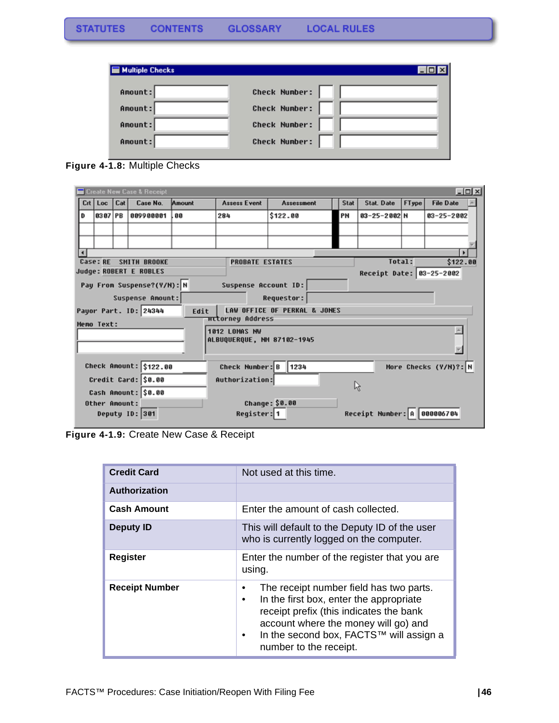| <b>Multiple Checks</b> |                      |
|------------------------|----------------------|
| Amount:                | <b>Check Number:</b> |
| Anount:                | <b>Check Number:</b> |
| Amount:                | <b>Check Number:</b> |
| Amount:                | <b>Check Number:</b> |
|                        |                      |

**Figure 4-1.8:** Multiple Checks

| $\Box$ olxi<br>Create New Case & Receipt |                                                                            |  |                            |                                                                                                |                                                    |                              |    |                               |                  |  |
|------------------------------------------|----------------------------------------------------------------------------|--|----------------------------|------------------------------------------------------------------------------------------------|----------------------------------------------------|------------------------------|----|-------------------------------|------------------|--|
|                                          | Crt   Loc   Cat                                                            |  | Case No.                   | <b>Assess Event</b><br>Stat, Date<br>FType<br><b>File Date</b><br>Stat<br>Amount<br>Assessment |                                                    |                              |    |                               |                  |  |
| D                                        | 8387 PB                                                                    |  | 889988881                  | 88                                                                                             | 284                                                | \$122.00                     | PN | 03-25-2002 N                  | $03 - 25 - 2002$ |  |
|                                          |                                                                            |  |                            |                                                                                                |                                                    |                              |    |                               |                  |  |
|                                          |                                                                            |  |                            |                                                                                                |                                                    |                              |    |                               |                  |  |
|                                          |                                                                            |  |                            |                                                                                                |                                                    |                              |    |                               |                  |  |
|                                          | <b>Case: RE</b>                                                            |  | SMITH BROOKE               |                                                                                                | <b>PROBATE ESTATES</b>                             |                              |    | Total:                        | \$122.00         |  |
|                                          |                                                                            |  | Judge: ROBERT E ROBLES     |                                                                                                |                                                    |                              |    | Receipt Date: 03-25-2002      |                  |  |
|                                          |                                                                            |  | Pay From Suspense?(Y/H): N |                                                                                                | Suspense Account ID:                               |                              |    |                               |                  |  |
|                                          |                                                                            |  | Suspense Amount:           |                                                                                                |                                                    | Requestor:                   |    |                               |                  |  |
|                                          |                                                                            |  | Payor Part. ID: 24344      | Edit                                                                                           | <b>πτtorney Address</b>                            | LAW OFFICE OF PERKAL & JONES |    |                               |                  |  |
|                                          | <b>Memo Text:</b>                                                          |  |                            |                                                                                                |                                                    |                              |    |                               |                  |  |
|                                          |                                                                            |  |                            |                                                                                                | <b>1012 LOMAS NW</b><br>ALBUQUERQUE, NM 87102-1945 |                              |    |                               |                  |  |
|                                          |                                                                            |  |                            |                                                                                                |                                                    |                              |    |                               |                  |  |
|                                          |                                                                            |  |                            |                                                                                                |                                                    |                              |    |                               |                  |  |
|                                          | Check Amount: \$122.00<br>Check Number: B<br>1234<br>More Checks (Y/N)?: N |  |                            |                                                                                                |                                                    |                              |    |                               |                  |  |
|                                          | Credit Card: \$0.00<br>Authorization:<br>R)                                |  |                            |                                                                                                |                                                    |                              |    |                               |                  |  |
|                                          |                                                                            |  | Cash Amount: \$0.00        |                                                                                                |                                                    |                              |    |                               |                  |  |
|                                          | Other Amount:                                                              |  |                            |                                                                                                |                                                    | Change: \$0.00               |    |                               |                  |  |
|                                          |                                                                            |  | Deputy ID: 301             |                                                                                                | Register: 1                                        |                              |    | Receipt Number: A   000006704 |                  |  |

**Figure 4-1.9:** Create New Case & Receipt

| <b>Credit Card</b>    | Not used at this time.                                                                                                                                                                                                                                                    |
|-----------------------|---------------------------------------------------------------------------------------------------------------------------------------------------------------------------------------------------------------------------------------------------------------------------|
| <b>Authorization</b>  |                                                                                                                                                                                                                                                                           |
| <b>Cash Amount</b>    | Enter the amount of cash collected.                                                                                                                                                                                                                                       |
| <b>Deputy ID</b>      | This will default to the Deputy ID of the user<br>who is currently logged on the computer.                                                                                                                                                                                |
| <b>Register</b>       | Enter the number of the register that you are<br>using.                                                                                                                                                                                                                   |
| <b>Receipt Number</b> | The receipt number field has two parts.<br>٠<br>In the first box, enter the appropriate<br>$\bullet$<br>receipt prefix (this indicates the bank<br>account where the money will go) and<br>In the second box, FACTS™ will assign a<br>$\bullet$<br>number to the receipt. |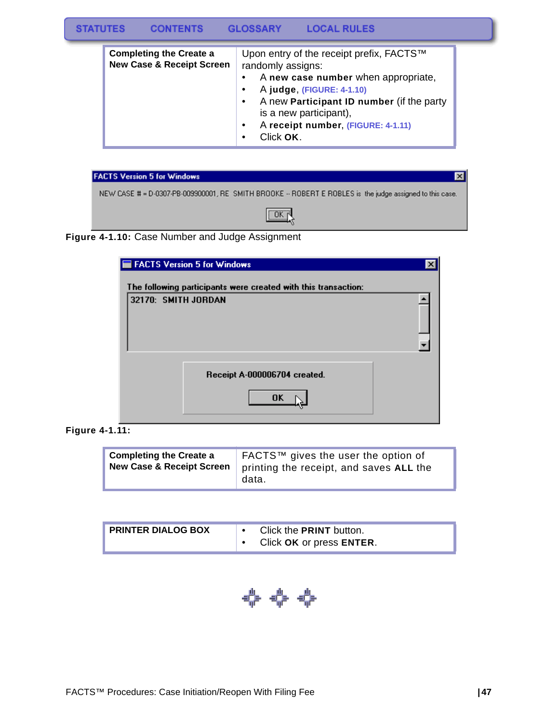#### **STATUTES LOCAL RULES CONTENTS GLOSSARY**

| <b>Completing the Create a</b><br><b>New Case &amp; Receipt Screen</b> | Upon entry of the receipt prefix, FACTS™<br>randomly assigns:<br>A new case number when appropriate,<br>$\bullet$                                                                          |
|------------------------------------------------------------------------|--------------------------------------------------------------------------------------------------------------------------------------------------------------------------------------------|
|                                                                        | A judge, (FIGURE: 4-1.10)<br>$\bullet$<br>A new Participant ID number (if the party<br>$\bullet$<br>is a new participant),<br>A receipt number, (FIGURE: 4-1.11)<br>$\bullet$<br>Click OK. |



#### **Figure 4-1.10:** Case Number and Judge Assignment

| FACTS Version 5 for Windows                                    |  |
|----------------------------------------------------------------|--|
| The following participants were created with this transaction: |  |
| 32170: SMITH JORDAN                                            |  |
| Receipt A-000006704 created.<br><b>OK</b>                      |  |

**Figure 4-1.11:** 

| <b>Completing the Create a</b><br><b>New Case &amp; Receipt Screen</b><br>data. | FACTS™ gives the user the option of<br>printing the receipt, and saves ALL the |
|---------------------------------------------------------------------------------|--------------------------------------------------------------------------------|
|---------------------------------------------------------------------------------|--------------------------------------------------------------------------------|

| <b>PRINTER DIALOG BOX</b> |  | Click the <b>PRINT</b> button.<br>Click OK or press ENTER. |
|---------------------------|--|------------------------------------------------------------|
|---------------------------|--|------------------------------------------------------------|

**수수 수**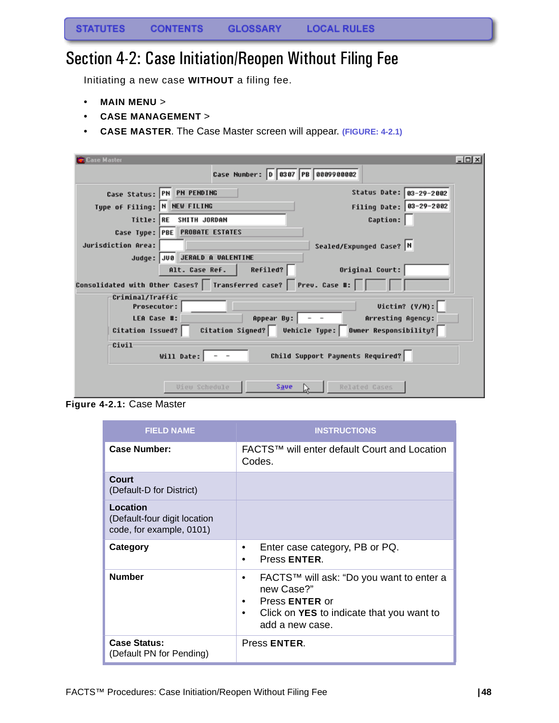## Section 4-2: Case Initiation/Reopen Without Filing Fee

Initiating a new case **WITHOUT** a filing fee.

- **MAIN MENU** >
- **CASE MANAGEMENT** >
- **CASE MASTER**. The Case Master screen will appear. **(FIGURE: 4-2.1)**

| Case Master                            |                                                                  | $\Box$                                                   |
|----------------------------------------|------------------------------------------------------------------|----------------------------------------------------------|
|                                        | Case Number: 0 0307 PB 0009900002                                |                                                          |
|                                        | Case Status: PN PN PENDING                                       | Status Date: 03-29-2002                                  |
| Type of Filing: N NEW FILING           |                                                                  | Filing Date: 03-29-2002                                  |
|                                        | Title: RE SMITH JORDAN                                           | <b>Caption:</b>                                          |
|                                        | Case Type: PBE PROBATE ESTATES                                   |                                                          |
| Jurisdiction Area:                     |                                                                  | Sealed/Expunged Case?  N                                 |
|                                        | Judge: JUB JERALD A VALENTINE                                    |                                                          |
|                                        | Refiled?<br>Alt. Case Ref.                                       | Original Court:                                          |
|                                        | Consolidated with Other Cases? Iransferred case? Prev. Case #: □ |                                                          |
| Criminal/Traffic<br><b>Prosecutor:</b> |                                                                  | Uictin? (Y/N):                                           |
| LEA Case #:                            |                                                                  | Appear By: $\vert$ - -<br>Arresting Agency:              |
| Citation Issued?                       |                                                                  | Citation Signed?   Vehicle Type:   Owner Responsibility? |
| Civil                                  | Will Date: $\vert - - \vert$                                     | Child Support Payments Required?                         |
|                                        | <b><i>Uieu Schedule</i></b><br>Save                              | Related Cases                                            |

**Figure 4-2.1:** Case Master

| <b>FIELD NAME</b>                                                    | <b>INSTRUCTIONS</b>                                                                                                                                            |
|----------------------------------------------------------------------|----------------------------------------------------------------------------------------------------------------------------------------------------------------|
| <b>Case Number:</b>                                                  | FACTS™ will enter default Court and Location<br>Codes.                                                                                                         |
| Court<br>(Default-D for District)                                    |                                                                                                                                                                |
| Location<br>(Default-four digit location<br>code, for example, 0101) |                                                                                                                                                                |
| Category                                                             | Enter case category, PB or PQ.<br>٠<br>Press ENTER.<br>٠                                                                                                       |
| <b>Number</b>                                                        | FACTS™ will ask: "Do you want to enter a<br>٠<br>new Case?"<br>Press <b>ENTER</b> or<br>٠<br>Click on YES to indicate that you want to<br>٠<br>add a new case. |
| <b>Case Status:</b><br>(Default PN for Pending)                      | Press ENTER.                                                                                                                                                   |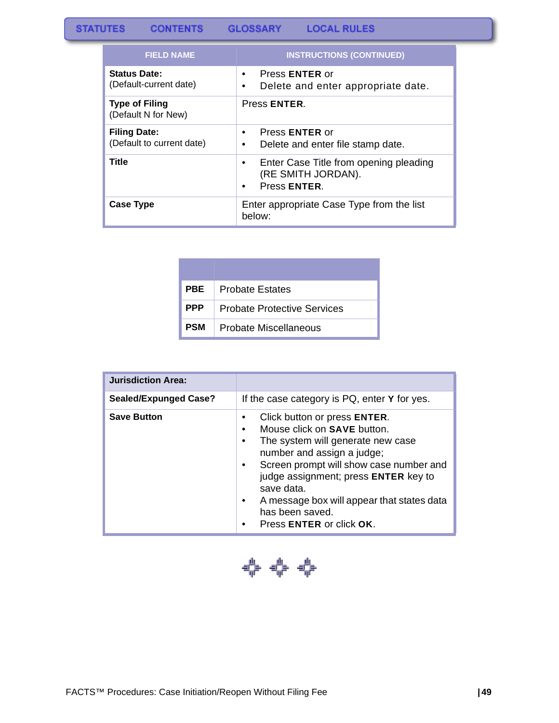#### **STATUTES GLOSSARY LOCAL RULES CONTENTS**

| <b>FIELD NAME</b>                                | <b>INSTRUCTIONS (CONTINUED)</b>                                              |
|--------------------------------------------------|------------------------------------------------------------------------------|
| <b>Status Date:</b><br>(Default-current date)    | Press <b>ENTER</b> or<br>Delete and enter appropriate date.<br>٠             |
| <b>Type of Filing</b><br>(Default N for New)     | Press ENTER.                                                                 |
| <b>Filing Date:</b><br>(Default to current date) | Press <b>ENTER</b> or<br>٠<br>Delete and enter file stamp date.<br>٠         |
| Title                                            | Enter Case Title from opening pleading<br>(RE SMITH JORDAN).<br>Press ENTER. |
| <b>Case Type</b>                                 | Enter appropriate Case Type from the list<br>below:                          |

| <b>PBE</b> | <b>Probate Estates</b>             |
|------------|------------------------------------|
| <b>PPP</b> | <b>Probate Protective Services</b> |
| PSM        | Probate Miscellaneous              |

| <b>Jurisdiction Area:</b>    |                                                                                                                                                                                                                                                                                                                                     |
|------------------------------|-------------------------------------------------------------------------------------------------------------------------------------------------------------------------------------------------------------------------------------------------------------------------------------------------------------------------------------|
| <b>Sealed/Expunged Case?</b> | If the case category is PQ, enter Y for yes.                                                                                                                                                                                                                                                                                        |
| <b>Save Button</b>           | Click button or press ENTER.<br>Mouse click on <b>SAVE</b> button.<br>The system will generate new case<br>number and assign a judge;<br>Screen prompt will show case number and<br>judge assignment; press ENTER key to<br>save data.<br>A message box will appear that states data<br>has been saved.<br>Press ENTER or click OK. |

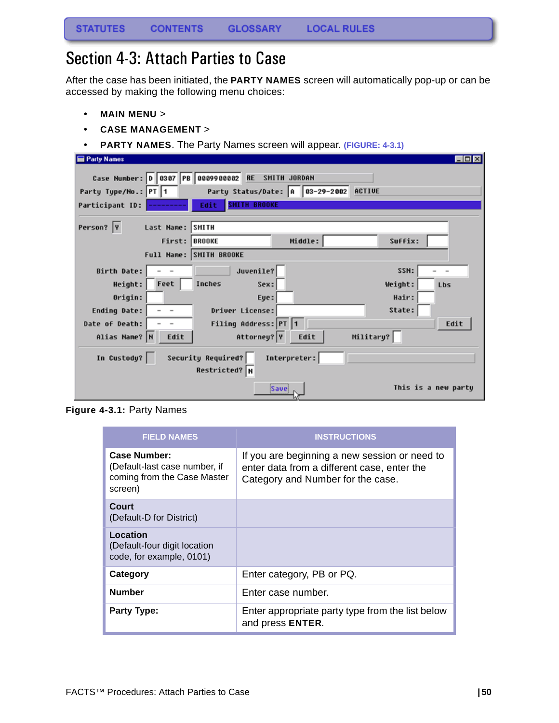### Section 4-3: Attach Parties to Case

After the case has been initiated, the **PARTY NAMES** screen will automatically pop-up or can be accessed by making the following menu choices:

- **MAIN MENU** >
- **CASE MANAGEMENT** >
- **PARTY NAMES**. The Party Names screen will appear. **(FIGURE: 4-3.1)**

| Party Names                                           |                                                                                      | $\Box$ olx          |
|-------------------------------------------------------|--------------------------------------------------------------------------------------|---------------------|
| Case Number:  D   0307   PB  <br>Party Type/No.: PT 1 | 0009900002<br><b>RE</b><br>SMITH JORDAN<br>Party Status/Date: 0 03-29-2002<br>ACTIVE |                     |
| Participant ID:                                       | <b>SHITH BROOKE</b><br>Edit                                                          |                     |
| Person?  Y                                            | Last Name: SMITH                                                                     |                     |
|                                                       | Middle:<br>First: BROOKE                                                             | Suffix:             |
|                                                       | Full Name: SMITH BROOKE                                                              |                     |
| Birth Date:                                           | Juvenile?                                                                            | SSN:                |
| Height:                                               | Feet<br>Inches<br>Sex:                                                               | Weight:<br>Lbs      |
| Origin:                                               | Eye:                                                                                 | Hair:               |
| Ending Date:                                          | Driver License:                                                                      | State:              |
| Date of Death:                                        | Filing Address: PT 1                                                                 | Edit                |
| Alias Name? N                                         | Military?<br>Attorney? Y<br>Edit<br>Edit                                             |                     |
| In Custody?                                           | Security Required?<br>Interpreter:<br>Restricted? N                                  |                     |
|                                                       | Save                                                                                 | This is a new party |

**Figure 4-3.1:** Party Names

| <b>FIELD NAMES</b>                                                                             | <b>INSTRUCTIONS</b>                                                                                                               |
|------------------------------------------------------------------------------------------------|-----------------------------------------------------------------------------------------------------------------------------------|
| <b>Case Number:</b><br>(Default-last case number, if<br>coming from the Case Master<br>screen) | If you are beginning a new session or need to<br>enter data from a different case, enter the<br>Category and Number for the case. |
| Court<br>(Default-D for District)                                                              |                                                                                                                                   |
| Location<br>(Default-four digit location<br>code, for example, 0101)                           |                                                                                                                                   |
| Category                                                                                       | Enter category, PB or PQ.                                                                                                         |
| <b>Number</b>                                                                                  | Enter case number.                                                                                                                |
| <b>Party Type:</b>                                                                             | Enter appropriate party type from the list below<br>and press ENTER.                                                              |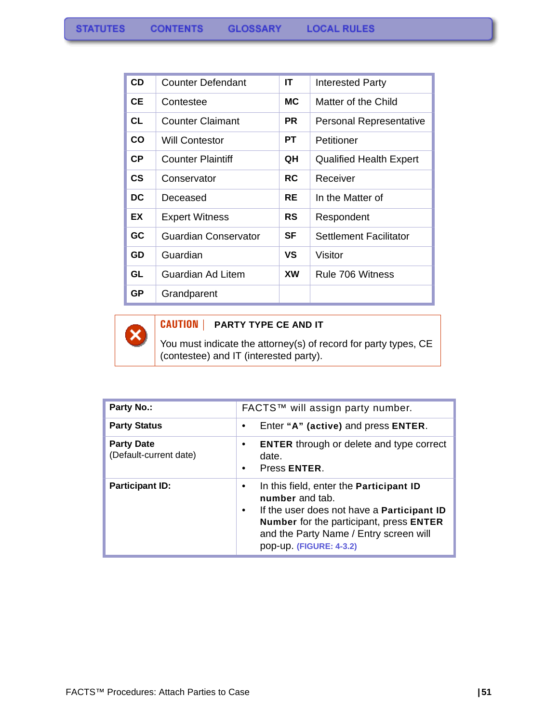| <b>CD</b>     | <b>Counter Defendant</b> | ΙT        | <b>Interested Party</b>        |
|---------------|--------------------------|-----------|--------------------------------|
| CЕ            | Contestee                | МC        | Matter of the Child            |
| CL            | <b>Counter Claimant</b>  | PR.       | Personal Representative        |
| <b>CO</b>     | <b>Will Contestor</b>    | PТ        | Petitioner                     |
| <b>CP</b>     | <b>Counter Plaintiff</b> | QH        | <b>Qualified Health Expert</b> |
| $\mathsf{cs}$ | Conservator              | <b>RC</b> | Receiver                       |
| DC            | Deceased                 | <b>RE</b> | In the Matter of               |
| EX            | <b>Expert Witness</b>    | <b>RS</b> | Respondent                     |
| <b>GC</b>     | Guardian Conservator     | SF        | <b>Settlement Facilitator</b>  |
| GD            | Guardian                 | VS        | Visitor                        |
| GL            | Guardian Ad Litem        | XW        | Rule 706 Witness               |
| <b>GP</b>     | Grandparent              |           |                                |

 $\boldsymbol{\mathsf{x}}$ 

#### **CAUTION | PARTY TYPE CE AND IT**

You must indicate the attorney(s) of record for party types, CE (contestee) and IT (interested party).

| <b>Party No.:</b>                           | FACTS™ will assign party number.                                                                                                                                                                                                     |  |  |
|---------------------------------------------|--------------------------------------------------------------------------------------------------------------------------------------------------------------------------------------------------------------------------------------|--|--|
| <b>Party Status</b>                         | Enter "A" (active) and press ENTER.                                                                                                                                                                                                  |  |  |
| <b>Party Date</b><br>(Default-current date) | <b>ENTER</b> through or delete and type correct<br>date.<br>Press ENTER.<br>$\bullet$                                                                                                                                                |  |  |
| <b>Participant ID:</b>                      | In this field, enter the Participant ID<br>number and tab.<br>If the user does not have a <b>Participant ID</b><br>٠<br>Number for the participant, press ENTER<br>and the Party Name / Entry screen will<br>pop-up. (FIGURE: 4-3.2) |  |  |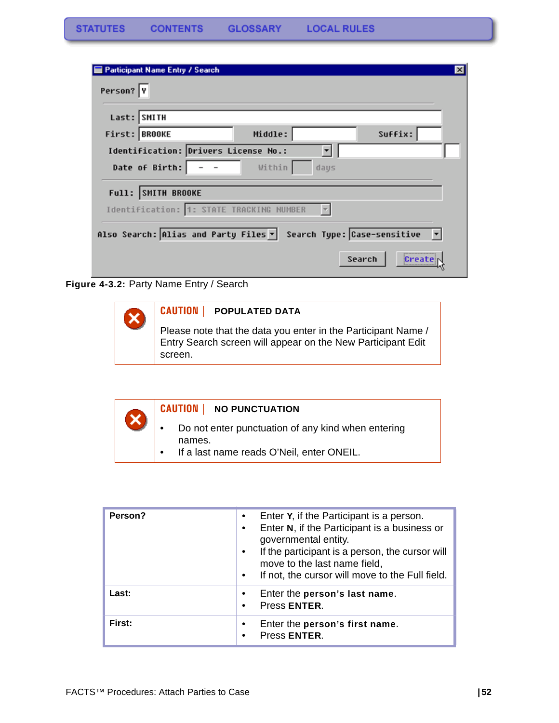| <b>Participant Name Entry / Search</b>                           | $\mathsf{x}$ |
|------------------------------------------------------------------|--------------|
| Person? Y                                                        |              |
| Last: SMITH                                                      |              |
| Middle:<br>Suffix:<br>First: BROOKE                              |              |
| Identification: Drivers License No.:                             |              |
| Date of Birth:<br>Within<br>days                                 |              |
| Full: SMITH BROOKE                                               |              |
| Identification: 1: STATE TRACKING NUMBER                         |              |
| Also Search: Alias and Party Files v Search Type: Case-sensitive |              |
| Search<br>Create                                                 |              |

**Figure 4-3.2:** Party Name Entry / Search

| <b>CAUTION   POPULATED DATA</b>                                                                                                         |
|-----------------------------------------------------------------------------------------------------------------------------------------|
| Please note that the data you enter in the Participant Name /<br>Entry Search screen will appear on the New Participant Edit<br>screen. |

| CAUTION   NO PUNCTUATION                                                                                  |
|-----------------------------------------------------------------------------------------------------------|
| Do not enter punctuation of any kind when entering<br>names.<br>If a last name reads O'Neil, enter ONEIL. |

| Person? | Enter Y, if the Participant is a person.<br>Enter N, if the Participant is a business or<br>governmental entity.<br>If the participant is a person, the cursor will<br>move to the last name field,<br>If not, the cursor will move to the Full field.<br>$\bullet$ |
|---------|---------------------------------------------------------------------------------------------------------------------------------------------------------------------------------------------------------------------------------------------------------------------|
| Last:   | Enter the person's last name.<br>Press ENTER.                                                                                                                                                                                                                       |
| First:  | Enter the person's first name.<br>Press ENTER.                                                                                                                                                                                                                      |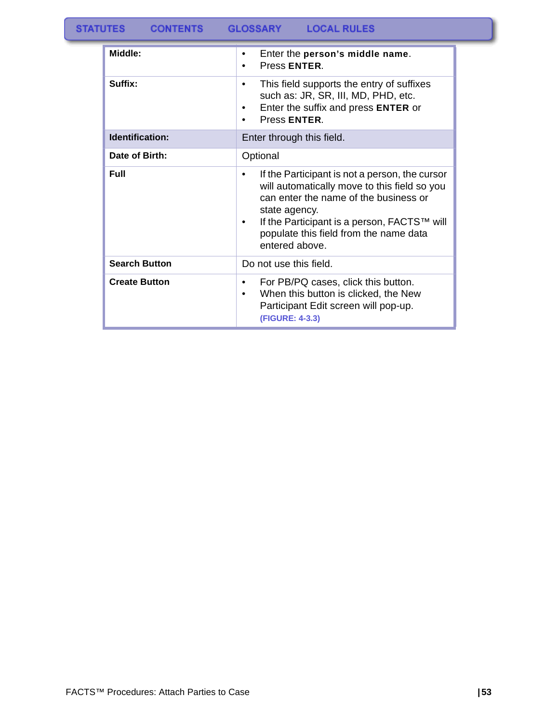| Middle:              | Enter the person's middle name.<br>٠<br>Press ENTER.<br>٠                                                                                                                                                                                                                     |
|----------------------|-------------------------------------------------------------------------------------------------------------------------------------------------------------------------------------------------------------------------------------------------------------------------------|
| Suffix:              | This field supports the entry of suffixes<br>$\bullet$<br>such as: JR, SR, III, MD, PHD, etc.<br>Enter the suffix and press ENTER or<br>٠<br>Press ENTER.<br>٠                                                                                                                |
| Identification:      | Enter through this field.                                                                                                                                                                                                                                                     |
| Date of Birth:       | Optional                                                                                                                                                                                                                                                                      |
| Full                 | If the Participant is not a person, the cursor<br>٠<br>will automatically move to this field so you<br>can enter the name of the business or<br>state agency.<br>If the Participant is a person, FACTS™ will<br>٠<br>populate this field from the name data<br>entered above. |
| <b>Search Button</b> | Do not use this field.                                                                                                                                                                                                                                                        |
| <b>Create Button</b> | For PB/PQ cases, click this button.<br>٠<br>When this button is clicked, the New<br>٠<br>Participant Edit screen will pop-up.<br>(FIGURE: 4-3.3)                                                                                                                              |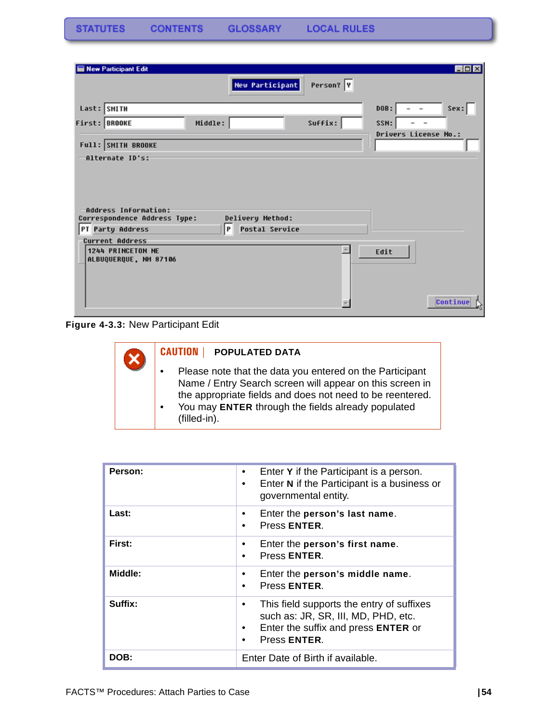**STATUTES CONTENTS GLOSSARY LOCAL RULES** 

| New Participant Edit                                          |         |                        |           |                                  | $\Box$ DIX |
|---------------------------------------------------------------|---------|------------------------|-----------|----------------------------------|------------|
|                                                               |         | <b>New Participant</b> | Person? Y |                                  |            |
| Last: SMITH                                                   |         |                        |           | DOB:<br>$\overline{\phantom{a}}$ | Sex:       |
| First: BROOKE                                                 | Middle: |                        | Suffix:   | SSN:<br>$\blacksquare$           | $\sim$     |
| Full: SMITH BROOKE                                            |         |                        |           | Drivers License No.:             |            |
| -Alternate ID's:                                              |         |                        |           |                                  |            |
| Address Information:<br>Correspondence Address Type:          |         | Delivery Method:       |           |                                  |            |
| PT Party Address                                              | P       | <b>Postal Service</b>  |           |                                  |            |
| Current Address<br>1244 PRINCETON NE<br>ALBUQUERQUE, NM 87106 |         |                        |           | Edit                             |            |
|                                                               |         |                        |           |                                  | Continue   |

**Figure 4-3.3:** New Participant Edit

| <b>CAUTION   POPULATED DATA</b>                                                                                                                                                                                                                                      |
|----------------------------------------------------------------------------------------------------------------------------------------------------------------------------------------------------------------------------------------------------------------------|
| Please note that the data you entered on the Participant<br>Name / Entry Search screen will appear on this screen in<br>the appropriate fields and does not need to be reentered.<br>You may ENTER through the fields already populated<br>$\bullet$<br>(filled-in). |

| Person: | Enter Y if the Participant is a person.<br>$\bullet$<br>Enter N if the Participant is a business or<br>٠<br>governmental entity.                          |
|---------|-----------------------------------------------------------------------------------------------------------------------------------------------------------|
| Last:   | Enter the person's last name.<br>Press ENTER.<br>$\bullet$                                                                                                |
| First:  | Enter the person's first name.<br>Press ENTER.<br>$\bullet$                                                                                               |
| Middle: | Enter the person's middle name.<br>Press ENTER.<br>$\bullet$                                                                                              |
| Suffix: | This field supports the entry of suffixes<br>$\bullet$<br>such as: JR, SR, III, MD, PHD, etc.<br>Enter the suffix and press ENTER or<br>٠<br>Press ENTER. |
| DOB:    | Enter Date of Birth if available.                                                                                                                         |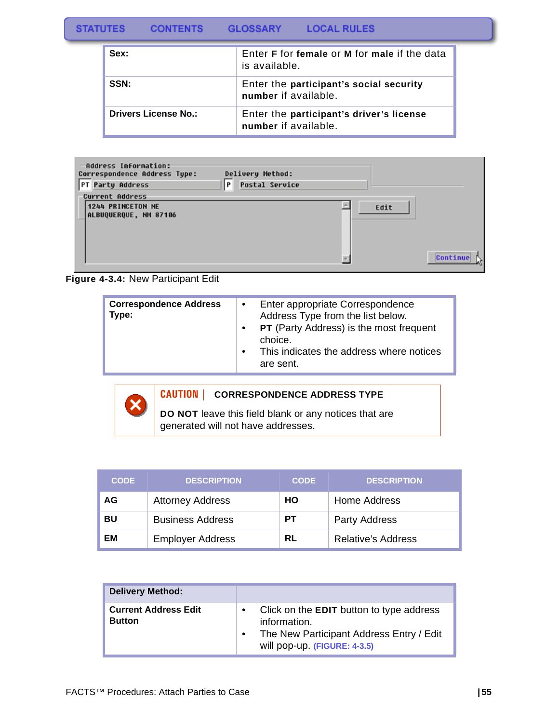#### **STATUTES GLOSSARY LOCAL RULES CONTENTS**

| Sex:                        | Enter <b>F</b> for female or <b>M</b> for male if the data<br>is available. |
|-----------------------------|-----------------------------------------------------------------------------|
| SSN:                        | Enter the participant's social security<br>number if available.             |
| <b>Drivers License No.:</b> | Enter the participant's driver's license<br>number if available.            |

| Address Information:<br>Correspondence Address Type: | Delivery Method:           |      |          |
|------------------------------------------------------|----------------------------|------|----------|
| PT Party Address                                     | P<br><b>Postal Service</b> |      |          |
| <b>Current Address</b>                               |                            |      |          |
| 1244 PRINCETON NE<br>ALBUQUERQUE, NM 87106           |                            | Edit |          |
|                                                      |                            |      | Continue |

**Figure 4-3.4:** New Participant Edit

| <b>Correspondence Address</b><br>Type: | $\mathbf{r} \cdot \mathbf{0}$ .<br>$\bullet$<br>$\bullet$ | Enter appropriate Correspondence<br>Address Type from the list below.<br><b>PT</b> (Party Address) is the most frequent<br>choice.<br>This indicates the address where notices<br>are sent. |
|----------------------------------------|-----------------------------------------------------------|---------------------------------------------------------------------------------------------------------------------------------------------------------------------------------------------|
|----------------------------------------|-----------------------------------------------------------|---------------------------------------------------------------------------------------------------------------------------------------------------------------------------------------------|



#### **CAUTION | CORRESPONDENCE ADDRESS TYPE**

**DO NOT** leave this field blank or any notices that are generated will not have addresses.

| <b>CODE</b> | <b>DESCRIPTION</b>      | <b>CODE</b> | <b>DESCRIPTION</b>        |
|-------------|-------------------------|-------------|---------------------------|
| AG          | <b>Attorney Address</b> | HO          | Home Address              |
| BU          | <b>Business Address</b> | PТ          | Party Address             |
| ЕM          | <b>Employer Address</b> | RL          | <b>Relative's Address</b> |

| <b>Delivery Method:</b>                      |                                                                                                                                             |
|----------------------------------------------|---------------------------------------------------------------------------------------------------------------------------------------------|
| <b>Current Address Edit</b><br><b>Button</b> | Click on the <b>EDIT</b> button to type address<br>information.<br>The New Participant Address Entry / Edit<br>will pop-up. (FIGURE: 4-3.5) |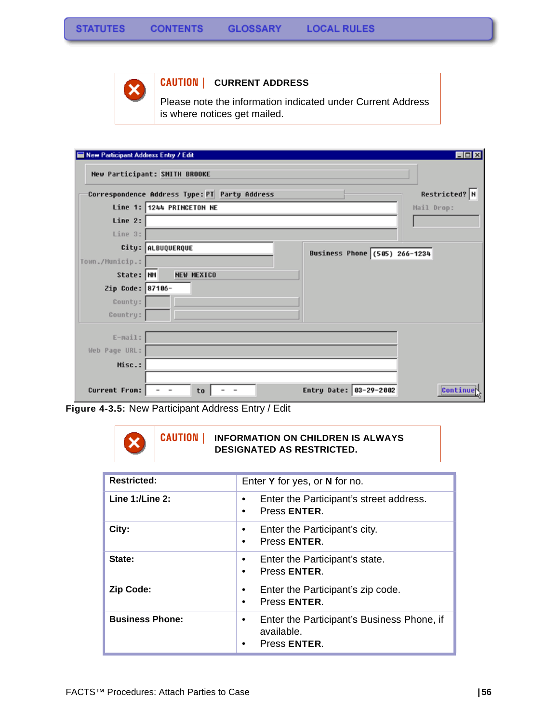

### **CAUTION | CURRENT ADDRESS**

Please note the information indicated under Current Address is where notices get mailed.

| New Participant Address Entry / Edit |                                                                                      | $\Box$ D $\times$ |
|--------------------------------------|--------------------------------------------------------------------------------------|-------------------|
|                                      | New Participant: SMITH BROOKE                                                        |                   |
|                                      | Correspondence Address Type: PT Party Address                                        | Restricted? N     |
|                                      | Line 1: 1244 PRINCETON NE                                                            | Mail Drop:        |
| Line 2:                              |                                                                                      |                   |
| Line 3:                              |                                                                                      |                   |
|                                      | City: ALBUQUERQUE<br>Business Phone (505) 266-1234                                   |                   |
| Town./Municip.:                      |                                                                                      |                   |
| State: NM                            | <b>NEW MEXICO</b>                                                                    |                   |
| Zip Code: 87106-                     |                                                                                      |                   |
| County:                              |                                                                                      |                   |
| Country:                             |                                                                                      |                   |
| $E-mail:$                            |                                                                                      |                   |
| Web Page URL:                        |                                                                                      |                   |
|                                      |                                                                                      |                   |
| Misc.:                               |                                                                                      |                   |
| Current From:                        | Entry Date: 03-29-2002<br>to<br>$\overline{\phantom{a}}$<br>$\overline{\phantom{a}}$ | Continuer         |

**Figure 4-3.5:** New Participant Address Entry / Edit

#### **CAUTION | INFORMATION ON CHILDREN IS ALWAYS DESIGNATED AS RESTRICTED.**

| <b>Restricted:</b>     | Enter Y for yes, or N for no.                                            |
|------------------------|--------------------------------------------------------------------------|
| Line $1:$ /Line $2:$   | Enter the Participant's street address.<br>٠<br>Press ENTER.             |
| City:                  | Enter the Participant's city.<br>Press ENTER.<br>$\bullet$               |
| State:                 | Enter the Participant's state.<br>Press ENTER.<br>$\bullet$              |
| <b>Zip Code:</b>       | Enter the Participant's zip code.<br>Press ENTER.<br>٠                   |
| <b>Business Phone:</b> | Enter the Participant's Business Phone, if<br>available.<br>Press ENTER. |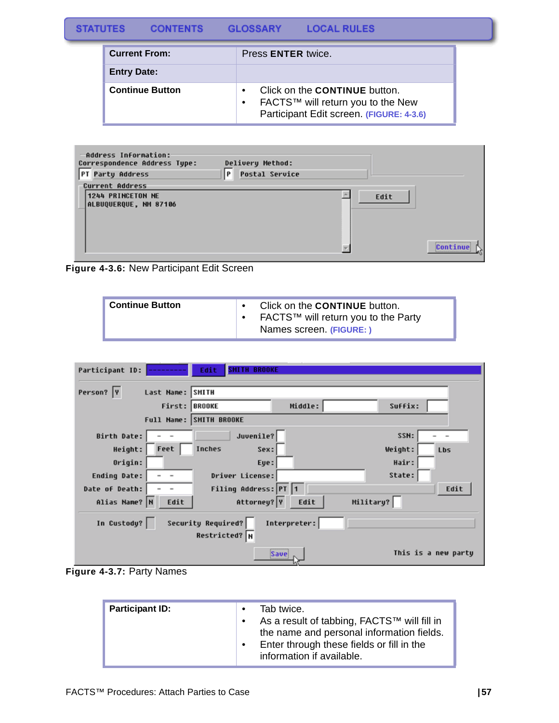#### **STATUTES CONTENTS GLOSSARY LOCAL RULES**

| <b>Current From:</b>   | Press <b>ENTER</b> twice.                                                                                                          |
|------------------------|------------------------------------------------------------------------------------------------------------------------------------|
| <b>Entry Date:</b>     |                                                                                                                                    |
| <b>Continue Button</b> | Click on the <b>CONTINUE</b> button.<br>FACTS™ will return you to the New<br>$\bullet$<br>Participant Edit screen. (FIGURE: 4-3.6) |

| Address Information:<br>Correspondence Address Type:<br>PT Party Address | Delivery Method:<br>P<br><b>Postal Service</b> |      |          |
|--------------------------------------------------------------------------|------------------------------------------------|------|----------|
| <b>Current Address</b>                                                   |                                                |      |          |
| 1244 PRINCETON NE                                                        |                                                | Edit |          |
| ALBUQUERQUE, NM 87106                                                    |                                                |      |          |
|                                                                          |                                                |      |          |
|                                                                          |                                                |      |          |
|                                                                          |                                                |      |          |
|                                                                          |                                                |      | Continue |
|                                                                          |                                                |      |          |

**Figure 4-3.6:** New Participant Edit Screen

| <b>Continue Button</b> | Click on the <b>CONTINUE</b> button.<br>FACTS™ will return you to the Party<br>Names screen. (FIGURE:) |
|------------------------|--------------------------------------------------------------------------------------------------------|
|------------------------|--------------------------------------------------------------------------------------------------------|

| Participant ID:                | Edit<br><b>TH BROOKE</b>                   |              |           |                     |
|--------------------------------|--------------------------------------------|--------------|-----------|---------------------|
| Person?  Y<br>Last Name: SMITH |                                            |              |           |                     |
|                                | First: BROOKE                              | Middle:      | Suffix:   |                     |
|                                | Full Name: SMITH BROOKE                    |              |           |                     |
| Birth Date:                    | Juvenile?                                  |              | SSN:      |                     |
| Height:<br>Feet                | <b>Inches</b><br>Sex:                      |              | Weight:   | Lbs                 |
| Origin:                        | Eye:                                       |              | Hair:     |                     |
| Ending Date:                   | Driver License:                            |              | State:    |                     |
| Date of Death:                 | Filing Address: PT 1                       |              |           | Edit                |
| Alias Name? N<br>Edit          | Attorney? Y                                | Edit         | Military? |                     |
| In Custody?                    | <b>Security Required?</b><br>Restricted? N | Interpreter: |           |                     |
|                                |                                            | Save         |           | This is a new party |

**Figure 4-3.7:** Party Names

| <b>Participant ID:</b> | Tab twice.<br>As a result of tabbing, FACTS™ will fill in<br>the name and personal information fields.<br>Enter through these fields or fill in the<br>information if available. |
|------------------------|----------------------------------------------------------------------------------------------------------------------------------------------------------------------------------|
|------------------------|----------------------------------------------------------------------------------------------------------------------------------------------------------------------------------|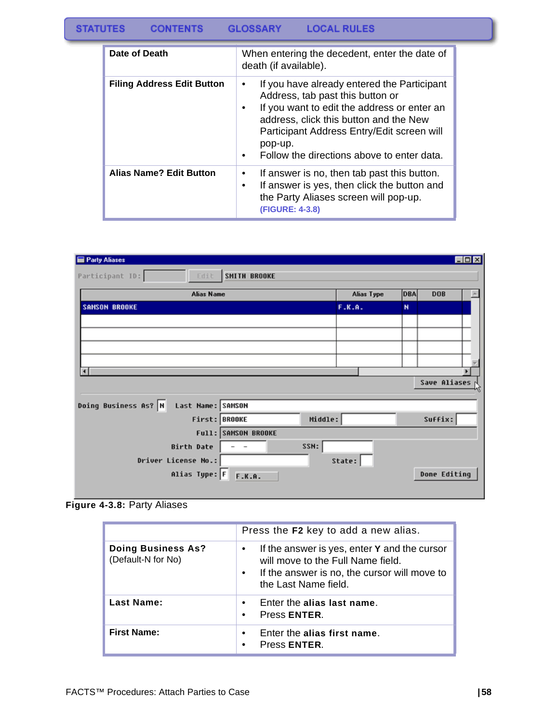### STATUTES CONTENTS GLOSSARY LOCAL RULES

| Date of Death                     | When entering the decedent, enter the date of<br>death (if available).                                                                                                                                                                                                               |  |
|-----------------------------------|--------------------------------------------------------------------------------------------------------------------------------------------------------------------------------------------------------------------------------------------------------------------------------------|--|
| <b>Filing Address Edit Button</b> | If you have already entered the Participant<br>٠<br>Address, tab past this button or<br>If you want to edit the address or enter an<br>address, click this button and the New<br>Participant Address Entry/Edit screen will<br>pop-up.<br>Follow the directions above to enter data. |  |
| <b>Alias Name? Edit Button</b>    | If answer is no, then tab past this button.<br>If answer is yes, then click the button and<br>the Party Aliases screen will pop-up.<br>(FIGURE: 4-3.8)                                                                                                                               |  |

| Party Aliases                             |                     |            |            |              | <b>EDX</b> |
|-------------------------------------------|---------------------|------------|------------|--------------|------------|
| Participant ID:<br>Edit                   | <b>SMITH BROOKE</b> |            |            |              |            |
| <b>Alias Name</b>                         |                     | Alias Type | <b>DBA</b> | <b>DOB</b>   |            |
| <b>SAMSON BROOKE</b>                      |                     | F.K.A.     | N          |              |            |
|                                           |                     |            |            |              |            |
|                                           |                     |            |            |              |            |
|                                           |                     |            |            |              |            |
|                                           |                     |            |            |              |            |
| п                                         |                     |            |            |              |            |
|                                           |                     |            |            | Save Aliases |            |
| Doing Business As? N<br>Last Name: SAMSON |                     |            |            |              |            |
| First: BROOKE                             | Middle:             |            |            | Suffix:      |            |
|                                           | Full: SAMSON BROOKE |            |            |              |            |
| <b>Birth Date</b>                         | SSN:                |            |            |              |            |
| Driver License No.:                       |                     | State:     |            |              |            |
| Alias Type: F                             | F.K.A.              |            |            | Done Editing |            |

**Figure 4-3.8:** Party Aliases

|                                                 | Press the F2 key to add a new alias.                                                                                                                                        |
|-------------------------------------------------|-----------------------------------------------------------------------------------------------------------------------------------------------------------------------------|
| <b>Doing Business As?</b><br>(Default-N for No) | If the answer is yes, enter Y and the cursor<br>٠<br>will move to the Full Name field.<br>If the answer is no, the cursor will move to<br>$\bullet$<br>the Last Name field. |
| Last Name:                                      | Enter the alias last name.<br>$\bullet$<br>Press ENTER.<br>٠                                                                                                                |
| <b>First Name:</b>                              | Enter the alias first name.<br>$\bullet$<br>Press <b>ENTER</b> .<br>٠                                                                                                       |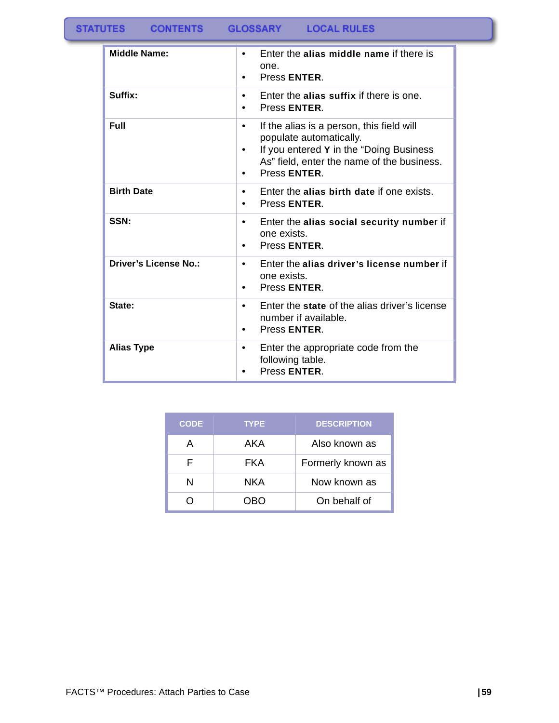| <b>Middle Name:</b>          | Enter the alias middle name if there is<br>$\bullet$<br>one.<br>Press ENTER.                                                                                                                |
|------------------------------|---------------------------------------------------------------------------------------------------------------------------------------------------------------------------------------------|
| Suffix:                      | Enter the alias suffix if there is one.<br>٠<br>Press ENTER.                                                                                                                                |
| Full                         | If the alias is a person, this field will<br>$\bullet$<br>populate automatically.<br>If you entered Y in the "Doing Business"<br>As" field, enter the name of the business.<br>Press ENTER. |
| <b>Birth Date</b>            | Enter the alias birth date if one exists.<br>٠<br>Press ENTER.                                                                                                                              |
| SSN:                         | Enter the alias social security number if<br>$\bullet$<br>one exists.<br>Press ENTER.                                                                                                       |
| <b>Driver's License No.:</b> | Enter the alias driver's license number if<br>$\bullet$<br>one exists.<br>Press ENTER                                                                                                       |
| State:                       | Enter the state of the alias driver's license<br>$\bullet$<br>number if available.<br>Press ENTER.<br>٠                                                                                     |
| <b>Alias Type</b>            | Enter the appropriate code from the<br>٠<br>following table.<br>Press ENTER.                                                                                                                |

| <b>CODE</b> | <b>TYPE</b> | <b>DESCRIPTION</b> |
|-------------|-------------|--------------------|
| А           | AKA         | Also known as      |
|             | FKA         | Formerly known as  |
| N           | NKA         | Now known as       |
|             | NRN         | On behalf of       |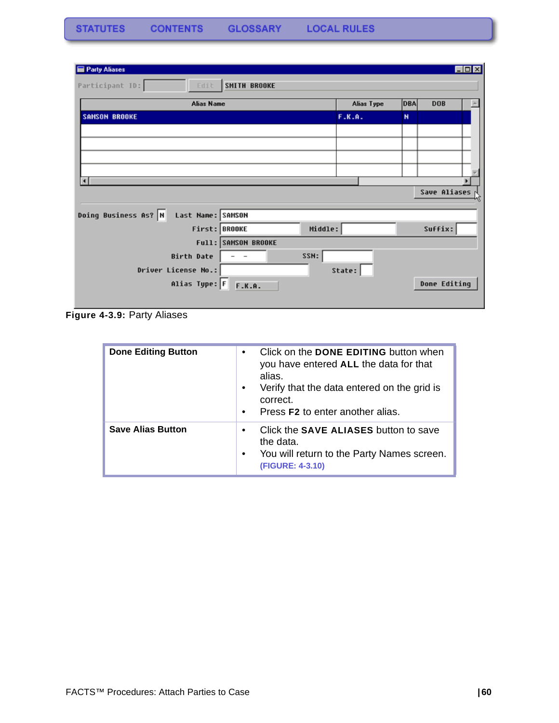| Party Aliases                                   |            | EDX                      |
|-------------------------------------------------|------------|--------------------------|
| Participant ID:<br>Edit.<br><b>SMITH BROOKE</b> |            |                          |
| <b>Alias Name</b>                               | Alias Type | <b>DBA</b><br><b>DOB</b> |
| <b>SAMSON BROOKE</b>                            | F.K.A.     | N                        |
|                                                 |            |                          |
|                                                 |            |                          |
|                                                 |            |                          |
|                                                 |            |                          |
| ∣∢                                              |            | Save Aliases N           |
|                                                 |            |                          |
| Doing Business As? N<br>Last Name: SAMSON       |            |                          |
| Middle:<br>First: BROOKE                        |            | Suffix:                  |
| Full: SAMSON BROOKE                             |            |                          |
| SSN:<br>Birth Date                              |            |                          |
| Driver License No.:                             | State:     |                          |
| Alias Type: F F.K.A.                            |            | Done Editing             |
|                                                 |            |                          |

**Figure 4-3.9:** Party Aliases

| <b>Done Editing Button</b> | Click on the DONE EDITING button when<br>$\bullet$<br>you have entered ALL the data for that<br>alias.<br>Verify that the data entered on the grid is<br>$\bullet$<br>correct.<br>Press <b>F2</b> to enter another alias.<br>$\bullet$ |
|----------------------------|----------------------------------------------------------------------------------------------------------------------------------------------------------------------------------------------------------------------------------------|
| <b>Save Alias Button</b>   | Click the <b>SAVE ALIASES</b> button to save<br>$\bullet$<br>the data.<br>You will return to the Party Names screen.<br>$\bullet$<br>(FIGURE: 4-3.10)                                                                                  |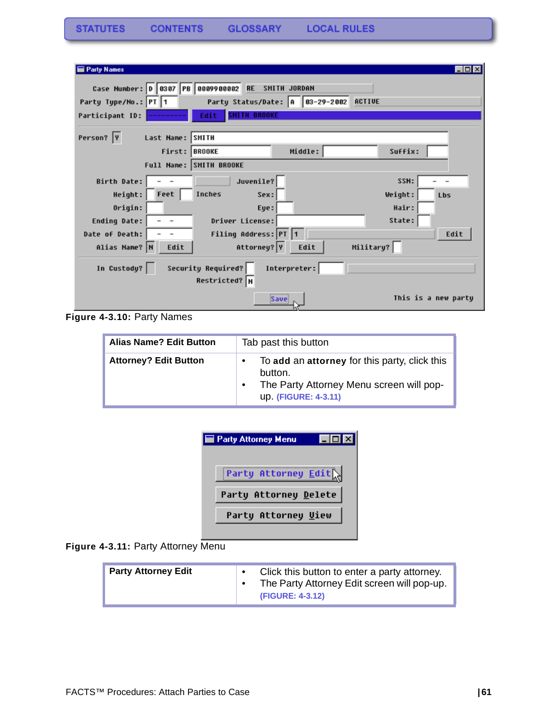| <b>Party Names</b>                       |                                     |                                        |           | $\Box$ o $\times$   |
|------------------------------------------|-------------------------------------|----------------------------------------|-----------|---------------------|
| Case Number: 0 0307 PB 0009900002        | <b>RE</b>                           | SMITH JORDAN                           |           |                     |
| Party Type/No.: PT 1                     |                                     | Party Status/Date: A 83-29-2002 ACTIVE |           |                     |
| Participant ID:                          | <b>SHITH BROOKE</b><br>Edit         |                                        |           |                     |
| Person? Y<br>Last Name: SMITH            |                                     |                                        |           |                     |
|                                          | First: BROOKE                       | Middle:                                | Suffix:   |                     |
|                                          | Full Name: SMITH BROOKE             |                                        |           |                     |
| Birth Date:                              | Juvenile?                           |                                        | SSN:      |                     |
| Feet<br>Height:                          | Inches<br>Sex:                      |                                        | Weight:   | Lbs                 |
| Origin:                                  | Eye:                                |                                        | Hair:     |                     |
| Ending Date:<br>$\overline{\phantom{a}}$ | Driver License:                     |                                        | State:    |                     |
| Date of Death:                           | Filing Address: PT 1                |                                        |           | Edit                |
| Alias Name? N<br>Edit                    | Attorney? Y                         | Edit                                   | Military? |                     |
| In Custody?                              | Security Required?<br>Restricted? N | Interpreter:                           |           |                     |
|                                          |                                     | Save                                   |           | This is a new party |

**Figure 4-3.10:** Party Names

| <b>Alias Name? Edit Button</b> | Tab past this button                                                                                                                      |  |  |
|--------------------------------|-------------------------------------------------------------------------------------------------------------------------------------------|--|--|
| <b>Attorney? Edit Button</b>   | To add an attorney for this party, click this<br>$\bullet$<br>button.<br>The Party Attorney Menu screen will pop-<br>up. (FIGURE: 4-3.11) |  |  |

| <b>Party Attorney Menu</b> | $\Box$ o |
|----------------------------|----------|
| Party Attorney Edit        |          |
| Party Attorney Delete      |          |
| Party Attorney Uiew        |          |
|                            |          |

Figure 4-3.11: Party Attorney Menu

| <b>Party Attorney Edit</b> |  | Click this button to enter a party attorney.<br>The Party Attorney Edit screen will pop-up.<br>(FIGURE: 4-3.12) |
|----------------------------|--|-----------------------------------------------------------------------------------------------------------------|
|----------------------------|--|-----------------------------------------------------------------------------------------------------------------|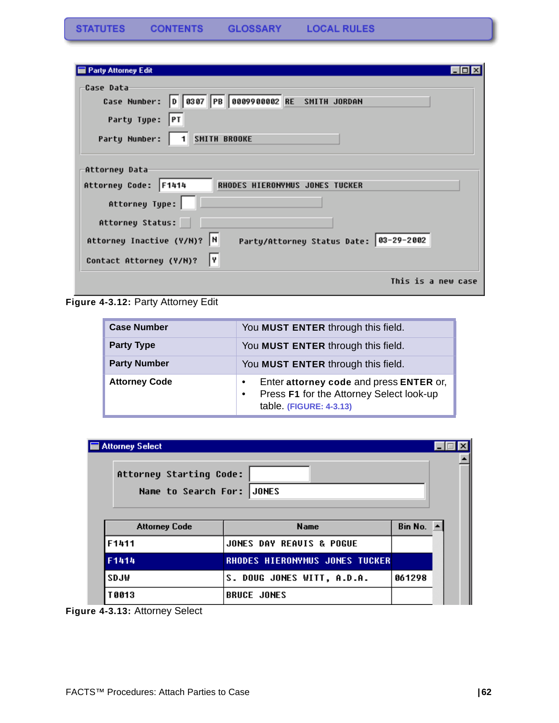| <b>Party Attorney Edit</b>                                                                                                |  |
|---------------------------------------------------------------------------------------------------------------------------|--|
| Case Data<br>Case Number: 0 0307 PB 0009900002 RE SMITH JORDAN<br>Party Type:<br> PT<br>1 SMITH BROOKE<br>Party Number:   |  |
| Attorney Data<br>Attorney Code: F1414<br>RHODES HIERONYMUS JONES TUCKER<br>Attorney Type:                                 |  |
| Attorney Status:<br>Attorney Inactive (Y/N)? N<br>Party/Attorney Status Date: 03-29-2002<br>l٧<br>Contact Attorney (Y/N)? |  |
| This is a new case                                                                                                        |  |

**Figure 4-3.12:** Party Attorney Edit

| <b>Case Number</b>   | You MUST ENTER through this field.                                                                                                       |
|----------------------|------------------------------------------------------------------------------------------------------------------------------------------|
| <b>Party Type</b>    | You MUST ENTER through this field.                                                                                                       |
| <b>Party Number</b>  | You MUST ENTER through this field.                                                                                                       |
| <b>Attorney Code</b> | Enter attorney code and press ENTER or,<br>$\bullet$<br>Press F1 for the Attorney Select look-up<br>$\bullet$<br>table. (FIGURE: 4-3.13) |

| Attorney Starting Code:<br>Name to Search For: JONES            |                                     |        |  |  |
|-----------------------------------------------------------------|-------------------------------------|--------|--|--|
| Bin No. $\blacktriangle$<br><b>Name</b><br><b>Attorney Code</b> |                                     |        |  |  |
|                                                                 | <b>JONES DAY REAUIS &amp; POGUE</b> |        |  |  |
|                                                                 |                                     |        |  |  |
| F1411                                                           | RHODES HIERONYMUS JONES TUCKER      |        |  |  |
| F1414<br>SDJW                                                   | S. DOUG JONES WITT, A.D.A.          | 061298 |  |  |

**Figure 4-3.13:** Attorney Select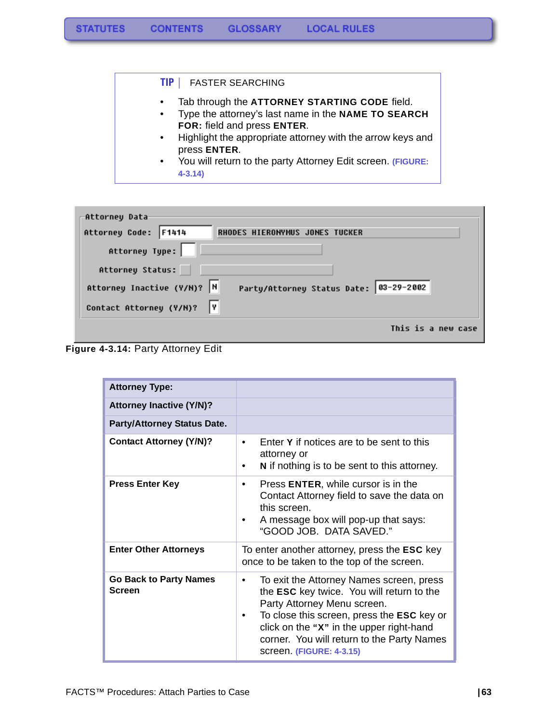#### **TIP |** FASTER SEARCHING

- Tab through the **ATTORNEY STARTING CODE** field.
- Type the attorney's last name in the **NAME TO SEARCH FOR:** field and press **ENTER**.
- Highlight the appropriate attorney with the arrow keys and press **ENTER**.
- You will return to the party Attorney Edit screen. **(FIGURE: 4-3.14)**

| -Attorney Data              |                                        |
|-----------------------------|----------------------------------------|
| Attorney Code: F1414        | RHODES HIERONYMUS JONES TUCKER         |
| Attorney Type:              |                                        |
| Attorney Status:            |                                        |
| Attorney Inactive (Y/M)?  N | Party/Attorney Status Date: 03-29-2002 |
| Contact Attorney (Y/N)?     |                                        |
|                             | This is a new case                     |



| <b>Attorney Type:</b>                          |                                                                                                                                                                                                                                                                                                      |  |
|------------------------------------------------|------------------------------------------------------------------------------------------------------------------------------------------------------------------------------------------------------------------------------------------------------------------------------------------------------|--|
| <b>Attorney Inactive (Y/N)?</b>                |                                                                                                                                                                                                                                                                                                      |  |
| <b>Party/Attorney Status Date.</b>             |                                                                                                                                                                                                                                                                                                      |  |
| <b>Contact Attorney (Y/N)?</b>                 | Enter Y if notices are to be sent to this<br>$\bullet$<br>attorney or<br>N if nothing is to be sent to this attorney.                                                                                                                                                                                |  |
| <b>Press Enter Key</b>                         | Press ENTER, while cursor is in the<br>Contact Attorney field to save the data on<br>this screen.<br>A message box will pop-up that says:<br>"GOOD JOB. DATA SAVED."                                                                                                                                 |  |
| <b>Enter Other Attorneys</b>                   | To enter another attorney, press the <b>ESC</b> key<br>once to be taken to the top of the screen.                                                                                                                                                                                                    |  |
| <b>Go Back to Party Names</b><br><b>Screen</b> | To exit the Attorney Names screen, press<br>٠<br>the ESC key twice. You will return to the<br>Party Attorney Menu screen.<br>To close this screen, press the <b>ESC</b> key or<br>click on the "X" in the upper right-hand<br>corner. You will return to the Party Names<br>screen. (FIGURE: 4-3.15) |  |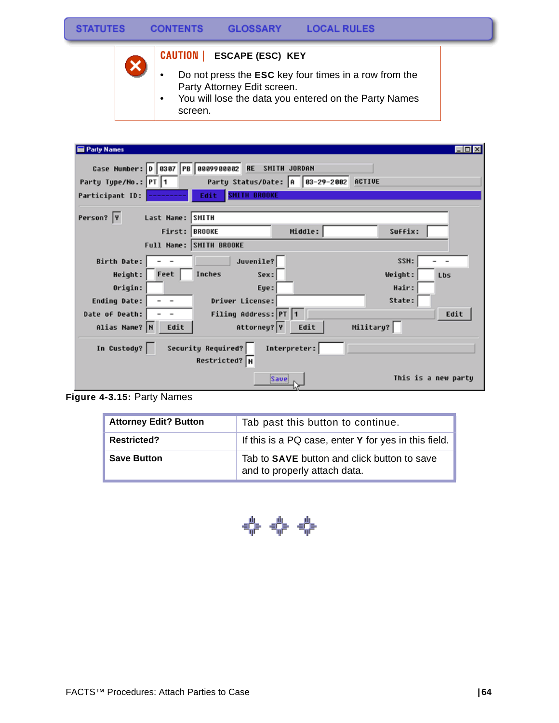

### **CAUTION | ESCAPE (ESC) KEY**

- Do not press the **ESC** key four times in a row from the Party Attorney Edit screen.
- You will lose the data you entered on the Party Names screen.

| <b>Party Names</b>                                                 |                                        | -101                |
|--------------------------------------------------------------------|----------------------------------------|---------------------|
| Case Number: 0 0307 PB 0009900002                                  | <b>RE</b><br>SMITH JORDAN              |                     |
| Party Type/No.: PT 1                                               | Party Status/Date: A 83-29-2002 ACTIVE |                     |
| Participant ID:                                                    | <b>SHITH BROOKE</b><br>Edit            |                     |
| Person?  Y<br>Last Name: SMITH                                     |                                        |                     |
|                                                                    | First: BROOKE<br>Suffix:<br>Middle:    |                     |
|                                                                    | Full Name: SMITH BROOKE                |                     |
| Birth Date:                                                        | Juvenile?<br>SSN:                      |                     |
| Feet<br>Height:                                                    | Inches<br>Sex:<br>Weight:              | Lbs                 |
| Origin:                                                            | Hair:<br>Eye:                          |                     |
| Ending Date:<br>$\overline{\phantom{a}}$                           | State:<br>Driver License:              |                     |
| Date of Death:                                                     | Filing Address: PT 1                   | Edit                |
| Alias Name? N<br>Edit                                              | Attorney? Y<br>Military?<br>Edit       |                     |
| Security Required?<br>In Custody?<br>Interpreter:<br>Restricted? N |                                        |                     |
|                                                                    | Save                                   | This is a new party |

**Figure 4-3.15:** Party Names

| <b>Attorney Edit? Button</b> | Tab past this button to continue.                                                  |
|------------------------------|------------------------------------------------------------------------------------|
| <b>Restricted?</b>           | If this is a PQ case, enter Y for yes in this field.                               |
| <b>Save Button</b>           | Tab to <b>SAVE</b> button and click button to save<br>and to properly attach data. |

\*\*\*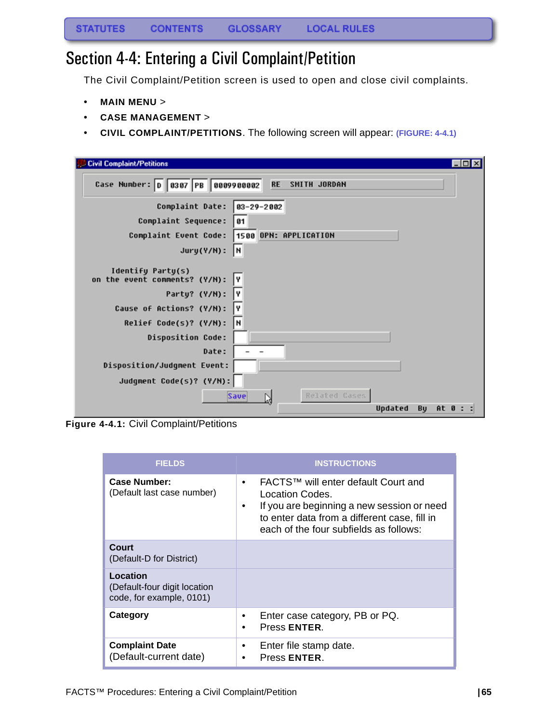### Section 4-4: Entering a Civil Complaint/Petition

The Civil Complaint/Petition screen is used to open and close civil complaints.

- **MAIN MENU** >
- **CASE MANAGEMENT** >
- **CIVIL COMPLAINT/PETITIONS**. The following screen will appear: **(FIGURE: 4-4.1)**

| $\Box$ o $\mathbf{x}$<br><b>Civil Complaint/Petitions</b>                                                                                                                     |  |
|-------------------------------------------------------------------------------------------------------------------------------------------------------------------------------|--|
| Case Number: 0 0307 PB 0009900002<br><b>RE</b><br>SMITH JORDAN                                                                                                                |  |
| Complaint Date:<br>83-29-2002                                                                                                                                                 |  |
| Complaint Sequence:<br>01                                                                                                                                                     |  |
| 1500 OPN: APPLICATION<br>Complaint Event Code:                                                                                                                                |  |
| I۲<br>Jury(Y/N):                                                                                                                                                              |  |
| Identify Party(s)<br>on the event comments? (Y/N):<br>I۷<br>Party? (Y/N):<br>I۷<br>Cause of Actions? (Y/N):<br>I٧<br>I۲<br>Relief Code(s)? (Y/N):<br><b>Disposition Code:</b> |  |
| Date:                                                                                                                                                                         |  |
| Disposition/Judgment Event:                                                                                                                                                   |  |
| Judgment Code(s)? (Y/N):                                                                                                                                                      |  |
| Related Cases<br><b>Save</b><br>Updated<br>Bu<br>At 0 :                                                                                                                       |  |
|                                                                                                                                                                               |  |

**Figure 4-4.1:** Civil Complaint/Petitions

| <b>FIELDS</b>                                                        | <b>INSTRUCTIONS</b>                                                                                                                                                                                              |
|----------------------------------------------------------------------|------------------------------------------------------------------------------------------------------------------------------------------------------------------------------------------------------------------|
| <b>Case Number:</b><br>(Default last case number)                    | FACTS™ will enter default Court and<br>$\bullet$<br>Location Codes.<br>If you are beginning a new session or need<br>٠<br>to enter data from a different case, fill in<br>each of the four subfields as follows: |
| Court<br>(Default-D for District)                                    |                                                                                                                                                                                                                  |
| Location<br>(Default-four digit location<br>code, for example, 0101) |                                                                                                                                                                                                                  |
| Category                                                             | Enter case category, PB or PQ.<br>٠<br>Press ENTER.<br>$\bullet$                                                                                                                                                 |
| <b>Complaint Date</b><br>(Default-current date)                      | Enter file stamp date.<br>٠<br>Press <b>ENTER</b> .                                                                                                                                                              |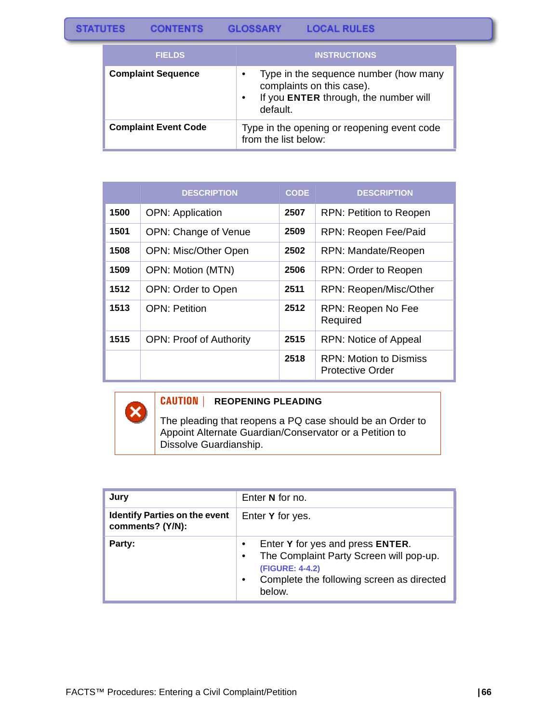| <b>FIELDS</b>               | <b>INSTRUCTIONS</b>                                                                                                     |
|-----------------------------|-------------------------------------------------------------------------------------------------------------------------|
| <b>Complaint Sequence</b>   | Type in the sequence number (how many<br>complaints on this case).<br>If you ENTER through, the number will<br>default. |
| <b>Complaint Event Code</b> | Type in the opening or reopening event code<br>from the list below:                                                     |

|      | <b>DESCRIPTION</b>             | <b>CODE</b> | <b>DESCRIPTION</b>                         |
|------|--------------------------------|-------------|--------------------------------------------|
| 1500 | <b>OPN: Application</b>        | 2507        | <b>RPN: Petition to Reopen</b>             |
| 1501 | OPN: Change of Venue           | 2509        | RPN: Reopen Fee/Paid                       |
| 1508 | <b>OPN: Misc/Other Open</b>    | 2502        | <b>RPN: Mandate/Reopen</b>                 |
| 1509 | OPN: Motion (MTN)              | 2506        | RPN: Order to Reopen                       |
| 1512 | OPN: Order to Open             | 2511        | RPN: Reopen/Misc/Other                     |
| 1513 | <b>OPN: Petition</b>           | 2512        | RPN: Reopen No Fee<br>Required             |
| 1515 | <b>OPN: Proof of Authority</b> | 2515        | RPN: Notice of Appeal                      |
|      |                                | 2518        | RPN: Motion to Dismiss<br>Protective Order |

#### **CAUTION | REOPENING PLEADING**

The pleading that reopens a PQ case should be an Order to Appoint Alternate Guardian/Conservator or a Petition to Dissolve Guardianship.

| Jury                                                     | Enter N for no.                                                                                                                                                                 |  |
|----------------------------------------------------------|---------------------------------------------------------------------------------------------------------------------------------------------------------------------------------|--|
| <b>Identify Parties on the event</b><br>comments? (Y/N): | Enter Y for yes.                                                                                                                                                                |  |
| Party:                                                   | Enter Y for yes and press ENTER.<br>The Complaint Party Screen will pop-up.<br>$\bullet$<br>(FIGURE: 4-4.2)<br>Complete the following screen as directed<br>$\bullet$<br>below. |  |

 $\mathbf x$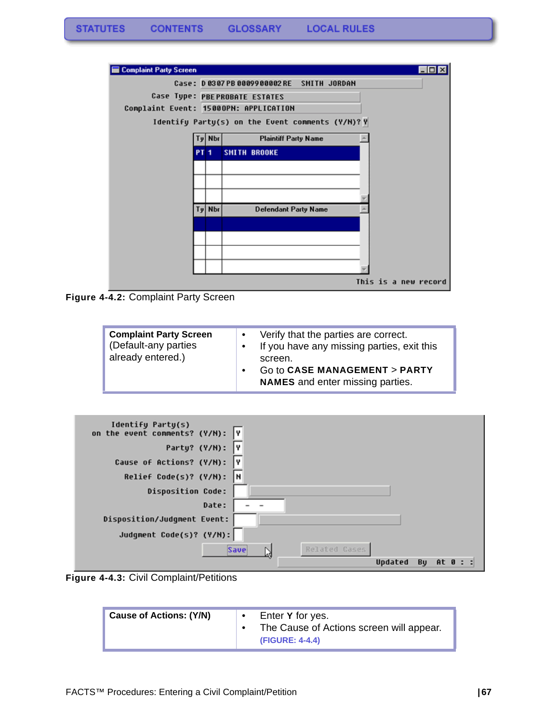

**Figure 4-4.2:** Complaint Party Screen

| <b>Complaint Party Screen</b><br>(Default-any parties<br>already entered.) | $\bullet$ | Verify that the parties are correct.<br>If you have any missing parties, exit this<br>screen.<br>Go to CASE MANAGEMENT > PARTY<br><b>NAMES</b> and enter missing parties. |
|----------------------------------------------------------------------------|-----------|---------------------------------------------------------------------------------------------------------------------------------------------------------------------------|
|----------------------------------------------------------------------------|-----------|---------------------------------------------------------------------------------------------------------------------------------------------------------------------------|

| Identify Party(s)<br>on the event comments? (Y/N): | I۷                    |
|----------------------------------------------------|-----------------------|
| Party? (Y/N):                                      | l٧                    |
| Cause of Actions? (Y/N):                           | I٧                    |
| Relief Code(s)? (Y/N):                             | l٢                    |
| <b>Disposition Code:</b>                           |                       |
| Date:                                              |                       |
| Disposition/Judgment Event:                        |                       |
| Judgment Code(s)? (Y/N):                           |                       |
|                                                    | Related Cases<br>Save |
|                                                    | Updated<br>Bu<br>At 0 |



| <b>Cause of Actions: (Y/N)</b> |  | Enter Y for yes.<br>The Cause of Actions screen will appear.<br>(FIGURE: 4-4.4) |
|--------------------------------|--|---------------------------------------------------------------------------------|
|--------------------------------|--|---------------------------------------------------------------------------------|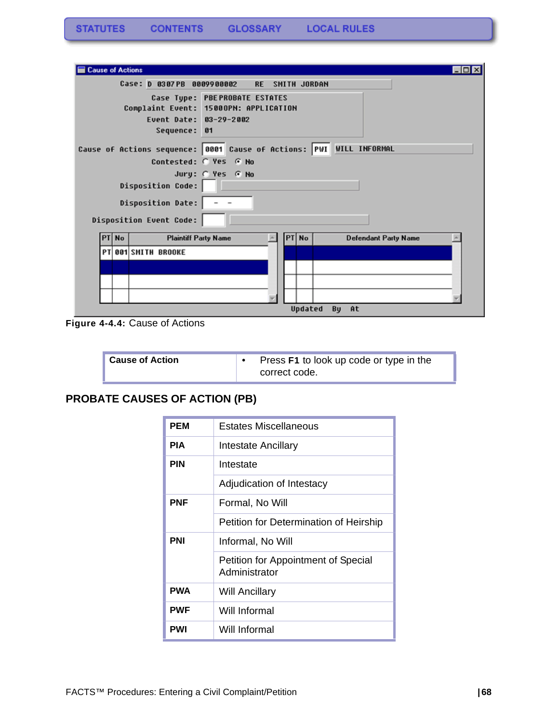| <b>Cause of Actions</b> |       |                                                                              |                                     |       |              |                             | EOX |
|-------------------------|-------|------------------------------------------------------------------------------|-------------------------------------|-------|--------------|-----------------------------|-----|
|                         |       | Case: D 0307PB                                                               | 0009900002<br><b>RE</b>             |       | SMITH JORDAN |                             |     |
|                         |       | Complaint Event: 15000PN: APPLICATION<br>Event Date: 03-29-2002<br>Sequence: | Case Type: PBEPROBATE ESTATES<br>61 |       |              |                             |     |
|                         |       | Cause of Actions sequence: 0001 Cause of Actions: PWI WILL INFORMAL          |                                     |       |              |                             |     |
|                         |       |                                                                              | Contested: C Yes G No               |       |              |                             |     |
|                         |       |                                                                              | Jury: @ Yes @ No                    |       |              |                             |     |
|                         |       | <b>Disposition Code:</b>                                                     |                                     |       |              |                             |     |
|                         |       | <b>Disposition Date:</b>                                                     |                                     |       |              |                             |     |
|                         |       | Disposition Event Code:                                                      |                                     |       |              |                             |     |
|                         | PT No | <b>Plaintiff Party Name</b>                                                  |                                     | PT No |              | <b>Defendant Party Name</b> |     |
|                         |       | <b>PT 001 SMITH BROOKE</b>                                                   |                                     |       |              |                             |     |
|                         |       |                                                                              |                                     |       |              |                             |     |
|                         |       |                                                                              |                                     |       |              |                             |     |
|                         |       |                                                                              |                                     |       |              |                             |     |
|                         |       |                                                                              |                                     |       | Updated      | By At                       |     |

**Figure 4-4.4:** Cause of Actions

| <b>Cause of Action</b> | Press F1 to look up code or type in the<br>correct code. |
|------------------------|----------------------------------------------------------|
|------------------------|----------------------------------------------------------|

### **PROBATE CAUSES OF ACTION (PB)**

| <b>PEM</b> | Estates Miscellaneous                                |
|------------|------------------------------------------------------|
| <b>PIA</b> | Intestate Ancillary                                  |
| <b>PIN</b> | Intestate                                            |
|            | Adjudication of Intestacy                            |
| <b>PNF</b> | Formal, No Will                                      |
|            | Petition for Determination of Heirship               |
| <b>PNI</b> | Informal, No Will                                    |
|            | Petition for Appointment of Special<br>Administrator |
| <b>PWA</b> | <b>Will Ancillary</b>                                |
| <b>PWF</b> | Will Informal                                        |
| <b>PWI</b> | Will Informal                                        |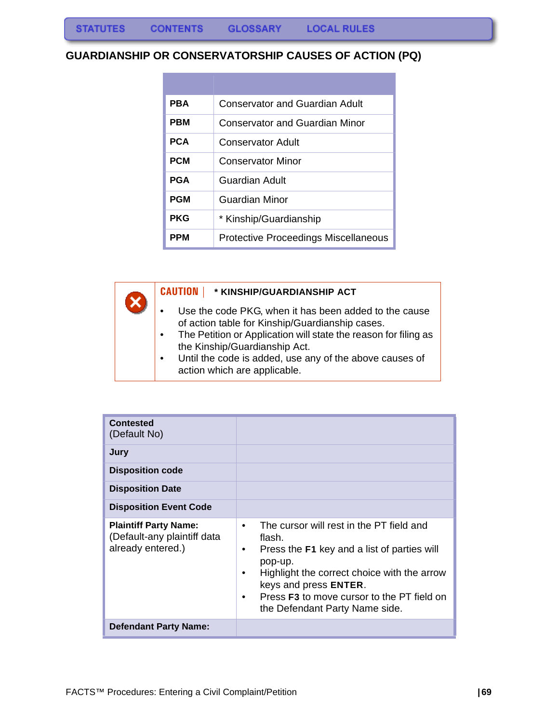#### **GUARDIANSHIP OR CONSERVATORSHIP CAUSES OF ACTION (PQ)**

| <b>PBA</b> | Conservator and Guardian Adult       |
|------------|--------------------------------------|
| <b>PBM</b> | Conservator and Guardian Minor       |
| <b>PCA</b> | Conservator Adult                    |
| <b>PCM</b> | Conservator Minor                    |
| <b>PGA</b> | Guardian Adult                       |
| <b>PGM</b> | Guardian Minor                       |
| <b>PKG</b> | * Kinship/Guardianship               |
| PPM        | Protective Proceedings Miscellaneous |

**CAUTION | \* KINSHIP/GUARDIANSHIP ACT**

- Use the code PKG, when it has been added to the cause of action table for Kinship/Guardianship cases.
- The Petition or Application will state the reason for filing as the Kinship/Guardianship Act.
- Until the code is added, use any of the above causes of action which are applicable.

| <b>Contested</b><br>(Default No)<br>Jury<br><b>Disposition code</b><br><b>Disposition Date</b> |                                                                                                                                                                                                                                                                                                 |
|------------------------------------------------------------------------------------------------|-------------------------------------------------------------------------------------------------------------------------------------------------------------------------------------------------------------------------------------------------------------------------------------------------|
| <b>Disposition Event Code</b>                                                                  |                                                                                                                                                                                                                                                                                                 |
| <b>Plaintiff Party Name:</b><br>(Default-any plaintiff data<br>already entered.)               | The cursor will rest in the PT field and<br>٠<br>flash.<br>Press the F1 key and a list of parties will<br>٠<br>pop-up.<br>Highlight the correct choice with the arrow<br>٠<br>keys and press ENTER.<br>Press <b>F3</b> to move cursor to the PT field on<br>٠<br>the Defendant Party Name side. |
| <b>Defendant Party Name:</b>                                                                   |                                                                                                                                                                                                                                                                                                 |

 $\mathbf x$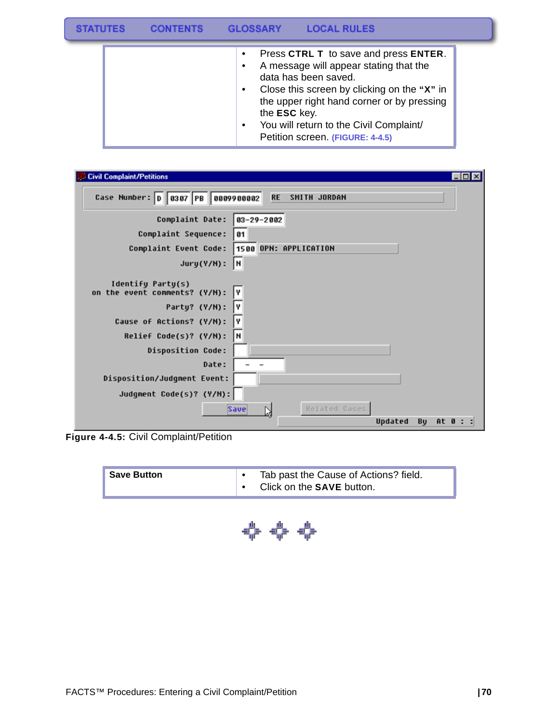|  | <b>GLOSSARY</b><br><b>LOCAL RULES</b>                                                                                                                                                                                                                                                               |  |
|--|-----------------------------------------------------------------------------------------------------------------------------------------------------------------------------------------------------------------------------------------------------------------------------------------------------|--|
|  | Press CTRL T to save and press ENTER.<br>A message will appear stating that the<br>data has been saved.<br>Close this screen by clicking on the "X" in<br>the upper right hand corner or by pressing<br>the ESC key.<br>You will return to the Civil Complaint/<br>Petition screen. (FIGURE: 4-4.5) |  |

| <b>Civil Complaint/Petitions</b><br>$\Box$                     |
|----------------------------------------------------------------|
| Case Number: 0 0307 PB 0009900002<br><b>RE</b><br>SMITH JORDAN |
| Complaint Date:<br>$03 - 29 - 2002$                            |
| Complaint Sequence:<br>01                                      |
| 1500 OPN: APPLICATION<br>Complaint Event Code:                 |
| I۲<br>$Jury(Y/N)$ :                                            |
| Identify Party(s)<br>on the event comments? (Y/N):<br>I۷       |
| Party? (Y/N):<br>I٧                                            |
| Cause of Actions? (Y/N):<br>I۷                                 |
| H<br>Relief Code(s)? (Y/N):                                    |
| <b>Disposition Code:</b>                                       |
| Date:                                                          |
| Disposition/Judgment Event:                                    |
| Judgment Code(s)? (Y/N):                                       |
| Related Cases<br><b>Save</b><br>Ŋ                              |
| Bu<br>Updated<br>At 0 : :                                      |

**Figure 4-4.5:** Civil Complaint/Petition

| <b>Save Button</b> | Tab past the Cause of Actions? field. |
|--------------------|---------------------------------------|
|                    | Click on the <b>SAVE</b> button.      |

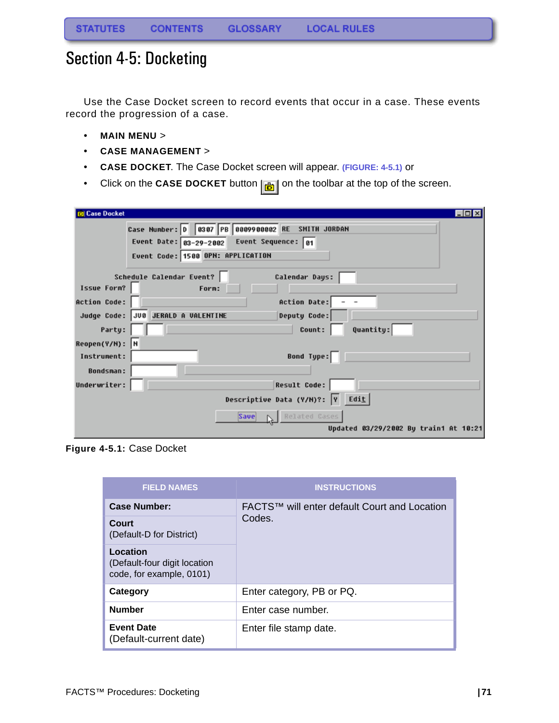## Section 4-5: Docketing

Use the Case Docket screen to record events that occur in a case. These events record the progression of a case.

- **MAIN MENU** >
- **CASE MANAGEMENT** >
- **CASE DOCKET**. The Case Docket screen will appear. **(FIGURE: 4-5.1)** or
- Click on the **CASE DOCKET** button  $\left| \frac{1}{\left| \frac{1}{n} \right|} \right|$  on the toolbar at the top of the screen.

| <b>Case Docket</b><br>$\Box$ o $\mathbf{x}$        |  |  |  |  |
|----------------------------------------------------|--|--|--|--|
| Case Number: 0 0307 PB 0009900002 RE SMITH JORDAN  |  |  |  |  |
| Event Date: $03-29-2002$ Event Sequence: 01        |  |  |  |  |
| Event Code: 1500 OPN: APPLICATION                  |  |  |  |  |
| Schedule Calendar Event?<br>Calendar Days:         |  |  |  |  |
| Issue Form?<br>Form:                               |  |  |  |  |
| <b>Action Date:</b><br><b>Action Code:</b>         |  |  |  |  |
| Judge Code: JUB JERALD A VALENTINE<br>Deputy Code: |  |  |  |  |
| Quantity:<br>Party:<br>Count:                      |  |  |  |  |
| Reopen(Y/N): N                                     |  |  |  |  |
| Bond Type:<br>Instrument:                          |  |  |  |  |
| <b>Bondsman:</b>                                   |  |  |  |  |
| <b>Result Code:</b><br>Underwriter:                |  |  |  |  |
| Descriptive Data (Y/M)?: Y Edit                    |  |  |  |  |
| Save <b>N</b> Related Cases                        |  |  |  |  |
| Updated 03/29/2002 By train1 At 10:21              |  |  |  |  |

**Figure 4-5.1:** Case Docket

| <b>FIELD NAMES</b>                                                   | <b>INSTRUCTIONS</b>                          |  |
|----------------------------------------------------------------------|----------------------------------------------|--|
| <b>Case Number:</b>                                                  | FACTS™ will enter default Court and Location |  |
| Court<br>(Default-D for District)                                    | Codes.                                       |  |
| Location<br>(Default-four digit location<br>code, for example, 0101) |                                              |  |
| Category                                                             | Enter category, PB or PQ.                    |  |
| <b>Number</b>                                                        | Enter case number.                           |  |
| <b>Event Date</b><br>(Default-current date)                          | Enter file stamp date.                       |  |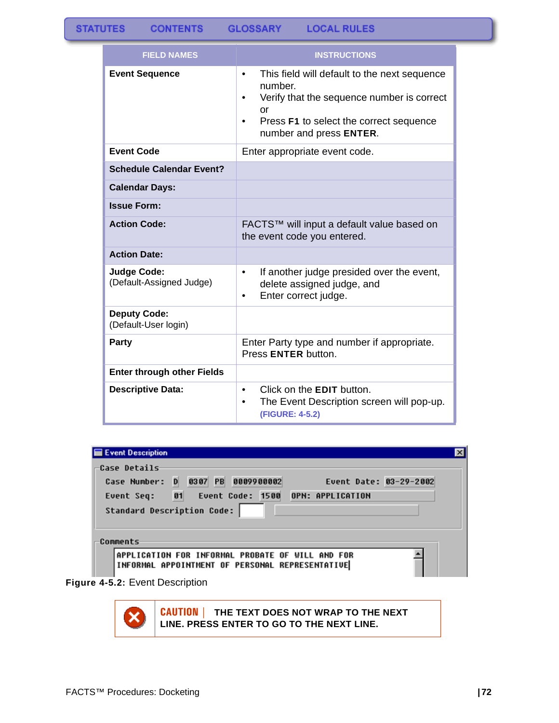| <b>FIELD NAMES</b>                             | <b>INSTRUCTIONS</b>                                                                                                                                                                                              |  |
|------------------------------------------------|------------------------------------------------------------------------------------------------------------------------------------------------------------------------------------------------------------------|--|
| <b>Event Sequence</b>                          | This field will default to the next sequence<br>$\bullet$<br>number.<br>Verify that the sequence number is correct<br>٠<br>or<br>Press F1 to select the correct sequence<br>$\bullet$<br>number and press ENTER. |  |
| <b>Event Code</b>                              | Enter appropriate event code.                                                                                                                                                                                    |  |
| <b>Schedule Calendar Event?</b>                |                                                                                                                                                                                                                  |  |
| <b>Calendar Days:</b>                          |                                                                                                                                                                                                                  |  |
| <b>Issue Form:</b>                             |                                                                                                                                                                                                                  |  |
| <b>Action Code:</b>                            | FACTS™ will input a default value based on<br>the event code you entered.                                                                                                                                        |  |
| <b>Action Date:</b>                            |                                                                                                                                                                                                                  |  |
| <b>Judge Code:</b><br>(Default-Assigned Judge) | If another judge presided over the event,<br>$\bullet$<br>delete assigned judge, and<br>Enter correct judge.<br>$\bullet$                                                                                        |  |
| <b>Deputy Code:</b><br>(Default-User login)    |                                                                                                                                                                                                                  |  |
| Party                                          | Enter Party type and number if appropriate.<br>Press ENTER button.                                                                                                                                               |  |
| <b>Enter through other Fields</b>              |                                                                                                                                                                                                                  |  |
| <b>Descriptive Data:</b>                       | Click on the <b>EDIT</b> button.<br>$\bullet$<br>The Event Description screen will pop-up.<br>$\bullet$<br>(FIGURE: 4-5.2)                                                                                       |  |

| Event Description |                                                 |                        |  |
|-------------------|-------------------------------------------------|------------------------|--|
| Case Details      |                                                 |                        |  |
| Case Number: D    | 0307 PB 0009900002                              | Event Date: 03-29-2002 |  |
|                   | Event Seq: 01 Event Code: 1500 OPN: APPLICATION |                        |  |
|                   | <b>Standard Description Code:</b>               |                        |  |
|                   |                                                 |                        |  |
| Comments          |                                                 |                        |  |

**Figure 4-5.2:** Event Description



**CAUTION | THE TEXT DOES NOT WRAP TO THE NEXT LINE. PRESS ENTER TO GO TO THE NEXT LINE.**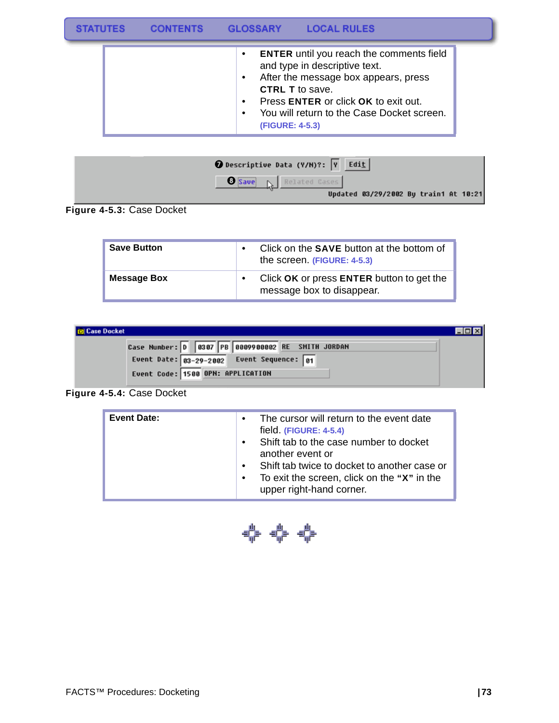|  | <b>GLOSSARY</b><br><b>LOCAL RULES</b>                                                                                                                                                                                                                                    |  |
|--|--------------------------------------------------------------------------------------------------------------------------------------------------------------------------------------------------------------------------------------------------------------------------|--|
|  | <b>ENTER</b> until you reach the comments field<br>$\bullet$<br>and type in descriptive text.<br>After the message box appears, press<br><b>CTRL T</b> to save.<br>Press ENTER or click OK to exit out.<br>You will return to the Case Docket screen.<br>(FIGURE: 4-5.3) |  |



**Figure 4-5.3:** Case Docket

| <b>Save Button</b> | Click on the <b>SAVE</b> button at the bottom of<br>the screen. (FIGURE: 4-5.3) |
|--------------------|---------------------------------------------------------------------------------|
| <b>Message Box</b> | Click OK or press ENTER button to get the<br>message box to disappear.          |

| <b>D</b> Case Docket                              |  |
|---------------------------------------------------|--|
| Case Number: D 0307 PB 0009900002 RE SMITH JORDAN |  |
| Event Date: $03-29-2002$ Event Sequence: $01$     |  |
| Event Code: 1500 OPN: APPLICATION                 |  |

**Figure 4-5.4:** Case Docket

| <b>Event Date:</b> | The cursor will return to the event date<br>$\bullet$<br>field. (FIGURE: 4-5.4)<br>Shift tab to the case number to docket<br>$\bullet$<br>another event or<br>Shift tab twice to docket to another case or<br>$\bullet$<br>To exit the screen, click on the "X" in the<br>$\bullet$ |
|--------------------|-------------------------------------------------------------------------------------------------------------------------------------------------------------------------------------------------------------------------------------------------------------------------------------|
|                    | upper right-hand corner.                                                                                                                                                                                                                                                            |

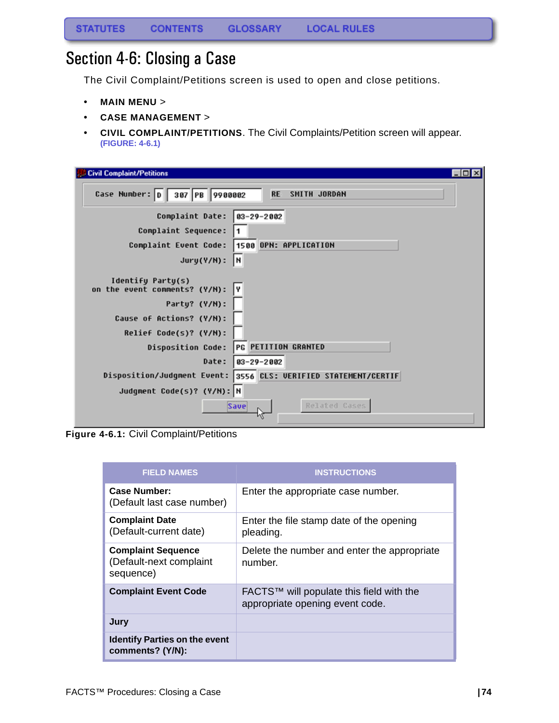## Section 4-6: Closing a Case

The Civil Complaint/Petitions screen is used to open and close petitions.

- **MAIN MENU** >
- **CASE MANAGEMENT** >
- **CIVIL COMPLAINT/PETITIONS**. The Civil Complaints/Petition screen will appear. **(FIGURE: 4-6.1)**

| <b>Civil Complaint/Petitions</b><br>$ \Box$                                                                                     |
|---------------------------------------------------------------------------------------------------------------------------------|
| Case Number: D 387 PB 9988882<br><b>RE</b><br>SMITH JORDAN                                                                      |
| Complaint Date:<br>$93 - 29 - 2002$                                                                                             |
| Complaint Sequence:                                                                                                             |
| 1500 OPN: APPLICATION<br>Complaint Event Code:                                                                                  |
| Jury(Y/N):<br>I۲                                                                                                                |
| Identify Party(s)<br>on the event comments? (Y/N):<br>I۷<br>Party? (Y/N):<br>Cause of Actions? (Y/N):<br>Relief Code(s)? (Y/N): |
| PG PETITION GRANTED<br><b>Disposition Code:</b>                                                                                 |
| Date:<br>03-29-2002                                                                                                             |
| Disposition/Judgment Event: 3556 CLS: VERIFIED STATEMENT/CERTIF                                                                 |
| Judgment Code(s)? (Y/N): N                                                                                                      |
| Related Cases<br>Save                                                                                                           |

**Figure 4-6.1:** Civil Complaint/Petitions

| <b>FIELD NAMES</b>                                                | <b>INSTRUCTIONS</b>                                                         |
|-------------------------------------------------------------------|-----------------------------------------------------------------------------|
| Case Number:<br>(Default last case number)                        | Enter the appropriate case number.                                          |
| <b>Complaint Date</b><br>(Default-current date)                   | Enter the file stamp date of the opening<br>pleading.                       |
| <b>Complaint Sequence</b><br>(Default-next complaint<br>sequence) | Delete the number and enter the appropriate<br>number.                      |
| <b>Complaint Event Code</b>                                       | FACTS™ will populate this field with the<br>appropriate opening event code. |
| Jury                                                              |                                                                             |
| <b>Identify Parties on the event</b><br>comments? (Y/N):          |                                                                             |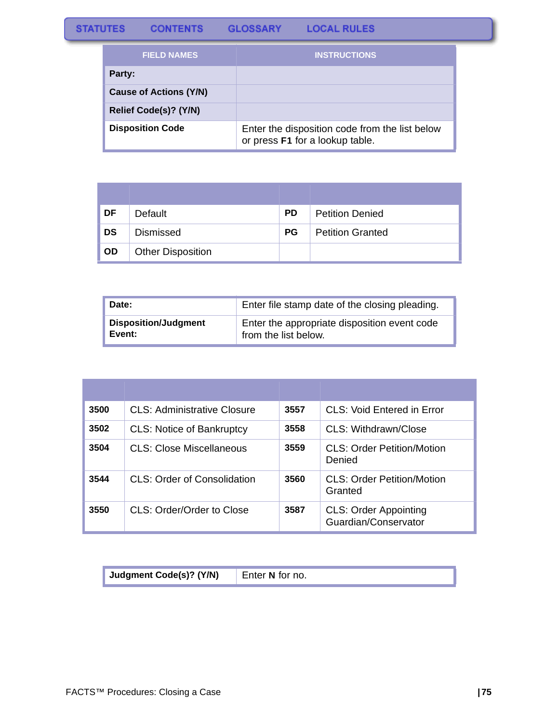## **STATUTES** CONTENTS GLOSSARY LOCAL RULES

| <b>FIELD NAMES</b>            | <b>INSTRUCTIONS</b>                                                               |
|-------------------------------|-----------------------------------------------------------------------------------|
| Party:                        |                                                                                   |
| <b>Cause of Actions (Y/N)</b> |                                                                                   |
| Relief Code(s)? (Y/N)         |                                                                                   |
| <b>Disposition Code</b>       | Enter the disposition code from the list below<br>or press F1 for a lookup table. |

| DF        | Default                  | <b>PD</b> | <b>Petition Denied</b>  |
|-----------|--------------------------|-----------|-------------------------|
| <b>DS</b> | <b>Dismissed</b>         | <b>PG</b> | <b>Petition Granted</b> |
| <b>OD</b> | <b>Other Disposition</b> |           |                         |

| Date:                       | Enter file stamp date of the closing pleading. |
|-----------------------------|------------------------------------------------|
| <b>Disposition/Judgment</b> | Enter the appropriate disposition event code   |
| Event:                      | from the list below.                           |

| 3500 | CLS: Administrative Closure      | 3557 | CLS: Void Entered in Error                           |
|------|----------------------------------|------|------------------------------------------------------|
| 3502 | <b>CLS: Notice of Bankruptcy</b> | 3558 | CLS: Withdrawn/Close                                 |
| 3504 | CLS: Close Miscellaneous         | 3559 | CLS: Order Petition/Motion<br>Denied                 |
| 3544 | CLS: Order of Consolidation      | 3560 | CLS: Order Petition/Motion<br>Granted                |
| 3550 | CLS: Order/Order to Close        | 3587 | <b>CLS: Order Appointing</b><br>Guardian/Conservator |

| Judgment Code(s)? (Y/N) | Enter N for no. |
|-------------------------|-----------------|